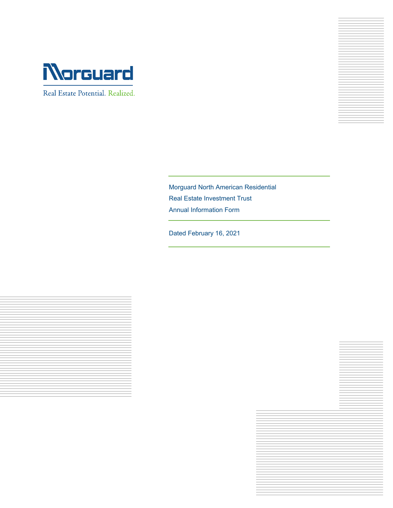

Real Estate Potential. Realized.



Morguard North American Residential Real Estate Investment Trust Annual Information Form

Dated February 16, 2021



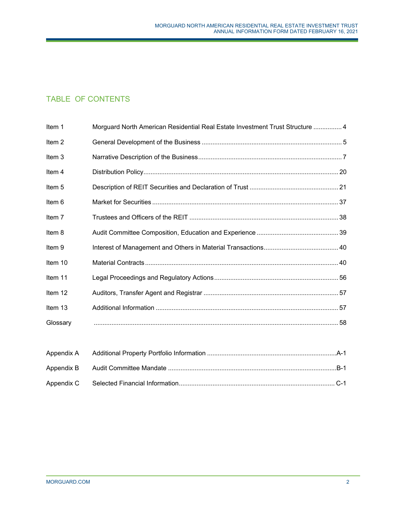# TABLE OF CONTENTS

| Item 1            | Morguard North American Residential Real Estate Investment Trust Structure  4 |  |
|-------------------|-------------------------------------------------------------------------------|--|
| Item <sub>2</sub> |                                                                               |  |
| Item 3            |                                                                               |  |
| Item 4            |                                                                               |  |
| Item 5            |                                                                               |  |
| Item 6            |                                                                               |  |
| Item 7            |                                                                               |  |
| Item 8            |                                                                               |  |
| Item 9            |                                                                               |  |
| Item 10           |                                                                               |  |
| Item 11           |                                                                               |  |
| Item 12           |                                                                               |  |
| Item 13           |                                                                               |  |
| Glossary          |                                                                               |  |
|                   |                                                                               |  |
| Appendix A        |                                                                               |  |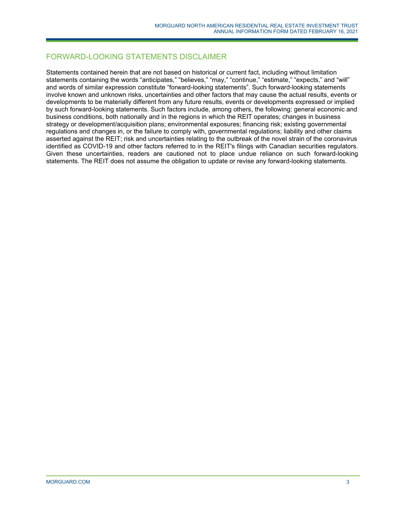# FORWARD-LOOKING STATEMENTS DISCLAIMER

Statements contained herein that are not based on historical or current fact, including without limitation statements containing the words "anticipates," "believes," "may," "continue," "estimate," "expects," and "will" and words of similar expression constitute "forward-looking statements". Such forward-looking statements involve known and unknown risks, uncertainties and other factors that may cause the actual results, events or developments to be materially different from any future results, events or developments expressed or implied by such forward-looking statements. Such factors include, among others, the following: general economic and business conditions, both nationally and in the regions in which the REIT operates; changes in business strategy or development/acquisition plans; environmental exposures; financing risk; existing governmental regulations and changes in, or the failure to comply with, governmental regulations; liability and other claims asserted against the REIT; risk and uncertainties relating to the outbreak of the novel strain of the coronavirus identified as COVID-19 and other factors referred to in the REIT's filings with Canadian securities regulators. Given these uncertainties, readers are cautioned not to place undue reliance on such forward-looking statements. The REIT does not assume the obligation to update or revise any forward-looking statements.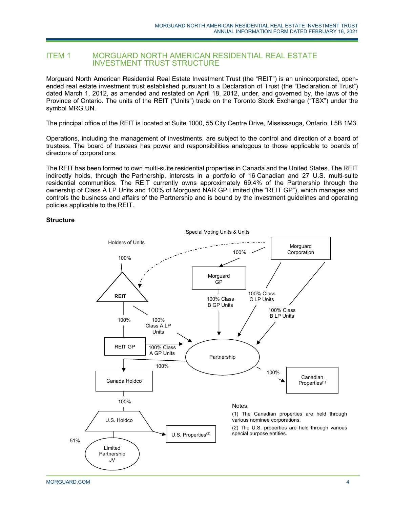# ITEM 1 MORGUARD NORTH AMERICAN RESIDENTIAL REAL ESTATE INVESTMENT TRUST STRUCTURE

Morguard North American Residential Real Estate Investment Trust (the "REIT") is an unincorporated, openended real estate investment trust established pursuant to a Declaration of Trust (the "Declaration of Trust") dated March 1, 2012, as amended and restated on April 18, 2012, under, and governed by, the laws of the Province of Ontario. The units of the REIT ("Units") trade on the Toronto Stock Exchange ("TSX") under the symbol MRG.UN.

The principal office of the REIT is located at Suite 1000, 55 City Centre Drive, Mississauga, Ontario, L5B 1M3.

Operations, including the management of investments, are subject to the control and direction of a board of trustees. The board of trustees has power and responsibilities analogous to those applicable to boards of directors of corporations.

The REIT has been formed to own multi-suite residential properties in Canada and the United States. The REIT indirectly holds, through the Partnership, interests in a portfolio of 16 Canadian and 27 U.S. multi-suite residential communities. The REIT currently owns approximately 69.4% of the Partnership through the ownership of Class A LP Units and 100% of Morguard NAR GP Limited (the "REIT GP"), which manages and controls the business and affairs of the Partnership and is bound by the investment guidelines and operating policies applicable to the REIT.

#### **Structure**

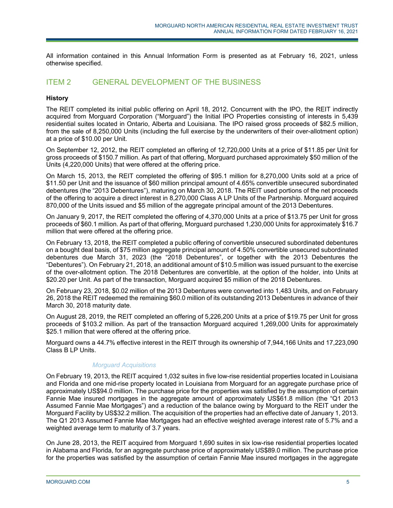All information contained in this Annual Information Form is presented as at February 16, 2021, unless otherwise specified.

# ITEM 2 GENERAL DEVELOPMENT OF THE BUSINESS

# **History**

The REIT completed its initial public offering on April 18, 2012. Concurrent with the IPO, the REIT indirectly acquired from Morguard Corporation ("Morguard") the Initial IPO Properties consisting of interests in 5,439 residential suites located in Ontario, Alberta and Louisiana. The IPO raised gross proceeds of \$82.5 million, from the sale of 8,250,000 Units (including the full exercise by the underwriters of their over-allotment option) at a price of \$10.00 per Unit.

On September 12, 2012, the REIT completed an offering of 12,720,000 Units at a price of \$11.85 per Unit for gross proceeds of \$150.7 million. As part of that offering, Morguard purchased approximately \$50 million of the Units (4,220,000 Units) that were offered at the offering price.

On March 15, 2013, the REIT completed the offering of \$95.1 million for 8,270,000 Units sold at a price of \$11.50 per Unit and the issuance of \$60 million principal amount of 4.65% convertible unsecured subordinated debentures (the "2013 Debentures"), maturing on March 30, 2018. The REIT used portions of the net proceeds of the offering to acquire a direct interest in 8,270,000 Class A LP Units of the Partnership. Morguard acquired 870,000 of the Units issued and \$5 million of the aggregate principal amount of the 2013 Debentures.

On January 9, 2017, the REIT completed the offering of 4,370,000 Units at a price of \$13.75 per Unit for gross proceeds of \$60.1 million. As part of that offering, Morguard purchased 1,230,000 Units for approximately \$16.7 million that were offered at the offering price.

On February 13, 2018, the REIT completed a public offering of convertible unsecured subordinated debentures on a bought deal basis, of \$75 million aggregate principal amount of 4.50% convertible unsecured subordinated debentures due March 31, 2023 (the "2018 Debentures", or together with the 2013 Debentures the "Debentures"). On February 21, 2018, an additional amount of \$10.5 million was issued pursuant to the exercise of the over-allotment option. The 2018 Debentures are convertible, at the option of the holder, into Units at \$20.20 per Unit. As part of the transaction, Morguard acquired \$5 million of the 2018 Debentures.

On February 23, 2018, \$0.02 million of the 2013 Debentures were converted into 1,483 Units, and on February 26, 2018 the REIT redeemed the remaining \$60.0 million of its outstanding 2013 Debentures in advance of their March 30, 2018 maturity date.

On August 28, 2019, the REIT completed an offering of 5,226,200 Units at a price of \$19.75 per Unit for gross proceeds of \$103.2 million. As part of the transaction Morguard acquired 1,269,000 Units for approximately \$25.1 million that were offered at the offering price.

Morguard owns a 44.7% effective interest in the REIT through its ownership of 7,944,166 Units and 17,223,090 Class B LP Units.

# *Morguard Acquisitions*

On February 19, 2013, the REIT acquired 1,032 suites in five low-rise residential properties located in Louisiana and Florida and one mid-rise property located in Louisiana from Morguard for an aggregate purchase price of approximately US\$94.0 million. The purchase price for the properties was satisfied by the assumption of certain Fannie Mae insured mortgages in the aggregate amount of approximately US\$61.8 million (the "Q1 2013 Assumed Fannie Mae Mortgages") and a reduction of the balance owing by Morguard to the REIT under the Morguard Facility by US\$32.2 million. The acquisition of the properties had an effective date of January 1, 2013. The Q1 2013 Assumed Fannie Mae Mortgages had an effective weighted average interest rate of 5.7% and a weighted average term to maturity of 3.7 years.

On June 28, 2013, the REIT acquired from Morguard 1,690 suites in six low-rise residential properties located in Alabama and Florida, for an aggregate purchase price of approximately US\$89.0 million. The purchase price for the properties was satisfied by the assumption of certain Fannie Mae insured mortgages in the aggregate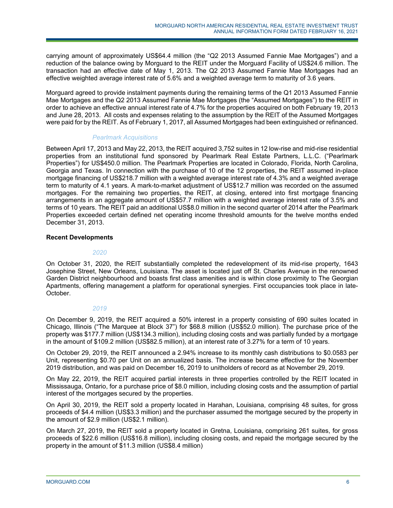carrying amount of approximately US\$64.4 million (the "Q2 2013 Assumed Fannie Mae Mortgages") and a reduction of the balance owing by Morguard to the REIT under the Morguard Facility of US\$24.6 million. The transaction had an effective date of May 1, 2013. The Q2 2013 Assumed Fannie Mae Mortgages had an effective weighted average interest rate of 5.6% and a weighted average term to maturity of 3.6 years.

Morguard agreed to provide instalment payments during the remaining terms of the Q1 2013 Assumed Fannie Mae Mortgages and the Q2 2013 Assumed Fannie Mae Mortgages (the "Assumed Mortgages") to the REIT in order to achieve an effective annual interest rate of 4.7% for the properties acquired on both February 19, 2013 and June 28, 2013. All costs and expenses relating to the assumption by the REIT of the Assumed Mortgages were paid for by the REIT. As of February 1, 2017, all Assumed Mortgages had been extinguished or refinanced.

# *Pearlmark Acquisitions*

Between April 17, 2013 and May 22, 2013, the REIT acquired 3,752 suites in 12 low-rise and mid-rise residential properties from an institutional fund sponsored by Pearlmark Real Estate Partners, L.L.C. ("Pearlmark Properties") for US\$450.0 million. The Pearlmark Properties are located in Colorado, Florida, North Carolina, Georgia and Texas. In connection with the purchase of 10 of the 12 properties, the REIT assumed in-place mortgage financing of US\$218.7 million with a weighted average interest rate of 4.3% and a weighted average term to maturity of 4.1 years. A mark-to-market adjustment of US\$12.7 million was recorded on the assumed mortgages. For the remaining two properties, the REIT, at closing, entered into first mortgage financing arrangements in an aggregate amount of US\$57.7 million with a weighted average interest rate of 3.5% and terms of 10 years. The REIT paid an additional US\$8.0 million in the second quarter of 2014 after the Pearlmark Properties exceeded certain defined net operating income threshold amounts for the twelve months ended December 31, 2013.

# **Recent Developments**

# *2020*

On October 31, 2020, the REIT substantially completed the redevelopment of its mid-rise property, 1643 Josephine Street, New Orleans, Louisiana. The asset is located just off St. Charles Avenue in the renowned Garden District neighbourhood and boasts first class amenities and is within close proximity to The Georgian Apartments, offering management a platform for operational synergies. First occupancies took place in late-October.

# *2019*

On December 9, 2019, the REIT acquired a 50% interest in a property consisting of 690 suites located in Chicago, Illinois ("The Marquee at Block 37") for \$68.8 million (US\$52.0 million). The purchase price of the property was \$177.7 million (US\$134.3 million), including closing costs and was partially funded by a mortgage in the amount of \$109.2 million (US\$82.5 million), at an interest rate of 3.27% for a term of 10 years.

On October 29, 2019, the REIT announced a 2.94% increase to its monthly cash distributions to \$0.0583 per Unit, representing \$0.70 per Unit on an annualized basis. The increase became effective for the November 2019 distribution, and was paid on December 16, 2019 to unitholders of record as at November 29, 2019.

On May 22, 2019, the REIT acquired partial interests in three properties controlled by the REIT located in Mississauga, Ontario, for a purchase price of \$8.0 million, including closing costs and the assumption of partial interest of the mortgages secured by the properties.

On April 30, 2019, the REIT sold a property located in Harahan, Louisiana, comprising 48 suites, for gross proceeds of \$4.4 million (US\$3.3 million) and the purchaser assumed the mortgage secured by the property in the amount of \$2.9 million (US\$2.1 million).

On March 27, 2019, the REIT sold a property located in Gretna, Louisiana, comprising 261 suites, for gross proceeds of \$22.6 million (US\$16.8 million), including closing costs, and repaid the mortgage secured by the property in the amount of \$11.3 million (US\$8.4 million)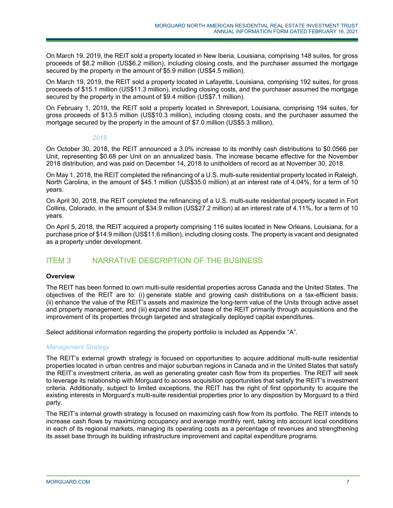On March 19, 2019, the REIT sold a property located in New Iberia, Louisiana, comprising 148 suites, for gross proceeds of \$8.2 million (US\$6.2 million), including closing costs, and the purchaser assumed the mortgage secured by the property in the amount of \$5.9 million (US\$4.5 million).

On March 19, 2019, the REIT sold a property located in Lafayette, Louisiana, comprising 192 suites, for gross proceeds of \$15.1 million (US\$11.3 million), including closing costs, and the purchaser assumed the mortgage secured by the property in the amount of \$9.4 million (US\$7.1 million).

On February 1, 2019, the REIT sold a property located in Shreveport, Louisiana, comprising 194 suites, for gross proceeds of \$13.5 million (US\$10.3 million), including closing costs, and the purchaser assumed the mortgage secured by the property in the amount of \$7.0 million (US\$5.3 million).

# *2018*

On October 30, 2018, the REIT announced a 3.0% increase to its monthly cash distributions to \$0.0566 per Unit, representing \$0.68 per Unit on an annualized basis. The increase became effective for the November 2018 distribution, and was paid on December 14, 2018 to unitholders of record as at November 30, 2018.

On May 1, 2018, the REIT completed the refinancing of a U.S. multi-suite residential property located in Raleigh, North Carolina, in the amount of \$45.1 million (US\$35.0 million) at an interest rate of 4.04%, for a term of 10 years.

On April 30, 2018, the REIT completed the refinancing of a U.S. multi-suite residential property located in Fort Collins, Colorado, in the amount of \$34.9 million (US\$27.2 million) at an interest rate of 4.11%, for a term of 10 years.

On April 5, 2018, the REIT acquired a property comprising 116 suites located in New Orleans, Louisiana, for a purchase price of \$14.9 million (US\$11.6 million), including closing costs. The property is vacant and designated as a property under development.

# ITEM 3 NARRATIVE DESCRIPTION OF THE BUSINESS

# **Overview**

The REIT has been formed to own multi-suite residential properties across Canada and the United States. The objectives of the REIT are to: (i) generate stable and growing cash distributions on a tax-efficient basis; (ii) enhance the value of the REIT's assets and maximize the long-term value of the Units through active asset and property management; and (iii) expand the asset base of the REIT primarily through acquisitions and the improvement of its properties through targeted and strategically deployed capital expenditures.

Select additional information regarding the property portfolio is included as Appendix "A".

# *Management Strategy*

The REIT's external growth strategy is focused on opportunities to acquire additional multi-suite residential properties located in urban centres and major suburban regions in Canada and in the United States that satisfy the REIT's investment criteria, as well as generating greater cash flow from its properties. The REIT will seek to leverage its relationship with Morguard to access acquisition opportunities that satisfy the REIT's investment criteria. Additionally, subject to limited exceptions, the REIT has the right of first opportunity to acquire the existing interests in Morguard's multi-suite residential properties prior to any disposition by Morguard to a third party.

The REIT's internal growth strategy is focused on maximizing cash flow from its portfolio. The REIT intends to increase cash flows by maximizing occupancy and average monthly rent, taking into account local conditions in each of its regional markets, managing its operating costs as a percentage of revenues and strengthening its asset base through its building infrastructure improvement and capital expenditure programs.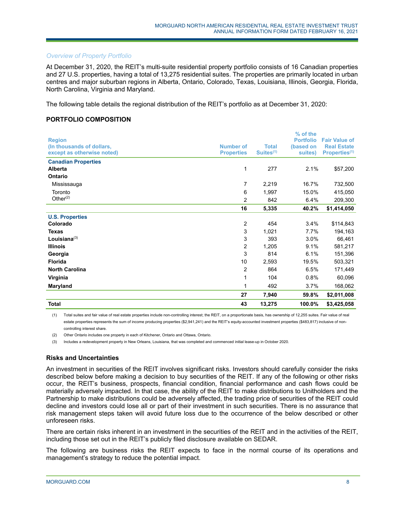#### *Overview of Property Portfolio*

At December 31, 2020, the REIT's multi-suite residential property portfolio consists of 16 Canadian properties and 27 U.S. properties, having a total of 13,275 residential suites. The properties are primarily located in urban centres and major suburban regions in Alberta, Ontario, Colorado, Texas, Louisiana, Illinois, Georgia, Florida, North Carolina, Virginia and Maryland.

The following table details the regional distribution of the REIT's portfolio as at December 31, 2020:

# **PORTFOLIO COMPOSITION**

| <b>Total</b>                          | 43                | 13,275                | 100.0%                       | \$3,425,058               |
|---------------------------------------|-------------------|-----------------------|------------------------------|---------------------------|
|                                       | 27                | 7,940                 | 59.8%                        | \$2,011,008               |
| Maryland                              | 1                 | 492                   | 3.7%                         | 168,062                   |
| Virginia                              | 1                 | 104                   | 0.8%                         | 60,096                    |
| <b>North Carolina</b>                 | 2                 | 864                   | 6.5%                         | 171,449                   |
| <b>Florida</b>                        | $10$              | 2,593                 | 19.5%                        | 503,321                   |
| Georgia                               | 3                 | 814                   | 6.1%                         | 151,396                   |
| <b>Illinois</b>                       | 2                 | 1,205                 | 9.1%                         | 581,217                   |
| Louisiana $(3)$                       | 3                 | 393                   | 3.0%                         | 66,461                    |
| <b>Texas</b>                          | 3                 | 1,021                 | 7.7%                         | 194,163                   |
| Colorado                              | $\overline{2}$    | 454                   | 3.4%                         | \$114,843                 |
| <b>U.S. Properties</b>                |                   |                       |                              |                           |
|                                       | 16                | 5,335                 | 40.2%                        | \$1,414,050               |
| Other $(2)$                           | 2                 | 842                   | 6.4%                         | 209,300                   |
| Toronto                               | 6                 | 1,997                 | 15.0%                        | 415,050                   |
| Mississauga                           | 7                 | 2,219                 | 16.7%                        | 732,500                   |
| Ontario                               |                   |                       |                              |                           |
| <b>Canadian Properties</b><br>Alberta | 1                 | 277                   | 2.1%                         | \$57,200                  |
| except as otherwise noted)            | <b>Properties</b> | Suites <sup>(1)</sup> | suites)                      | Properties <sup>(1)</sup> |
| (In thousands of dollars,             | <b>Number of</b>  | <b>Total</b>          | (based on                    | <b>Real Estate</b>        |
| <b>Region</b>                         |                   |                       | % of the<br><b>Portfolio</b> | <b>Fair Value of</b>      |
|                                       |                   |                       |                              |                           |

(1) Total suites and fair value of real estate properties include non-controlling interest; the REIT, on a proportionate basis, has ownership of 12,255 suites. Fair value of real estate properties represents the sum of income producing properties (\$2,941,241) and the REIT's equity-accounted investment properties (\$483,817) inclusive of noncontrolling interest share.

(2) Other Ontario includes one property in each of Kitchener, Ontario and Ottawa, Ontario.

(3) Includes a redevelopment property in New Orleans, Louisiana, that was completed and commenced initial lease-up in October 2020.

# **Risks and Uncertainties**

An investment in securities of the REIT involves significant risks. Investors should carefully consider the risks described below before making a decision to buy securities of the REIT. If any of the following or other risks occur, the REIT's business, prospects, financial condition, financial performance and cash flows could be materially adversely impacted. In that case, the ability of the REIT to make distributions to Unitholders and the Partnership to make distributions could be adversely affected, the trading price of securities of the REIT could decline and investors could lose all or part of their investment in such securities. There is no assurance that risk management steps taken will avoid future loss due to the occurrence of the below described or other unforeseen risks.

There are certain risks inherent in an investment in the securities of the REIT and in the activities of the REIT, including those set out in the REIT's publicly filed disclosure available on SEDAR.

The following are business risks the REIT expects to face in the normal course of its operations and management's strategy to reduce the potential impact.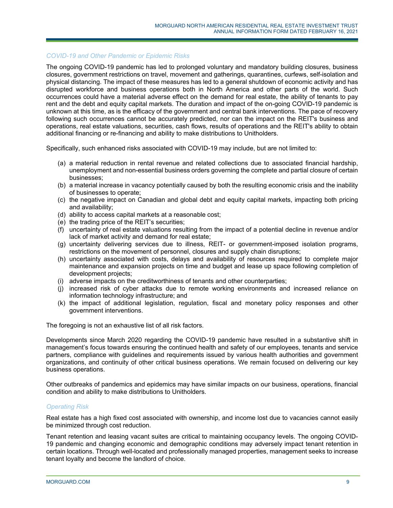#### *COVID-19 and Other Pandemic or Epidemic Risks*

The ongoing COVID-19 pandemic has led to prolonged voluntary and mandatory building closures, business closures, government restrictions on travel, movement and gatherings, quarantines, curfews, self-isolation and physical distancing. The impact of these measures has led to a general shutdown of economic activity and has disrupted workforce and business operations both in North America and other parts of the world. Such occurrences could have a material adverse effect on the demand for real estate, the ability of tenants to pay rent and the debt and equity capital markets. The duration and impact of the on-going COVID-19 pandemic is unknown at this time, as is the efficacy of the government and central bank interventions. The pace of recovery following such occurrences cannot be accurately predicted, nor can the impact on the REIT's business and operations, real estate valuations, securities, cash flows, results of operations and the REIT's ability to obtain additional financing or re-financing and ability to make distributions to Unitholders.

Specifically, such enhanced risks associated with COVID-19 may include, but are not limited to:

- (a) a material reduction in rental revenue and related collections due to associated financial hardship, unemployment and non-essential business orders governing the complete and partial closure of certain businesses;
- (b) a material increase in vacancy potentially caused by both the resulting economic crisis and the inability of businesses to operate;
- (c) the negative impact on Canadian and global debt and equity capital markets, impacting both pricing and availability;
- (d) ability to access capital markets at a reasonable cost;
- (e) the trading price of the REIT's securities;
- (f) uncertainty of real estate valuations resulting from the impact of a potential decline in revenue and/or lack of market activity and demand for real estate;
- (g) uncertainty delivering services due to illness, REIT- or government-imposed isolation programs, restrictions on the movement of personnel, closures and supply chain disruptions;
- (h) uncertainty associated with costs, delays and availability of resources required to complete major maintenance and expansion projects on time and budget and lease up space following completion of development projects;
- (i) adverse impacts on the creditworthiness of tenants and other counterparties;
- (j) increased risk of cyber attacks due to remote working environments and increased reliance on information technology infrastructure; and
- (k) the impact of additional legislation, regulation, fiscal and monetary policy responses and other government interventions.

The foregoing is not an exhaustive list of all risk factors.

Developments since March 2020 regarding the COVID-19 pandemic have resulted in a substantive shift in management's focus towards ensuring the continued health and safety of our employees, tenants and service partners, compliance with guidelines and requirements issued by various health authorities and government organizations, and continuity of other critical business operations. We remain focused on delivering our key business operations.

Other outbreaks of pandemics and epidemics may have similar impacts on our business, operations, financial condition and ability to make distributions to Unitholders.

#### *Operating Risk*

Real estate has a high fixed cost associated with ownership, and income lost due to vacancies cannot easily be minimized through cost reduction.

Tenant retention and leasing vacant suites are critical to maintaining occupancy levels. The ongoing COVID-19 pandemic and changing economic and demographic conditions may adversely impact tenant retention in certain locations. Through well-located and professionally managed properties, management seeks to increase tenant loyalty and become the landlord of choice.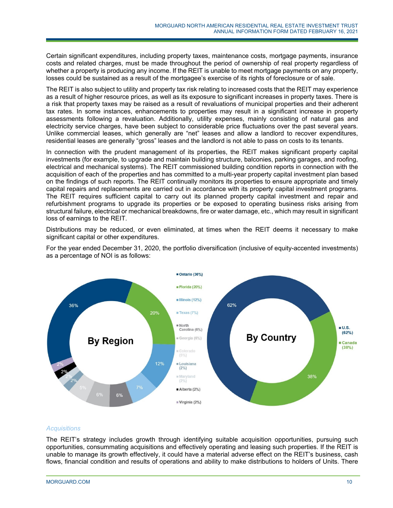Certain significant expenditures, including property taxes, maintenance costs, mortgage payments, insurance costs and related charges, must be made throughout the period of ownership of real property regardless of whether a property is producing any income. If the REIT is unable to meet mortgage payments on any property, losses could be sustained as a result of the mortgagee's exercise of its rights of foreclosure or of sale.

The REIT is also subject to utility and property tax risk relating to increased costs that the REIT may experience as a result of higher resource prices, as well as its exposure to significant increases in property taxes. There is a risk that property taxes may be raised as a result of revaluations of municipal properties and their adherent tax rates. In some instances, enhancements to properties may result in a significant increase in property assessments following a revaluation. Additionally, utility expenses, mainly consisting of natural gas and electricity service charges, have been subject to considerable price fluctuations over the past several years. Unlike commercial leases, which generally are "net" leases and allow a landlord to recover expenditures, residential leases are generally "gross" leases and the landlord is not able to pass on costs to its tenants.

In connection with the prudent management of its properties, the REIT makes significant property capital investments (for example, to upgrade and maintain building structure, balconies, parking garages, and roofing, electrical and mechanical systems). The REIT commissioned building condition reports in connection with the acquisition of each of the properties and has committed to a multi-year property capital investment plan based on the findings of such reports. The REIT continually monitors its properties to ensure appropriate and timely capital repairs and replacements are carried out in accordance with its property capital investment programs. The REIT requires sufficient capital to carry out its planned property capital investment and repair and refurbishment programs to upgrade its properties or be exposed to operating business risks arising from structural failure, electrical or mechanical breakdowns, fire or water damage, etc., which may result in significant loss of earnings to the REIT.

Distributions may be reduced, or even eliminated, at times when the REIT deems it necessary to make significant capital or other expenditures.

For the year ended December 31, 2020, the portfolio diversification (inclusive of equity-accented investments) as a percentage of NOI is as follows:



# *Acquisitions*

The REIT's strategy includes growth through identifying suitable acquisition opportunities, pursuing such opportunities, consummating acquisitions and effectively operating and leasing such properties. If the REIT is unable to manage its growth effectively, it could have a material adverse effect on the REIT's business, cash flows, financial condition and results of operations and ability to make distributions to holders of Units. There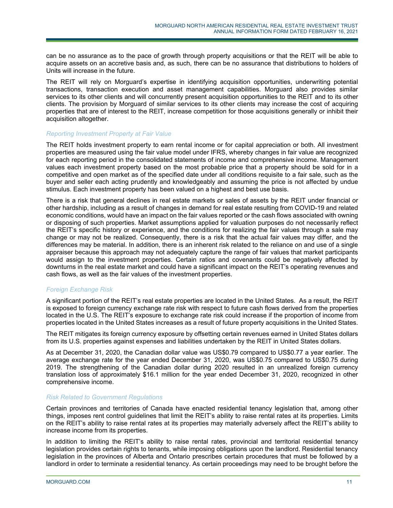can be no assurance as to the pace of growth through property acquisitions or that the REIT will be able to acquire assets on an accretive basis and, as such, there can be no assurance that distributions to holders of Units will increase in the future.

The REIT will rely on Morguard's expertise in identifying acquisition opportunities, underwriting potential transactions, transaction execution and asset management capabilities. Morguard also provides similar services to its other clients and will concurrently present acquisition opportunities to the REIT and to its other clients. The provision by Morguard of similar services to its other clients may increase the cost of acquiring properties that are of interest to the REIT, increase competition for those acquisitions generally or inhibit their acquisition altogether.

# *Reporting Investment Property at Fair Value*

The REIT holds investment property to earn rental income or for capital appreciation or both. All investment properties are measured using the fair value model under IFRS, whereby changes in fair value are recognized for each reporting period in the consolidated statements of income and comprehensive income. Management values each investment property based on the most probable price that a property should be sold for in a competitive and open market as of the specified date under all conditions requisite to a fair sale, such as the buyer and seller each acting prudently and knowledgeably and assuming the price is not affected by undue stimulus. Each investment property has been valued on a highest and best use basis.

There is a risk that general declines in real estate markets or sales of assets by the REIT under financial or other hardship, including as a result of changes in demand for real estate resulting from COVID-19 and related economic conditions, would have an impact on the fair values reported or the cash flows associated with owning or disposing of such properties. Market assumptions applied for valuation purposes do not necessarily reflect the REIT's specific history or experience, and the conditions for realizing the fair values through a sale may change or may not be realized. Consequently, there is a risk that the actual fair values may differ, and the differences may be material. In addition, there is an inherent risk related to the reliance on and use of a single appraiser because this approach may not adequately capture the range of fair values that market participants would assign to the investment properties. Certain ratios and covenants could be negatively affected by downturns in the real estate market and could have a significant impact on the REIT's operating revenues and cash flows, as well as the fair values of the investment properties.

# *Foreign Exchange Risk*

A significant portion of the REIT's real estate properties are located in the United States. As a result, the REIT is exposed to foreign currency exchange rate risk with respect to future cash flows derived from the properties located in the U.S. The REIT's exposure to exchange rate risk could increase if the proportion of income from properties located in the United States increases as a result of future property acquisitions in the United States.

The REIT mitigates its foreign currency exposure by offsetting certain revenues earned in United States dollars from its U.S. properties against expenses and liabilities undertaken by the REIT in United States dollars.

As at December 31, 2020, the Canadian dollar value was US\$0.79 compared to US\$0.77 a year earlier. The average exchange rate for the year ended December 31, 2020, was US\$0.75 compared to US\$0.75 during 2019. The strengthening of the Canadian dollar during 2020 resulted in an unrealized foreign currency translation loss of approximately \$16.1 million for the year ended December 31, 2020, recognized in other comprehensive income.

# *Risk Related to Government Regulations*

Certain provinces and territories of Canada have enacted residential tenancy legislation that, among other things, imposes rent control guidelines that limit the REIT's ability to raise rental rates at its properties. Limits on the REIT's ability to raise rental rates at its properties may materially adversely affect the REIT's ability to increase income from its properties.

In addition to limiting the REIT's ability to raise rental rates, provincial and territorial residential tenancy legislation provides certain rights to tenants, while imposing obligations upon the landlord. Residential tenancy legislation in the provinces of Alberta and Ontario prescribes certain procedures that must be followed by a landlord in order to terminate a residential tenancy. As certain proceedings may need to be brought before the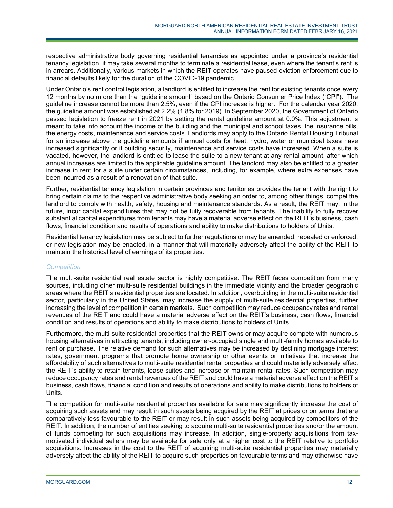respective administrative body governing residential tenancies as appointed under a province's residential tenancy legislation, it may take several months to terminate a residential lease, even where the tenant's rent is in arrears. Additionally, various markets in which the REIT operates have paused eviction enforcement due to financial defaults likely for the duration of the COVID-19 pandemic.

Under Ontario's rent control legislation, a landlord is entitled to increase the rent for existing tenants once every 12 months by no m ore than the "guideline amount" based on the Ontario Consumer Price Index ("CPI"). The guideline increase cannot be more than 2.5%, even if the CPI increase is higher. For the calendar year 2020, the guideline amount was established at 2.2% (1.8% for 2019). In September 2020, the Government of Ontario passed legislation to freeze rent in 2021 by setting the rental guideline amount at 0.0%. This adjustment is meant to take into account the income of the building and the municipal and school taxes, the insurance bills, the energy costs, maintenance and service costs. Landlords may apply to the Ontario Rental Housing Tribunal for an increase above the guideline amounts if annual costs for heat, hydro, water or municipal taxes have increased significantly or if building security, maintenance and service costs have increased. When a suite is vacated, however, the landlord is entitled to lease the suite to a new tenant at any rental amount, after which annual increases are limited to the applicable guideline amount. The landlord may also be entitled to a greater increase in rent for a suite under certain circumstances, including, for example, where extra expenses have been incurred as a result of a renovation of that suite.

Further, residential tenancy legislation in certain provinces and territories provides the tenant with the right to bring certain claims to the respective administrative body seeking an order to, among other things, compel the landlord to comply with health, safety, housing and maintenance standards. As a result, the REIT may, in the future, incur capital expenditures that may not be fully recoverable from tenants. The inability to fully recover substantial capital expenditures from tenants may have a material adverse effect on the REIT's business, cash flows, financial condition and results of operations and ability to make distributions to holders of Units.

Residential tenancy legislation may be subject to further regulations or may be amended, repealed or enforced, or new legislation may be enacted, in a manner that will materially adversely affect the ability of the REIT to maintain the historical level of earnings of its properties.

# *Competition*

The multi-suite residential real estate sector is highly competitive. The REIT faces competition from many sources, including other multi-suite residential buildings in the immediate vicinity and the broader geographic areas where the REIT's residential properties are located. In addition, overbuilding in the multi-suite residential sector, particularly in the United States, may increase the supply of multi-suite residential properties, further increasing the level of competition in certain markets. Such competition may reduce occupancy rates and rental revenues of the REIT and could have a material adverse effect on the REIT's business, cash flows, financial condition and results of operations and ability to make distributions to holders of Units.

Furthermore, the multi-suite residential properties that the REIT owns or may acquire compete with numerous housing alternatives in attracting tenants, including owner-occupied single and multi-family homes available to rent or purchase. The relative demand for such alternatives may be increased by declining mortgage interest rates, government programs that promote home ownership or other events or initiatives that increase the affordability of such alternatives to multi-suite residential rental properties and could materially adversely affect the REIT's ability to retain tenants, lease suites and increase or maintain rental rates. Such competition may reduce occupancy rates and rental revenues of the REIT and could have a material adverse effect on the REIT's business, cash flows, financial condition and results of operations and ability to make distributions to holders of Units.

The competition for multi-suite residential properties available for sale may significantly increase the cost of acquiring such assets and may result in such assets being acquired by the REIT at prices or on terms that are comparatively less favourable to the REIT or may result in such assets being acquired by competitors of the REIT. In addition, the number of entities seeking to acquire multi-suite residential properties and/or the amount of funds competing for such acquisitions may increase. In addition, single-property acquisitions from taxmotivated individual sellers may be available for sale only at a higher cost to the REIT relative to portfolio acquisitions. Increases in the cost to the REIT of acquiring multi-suite residential properties may materially adversely affect the ability of the REIT to acquire such properties on favourable terms and may otherwise have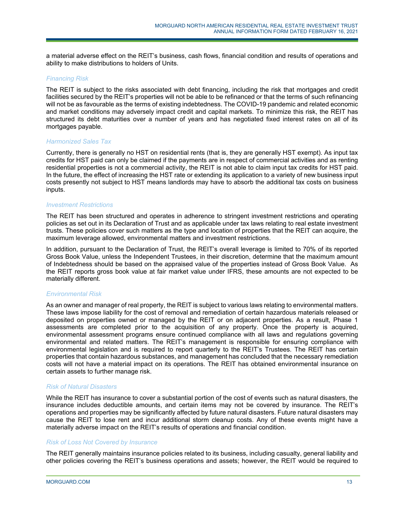a material adverse effect on the REIT's business, cash flows, financial condition and results of operations and ability to make distributions to holders of Units.

#### *Financing Risk*

The REIT is subject to the risks associated with debt financing, including the risk that mortgages and credit facilities secured by the REIT's properties will not be able to be refinanced or that the terms of such refinancing will not be as favourable as the terms of existing indebtedness. The COVID-19 pandemic and related economic and market conditions may adversely impact credit and capital markets. To minimize this risk, the REIT has structured its debt maturities over a number of years and has negotiated fixed interest rates on all of its mortgages payable.

#### *Harmonized Sales Tax*

Currently, there is generally no HST on residential rents (that is, they are generally HST exempt). As input tax credits for HST paid can only be claimed if the payments are in respect of commercial activities and as renting residential properties is not a commercial activity, the REIT is not able to claim input tax credits for HST paid. In the future, the effect of increasing the HST rate or extending its application to a variety of new business input costs presently not subject to HST means landlords may have to absorb the additional tax costs on business inputs.

#### *Investment Restrictions*

The REIT has been structured and operates in adherence to stringent investment restrictions and operating policies as set out in its Declaration of Trust and as applicable under tax laws relating to real estate investment trusts. These policies cover such matters as the type and location of properties that the REIT can acquire, the maximum leverage allowed, environmental matters and investment restrictions.

In addition, pursuant to the Declaration of Trust, the REIT's overall leverage is limited to 70% of its reported Gross Book Value, unless the Independent Trustees, in their discretion, determine that the maximum amount of Indebtedness should be based on the appraised value of the properties instead of Gross Book Value. As the REIT reports gross book value at fair market value under IFRS, these amounts are not expected to be materially different.

# *Environmental Risk*

As an owner and manager of real property, the REIT is subject to various laws relating to environmental matters. These laws impose liability for the cost of removal and remediation of certain hazardous materials released or deposited on properties owned or managed by the REIT or on adjacent properties. As a result, Phase 1 assessments are completed prior to the acquisition of any property. Once the property is acquired, environmental assessment programs ensure continued compliance with all laws and regulations governing environmental and related matters. The REIT's management is responsible for ensuring compliance with environmental legislation and is required to report quarterly to the REIT's Trustees. The REIT has certain properties that contain hazardous substances, and management has concluded that the necessary remediation costs will not have a material impact on its operations. The REIT has obtained environmental insurance on certain assets to further manage risk.

#### *Risk of Natural Disasters*

While the REIT has insurance to cover a substantial portion of the cost of events such as natural disasters, the insurance includes deductible amounts, and certain items may not be covered by insurance. The REIT's operations and properties may be significantly affected by future natural disasters. Future natural disasters may cause the REIT to lose rent and incur additional storm cleanup costs. Any of these events might have a materially adverse impact on the REIT's results of operations and financial condition.

#### *Risk of Loss Not Covered by Insurance*

The REIT generally maintains insurance policies related to its business, including casualty, general liability and other policies covering the REIT's business operations and assets; however, the REIT would be required to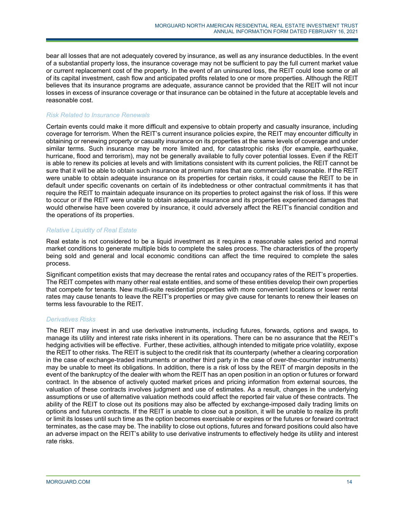bear all losses that are not adequately covered by insurance, as well as any insurance deductibles. In the event of a substantial property loss, the insurance coverage may not be sufficient to pay the full current market value or current replacement cost of the property. In the event of an uninsured loss, the REIT could lose some or all of its capital investment, cash flow and anticipated profits related to one or more properties. Although the REIT believes that its insurance programs are adequate, assurance cannot be provided that the REIT will not incur losses in excess of insurance coverage or that insurance can be obtained in the future at acceptable levels and reasonable cost.

# *Risk Related to Insurance Renewals*

Certain events could make it more difficult and expensive to obtain property and casualty insurance, including coverage for terrorism. When the REIT's current insurance policies expire, the REIT may encounter difficulty in obtaining or renewing property or casualty insurance on its properties at the same levels of coverage and under similar terms. Such insurance may be more limited and, for catastrophic risks (for example, earthquake, hurricane, flood and terrorism), may not be generally available to fully cover potential losses. Even if the REIT is able to renew its policies at levels and with limitations consistent with its current policies, the REIT cannot be sure that it will be able to obtain such insurance at premium rates that are commercially reasonable. If the REIT were unable to obtain adequate insurance on its properties for certain risks, it could cause the REIT to be in default under specific covenants on certain of its indebtedness or other contractual commitments it has that require the REIT to maintain adequate insurance on its properties to protect against the risk of loss. If this were to occur or if the REIT were unable to obtain adequate insurance and its properties experienced damages that would otherwise have been covered by insurance, it could adversely affect the REIT's financial condition and the operations of its properties.

# *Relative Liquidity of Real Estate*

Real estate is not considered to be a liquid investment as it requires a reasonable sales period and normal market conditions to generate multiple bids to complete the sales process. The characteristics of the property being sold and general and local economic conditions can affect the time required to complete the sales process.

Significant competition exists that may decrease the rental rates and occupancy rates of the REIT's properties. The REIT competes with many other real estate entities, and some of these entities develop their own properties that compete for tenants. New multi-suite residential properties with more convenient locations or lower rental rates may cause tenants to leave the REIT's properties or may give cause for tenants to renew their leases on terms less favourable to the REIT.

# *Derivatives Risks*

The REIT may invest in and use derivative instruments, including futures, forwards, options and swaps, to manage its utility and interest rate risks inherent in its operations. There can be no assurance that the REIT's hedging activities will be effective. Further, these activities, although intended to mitigate price volatility, expose the REIT to other risks. The REIT is subject to the credit risk that its counterparty (whether a clearing corporation in the case of exchange-traded instruments or another third party in the case of over-the-counter instruments) may be unable to meet its obligations. In addition, there is a risk of loss by the REIT of margin deposits in the event of the bankruptcy of the dealer with whom the REIT has an open position in an option or futures or forward contract. In the absence of actively quoted market prices and pricing information from external sources, the valuation of these contracts involves judgment and use of estimates. As a result, changes in the underlying assumptions or use of alternative valuation methods could affect the reported fair value of these contracts. The ability of the REIT to close out its positions may also be affected by exchange-imposed daily trading limits on options and futures contracts. If the REIT is unable to close out a position, it will be unable to realize its profit or limit its losses until such time as the option becomes exercisable or expires or the futures or forward contract terminates, as the case may be. The inability to close out options, futures and forward positions could also have an adverse impact on the REIT's ability to use derivative instruments to effectively hedge its utility and interest rate risks.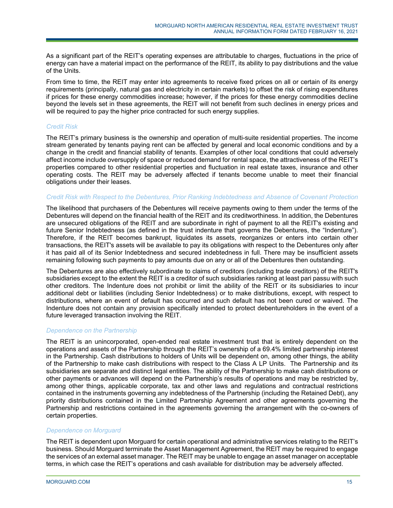As a significant part of the REIT's operating expenses are attributable to charges, fluctuations in the price of energy can have a material impact on the performance of the REIT, its ability to pay distributions and the value of the Units.

From time to time, the REIT may enter into agreements to receive fixed prices on all or certain of its energy requirements (principally, natural gas and electricity in certain markets) to offset the risk of rising expenditures if prices for these energy commodities increase; however, if the prices for these energy commodities decline beyond the levels set in these agreements, the REIT will not benefit from such declines in energy prices and will be required to pay the higher price contracted for such energy supplies.

# *Credit Risk*

The REIT's primary business is the ownership and operation of multi-suite residential properties. The income stream generated by tenants paying rent can be affected by general and local economic conditions and by a change in the credit and financial stability of tenants. Examples of other local conditions that could adversely affect income include oversupply of space or reduced demand for rental space, the attractiveness of the REIT's properties compared to other residential properties and fluctuation in real estate taxes, insurance and other operating costs. The REIT may be adversely affected if tenants become unable to meet their financial obligations under their leases.

# *Credit Risk with Respect to the Debentures, Prior Ranking Indebtedness and Absence of Covenant Protection*

The likelihood that purchasers of the Debentures will receive payments owing to them under the terms of the Debentures will depend on the financial health of the REIT and its creditworthiness. In addition, the Debentures are unsecured obligations of the REIT and are subordinate in right of payment to all the REIT's existing and future Senior Indebtedness (as defined in the trust indenture that governs the Debentures, the "Indenture"). Therefore, if the REIT becomes bankrupt, liquidates its assets, reorganizes or enters into certain other transactions, the REIT's assets will be available to pay its obligations with respect to the Debentures only after it has paid all of its Senior Indebtedness and secured indebtedness in full. There may be insufficient assets remaining following such payments to pay amounts due on any or all of the Debentures then outstanding.

The Debentures are also effectively subordinate to claims of creditors (including trade creditors) of the REIT's subsidiaries except to the extent the REIT is a creditor of such subsidiaries ranking at least pari passu with such other creditors. The Indenture does not prohibit or limit the ability of the REIT or its subsidiaries to incur additional debt or liabilities (including Senior Indebtedness) or to make distributions, except, with respect to distributions, where an event of default has occurred and such default has not been cured or waived. The Indenture does not contain any provision specifically intended to protect debentureholders in the event of a future leveraged transaction involving the REIT.

# *Dependence on the Partnership*

The REIT is an unincorporated, open-ended real estate investment trust that is entirely dependent on the operations and assets of the Partnership through the REIT's ownership of a 69.4% limited partnership interest in the Partnership. Cash distributions to holders of Units will be dependent on, among other things, the ability of the Partnership to make cash distributions with respect to the Class A LP Units. The Partnership and its subsidiaries are separate and distinct legal entities. The ability of the Partnership to make cash distributions or other payments or advances will depend on the Partnership's results of operations and may be restricted by, among other things, applicable corporate, tax and other laws and regulations and contractual restrictions contained in the instruments governing any indebtedness of the Partnership (including the Retained Debt), any priority distributions contained in the Limited Partnership Agreement and other agreements governing the Partnership and restrictions contained in the agreements governing the arrangement with the co-owners of certain properties.

# *Dependence on Morguard*

The REIT is dependent upon Morguard for certain operational and administrative services relating to the REIT's business. Should Morguard terminate the Asset Management Agreement, the REIT may be required to engage the services of an external asset manager. The REIT may be unable to engage an asset manager on acceptable terms, in which case the REIT's operations and cash available for distribution may be adversely affected.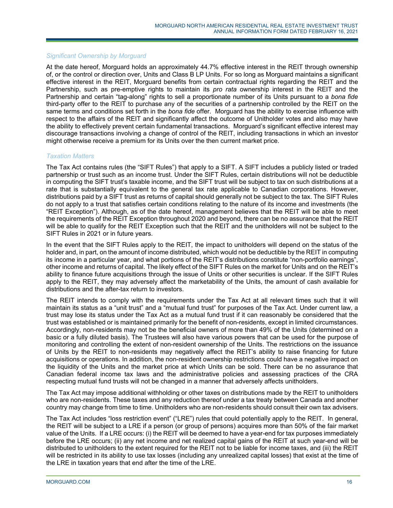# *Significant Ownership by Morguard*

At the date hereof, Morguard holds an approximately 44.7% effective interest in the REIT through ownership of, or the control or direction over, Units and Class B LP Units. For so long as Morguard maintains a significant effective interest in the REIT, Morguard benefits from certain contractual rights regarding the REIT and the Partnership, such as pre-emptive rights to maintain its *pro rata* ownership interest in the REIT and the Partnership and certain "tag-along" rights to sell a proportionate number of its Units pursuant to a *bona fide* third-party offer to the REIT to purchase any of the securities of a partnership controlled by the REIT on the same terms and conditions set forth in the *bona fide* offer. Morguard has the ability to exercise influence with respect to the affairs of the REIT and significantly affect the outcome of Unitholder votes and also may have the ability to effectively prevent certain fundamental transactions. Morguard's significant effective interest may discourage transactions involving a change of control of the REIT, including transactions in which an investor might otherwise receive a premium for its Units over the then current market price.

#### *Taxation Matters*

The Tax Act contains rules (the "SIFT Rules") that apply to a SIFT. A SIFT includes a publicly listed or traded partnership or trust such as an income trust. Under the SIFT Rules, certain distributions will not be deductible in computing the SIFT trust's taxable income, and the SIFT trust will be subject to tax on such distributions at a rate that is substantially equivalent to the general tax rate applicable to Canadian corporations. However, distributions paid by a SIFT trust as returns of capital should generally not be subject to the tax. The SIFT Rules do not apply to a trust that satisfies certain conditions relating to the nature of its income and investments (the "REIT Exception"). Although, as of the date hereof, management believes that the REIT will be able to meet the requirements of the REIT Exception throughout 2020 and beyond, there can be no assurance that the REIT will be able to qualify for the REIT Exception such that the REIT and the unitholders will not be subject to the SIFT Rules in 2021 or in future years.

In the event that the SIFT Rules apply to the REIT, the impact to unitholders will depend on the status of the holder and, in part, on the amount of income distributed, which would not be deductible by the REIT in computing its income in a particular year, and what portions of the REIT's distributions constitute "non-portfolio earnings", other income and returns of capital. The likely effect of the SIFT Rules on the market for Units and on the REIT's ability to finance future acquisitions through the issue of Units or other securities is unclear. If the SIFT Rules apply to the REIT, they may adversely affect the marketability of the Units, the amount of cash available for distributions and the after-tax return to investors.

The REIT intends to comply with the requirements under the Tax Act at all relevant times such that it will maintain its status as a "unit trust" and a "mutual fund trust" for purposes of the Tax Act. Under current law, a trust may lose its status under the Tax Act as a mutual fund trust if it can reasonably be considered that the trust was established or is maintained primarily for the benefit of non-residents, except in limited circumstances. Accordingly, non-residents may not be the beneficial owners of more than 49% of the Units (determined on a basic or a fully diluted basis). The Trustees will also have various powers that can be used for the purpose of monitoring and controlling the extent of non-resident ownership of the Units. The restrictions on the issuance of Units by the REIT to non-residents may negatively affect the REIT's ability to raise financing for future acquisitions or operations. In addition, the non-resident ownership restrictions could have a negative impact on the liquidity of the Units and the market price at which Units can be sold. There can be no assurance that Canadian federal income tax laws and the administrative policies and assessing practices of the CRA respecting mutual fund trusts will not be changed in a manner that adversely affects unitholders.

The Tax Act may impose additional withholding or other taxes on distributions made by the REIT to unitholders who are non-residents. These taxes and any reduction thereof under a tax treaty between Canada and another country may change from time to time. Unitholders who are non-residents should consult their own tax advisers.

The Tax Act includes "loss restriction event" ("LRE") rules that could potentially apply to the REIT. In general, the REIT will be subject to a LRE if a person (or group of persons) acquires more than 50% of the fair market value of the Units. If a LRE occurs: (i) the REIT will be deemed to have a year-end for tax purposes immediately before the LRE occurs; (ii) any net income and net realized capital gains of the REIT at such year-end will be distributed to unitholders to the extent required for the REIT not to be liable for income taxes, and (iii) the REIT will be restricted in its ability to use tax losses (including any unrealized capital losses) that exist at the time of the LRE in taxation years that end after the time of the LRE.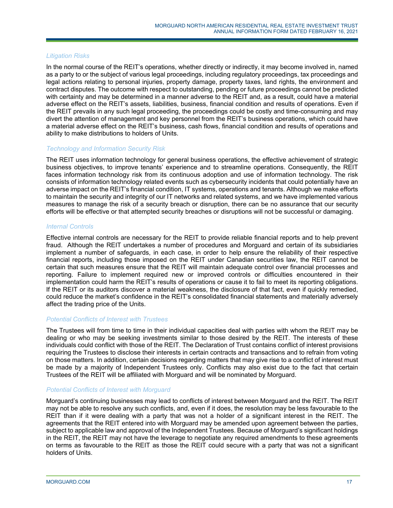# *Litigation Risks*

In the normal course of the REIT's operations, whether directly or indirectly, it may become involved in, named as a party to or the subject of various legal proceedings, including regulatory proceedings, tax proceedings and legal actions relating to personal injuries, property damage, property taxes, land rights, the environment and contract disputes. The outcome with respect to outstanding, pending or future proceedings cannot be predicted with certainty and may be determined in a manner adverse to the REIT and, as a result, could have a material adverse effect on the REIT's assets, liabilities, business, financial condition and results of operations. Even if the REIT prevails in any such legal proceeding, the proceedings could be costly and time-consuming and may divert the attention of management and key personnel from the REIT's business operations, which could have a material adverse effect on the REIT's business, cash flows, financial condition and results of operations and ability to make distributions to holders of Units.

# *Technology and Information Security Risk*

The REIT uses information technology for general business operations, the effective achievement of strategic business objectives, to improve tenants' experience and to streamline operations. Consequently, the REIT faces information technology risk from its continuous adoption and use of information technology. The risk consists of information technology related events such as cybersecurity incidents that could potentially have an adverse impact on the REIT's financial condition, IT systems, operations and tenants. Although we make efforts to maintain the security and integrity of our IT networks and related systems, and we have implemented various measures to manage the risk of a security breach or disruption, there can be no assurance that our security efforts will be effective or that attempted security breaches or disruptions will not be successful or damaging.

#### *Internal Controls*

Effective internal controls are necessary for the REIT to provide reliable financial reports and to help prevent fraud. Although the REIT undertakes a number of procedures and Morguard and certain of its subsidiaries implement a number of safeguards, in each case, in order to help ensure the reliability of their respective financial reports, including those imposed on the REIT under Canadian securities law, the REIT cannot be certain that such measures ensure that the REIT will maintain adequate control over financial processes and reporting. Failure to implement required new or improved controls or difficulties encountered in their implementation could harm the REIT's results of operations or cause it to fail to meet its reporting obligations. If the REIT or its auditors discover a material weakness, the disclosure of that fact, even if quickly remedied, could reduce the market's confidence in the REIT's consolidated financial statements and materially adversely affect the trading price of the Units.

#### *Potential Conflicts of Interest with Trustees*

The Trustees will from time to time in their individual capacities deal with parties with whom the REIT may be dealing or who may be seeking investments similar to those desired by the REIT. The interests of these individuals could conflict with those of the REIT. The Declaration of Trust contains conflict of interest provisions requiring the Trustees to disclose their interests in certain contracts and transactions and to refrain from voting on those matters. In addition, certain decisions regarding matters that may give rise to a conflict of interest must be made by a majority of Independent Trustees only. Conflicts may also exist due to the fact that certain Trustees of the REIT will be affiliated with Morguard and will be nominated by Morguard.

# *Potential Conflicts of Interest with Morguard*

Morguard's continuing businesses may lead to conflicts of interest between Morguard and the REIT. The REIT may not be able to resolve any such conflicts, and, even if it does, the resolution may be less favourable to the REIT than if it were dealing with a party that was not a holder of a significant interest in the REIT. The agreements that the REIT entered into with Morguard may be amended upon agreement between the parties, subject to applicable law and approval of the Independent Trustees. Because of Morguard's significant holdings in the REIT, the REIT may not have the leverage to negotiate any required amendments to these agreements on terms as favourable to the REIT as those the REIT could secure with a party that was not a significant holders of Units.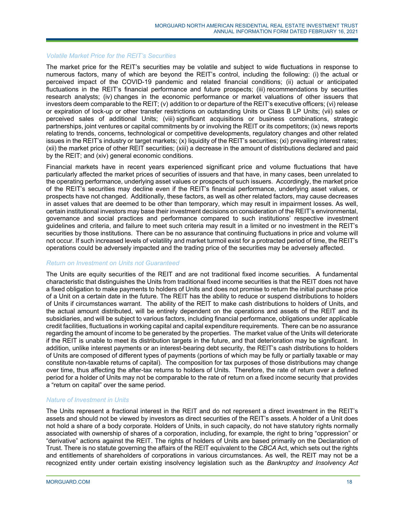#### *Volatile Market Price for the REIT's Securities*

The market price for the REIT's securities may be volatile and subject to wide fluctuations in response to numerous factors, many of which are beyond the REIT's control, including the following: (i) the actual or perceived impact of the COVID-19 pandemic and related financial conditions; (ii) actual or anticipated fluctuations in the REIT's financial performance and future prospects; (iii) recommendations by securities research analysts; (iv) changes in the economic performance or market valuations of other issuers that investors deem comparable to the REIT; (v) addition to or departure of the REIT's executive officers; (vi) release or expiration of lock-up or other transfer restrictions on outstanding Units or Class B LP Units; (vii) sales or perceived sales of additional Units; (viii) significant acquisitions or business combinations, strategic partnerships, joint ventures or capital commitments by or involving the REIT or its competitors; (ix) news reports relating to trends, concerns, technological or competitive developments, regulatory changes and other related issues in the REIT's industry or target markets; (x) liquidity of the REIT's securities; (xi) prevailing interest rates; (xii) the market price of other REIT securities; (xiii) a decrease in the amount of distributions declared and paid by the REIT; and (xiv) general economic conditions.

Financial markets have in recent years experienced significant price and volume fluctuations that have particularly affected the market prices of securities of issuers and that have, in many cases, been unrelated to the operating performance, underlying asset values or prospects of such issuers. Accordingly, the market price of the REIT's securities may decline even if the REIT's financial performance, underlying asset values, or prospects have not changed. Additionally, these factors, as well as other related factors, may cause decreases in asset values that are deemed to be other than temporary, which may result in impairment losses. As well, certain institutional investors may base their investment decisions on consideration of the REIT's environmental, governance and social practices and performance compared to such institutions' respective investment guidelines and criteria, and failure to meet such criteria may result in a limited or no investment in the REIT's securities by those institutions. There can be no assurance that continuing fluctuations in price and volume will not occur. If such increased levels of volatility and market turmoil exist for a protracted period of time, the REIT's operations could be adversely impacted and the trading price of the securities may be adversely affected.

# *Return on Investment on Units not Guaranteed*

The Units are equity securities of the REIT and are not traditional fixed income securities. A fundamental characteristic that distinguishes the Units from traditional fixed income securities is that the REIT does not have a fixed obligation to make payments to holders of Units and does not promise to return the initial purchase price of a Unit on a certain date in the future. The REIT has the ability to reduce or suspend distributions to holders of Units if circumstances warrant. The ability of the REIT to make cash distributions to holders of Units, and the actual amount distributed, will be entirely dependent on the operations and assets of the REIT and its subsidiaries, and will be subject to various factors, including financial performance, obligations under applicable credit facilities, fluctuations in working capital and capital expenditure requirements. There can be no assurance regarding the amount of income to be generated by the properties. The market value of the Units will deteriorate if the REIT is unable to meet its distribution targets in the future, and that deterioration may be significant. In addition, unlike interest payments or an interest-bearing debt security, the REIT's cash distributions to holders of Units are composed of different types of payments (portions of which may be fully or partially taxable or may constitute non-taxable returns of capital). The composition for tax purposes of those distributions may change over time, thus affecting the after-tax returns to holders of Units. Therefore, the rate of return over a defined period for a holder of Units may not be comparable to the rate of return on a fixed income security that provides a "return on capital" over the same period.

# *Nature of Investment in Units*

The Units represent a fractional interest in the REIT and do not represent a direct investment in the REIT's assets and should not be viewed by investors as direct securities of the REIT's assets. A holder of a Unit does not hold a share of a body corporate. Holders of Units, in such capacity, do not have statutory rights normally associated with ownership of shares of a corporation, including, for example, the right to bring "oppression" or "derivative" actions against the REIT. The rights of holders of Units are based primarily on the Declaration of Trust. There is no statute governing the affairs of the REIT equivalent to the *CBCA* Act, which sets out the rights and entitlements of shareholders of corporations in various circumstances. As well, the REIT may not be a recognized entity under certain existing insolvency legislation such as the *Bankruptcy and Insolvency Act*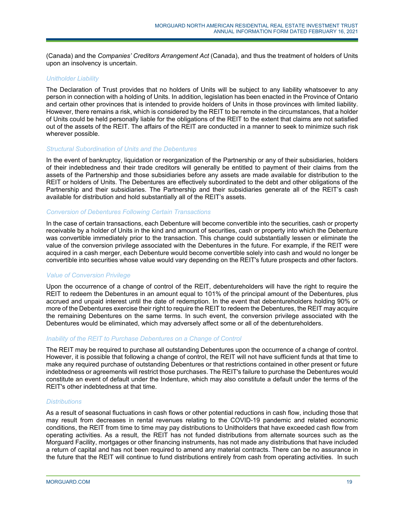(Canada) and the *Companies' Creditors Arrangement Act* (Canada), and thus the treatment of holders of Units upon an insolvency is uncertain.

#### *Unitholder Liability*

The Declaration of Trust provides that no holders of Units will be subject to any liability whatsoever to any person in connection with a holding of Units. In addition, legislation has been enacted in the Province of Ontario and certain other provinces that is intended to provide holders of Units in those provinces with limited liability. However, there remains a risk, which is considered by the REIT to be remote in the circumstances, that a holder of Units could be held personally liable for the obligations of the REIT to the extent that claims are not satisfied out of the assets of the REIT. The affairs of the REIT are conducted in a manner to seek to minimize such risk wherever possible.

#### *Structural Subordination of Units and the Debentures*

In the event of bankruptcy, liquidation or reorganization of the Partnership or any of their subsidiaries, holders of their indebtedness and their trade creditors will generally be entitled to payment of their claims from the assets of the Partnership and those subsidiaries before any assets are made available for distribution to the REIT or holders of Units. The Debentures are effectively subordinated to the debt and other obligations of the Partnership and their subsidiaries. The Partnership and their subsidiaries generate all of the REIT's cash available for distribution and hold substantially all of the REIT's assets.

#### *Conversion of Debentures Following Certain Transactions*

In the case of certain transactions, each Debenture will become convertible into the securities, cash or property receivable by a holder of Units in the kind and amount of securities, cash or property into which the Debenture was convertible immediately prior to the transaction. This change could substantially lessen or eliminate the value of the conversion privilege associated with the Debentures in the future. For example, if the REIT were acquired in a cash merger, each Debenture would become convertible solely into cash and would no longer be convertible into securities whose value would vary depending on the REIT's future prospects and other factors.

# *Value of Conversion Privilege*

Upon the occurrence of a change of control of the REIT, debentureholders will have the right to require the REIT to redeem the Debentures in an amount equal to 101% of the principal amount of the Debentures, plus accrued and unpaid interest until the date of redemption. In the event that debentureholders holding 90% or more of the Debentures exercise their right to require the REIT to redeem the Debentures, the REIT may acquire the remaining Debentures on the same terms. In such event, the conversion privilege associated with the Debentures would be eliminated, which may adversely affect some or all of the debentureholders.

# *Inability of the REIT to Purchase Debentures on a Change of Control*

The REIT may be required to purchase all outstanding Debentures upon the occurrence of a change of control. However, it is possible that following a change of control, the REIT will not have sufficient funds at that time to make any required purchase of outstanding Debentures or that restrictions contained in other present or future indebtedness or agreements will restrict those purchases. The REIT's failure to purchase the Debentures would constitute an event of default under the Indenture, which may also constitute a default under the terms of the REIT's other indebtedness at that time.

#### *Distributions*

As a result of seasonal fluctuations in cash flows or other potential reductions in cash flow, including those that may result from decreases in rental revenues relating to the COVID-19 pandemic and related economic conditions, the REIT from time to time may pay distributions to Unitholders that have exceeded cash flow from operating activities. As a result, the REIT has not funded distributions from alternate sources such as the Morguard Facility, mortgages or other financing instruments, has not made any distributions that have included a return of capital and has not been required to amend any material contracts. There can be no assurance in the future that the REIT will continue to fund distributions entirely from cash from operating activities. In such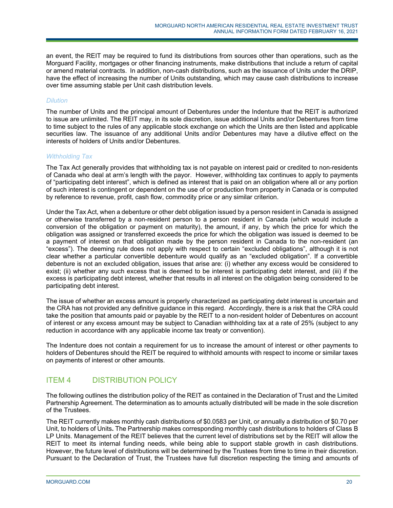an event, the REIT may be required to fund its distributions from sources other than operations, such as the Morguard Facility, mortgages or other financing instruments, make distributions that include a return of capital or amend material contracts. In addition, non-cash distributions, such as the issuance of Units under the DRIP, have the effect of increasing the number of Units outstanding, which may cause cash distributions to increase over time assuming stable per Unit cash distribution levels.

# *Dilution*

The number of Units and the principal amount of Debentures under the Indenture that the REIT is authorized to issue are unlimited. The REIT may, in its sole discretion, issue additional Units and/or Debentures from time to time subject to the rules of any applicable stock exchange on which the Units are then listed and applicable securities law. The issuance of any additional Units and/or Debentures may have a dilutive effect on the interests of holders of Units and/or Debentures.

# *Withholding Tax*

The Tax Act generally provides that withholding tax is not payable on interest paid or credited to non-residents of Canada who deal at arm's length with the payor. However, withholding tax continues to apply to payments of "participating debt interest", which is defined as interest that is paid on an obligation where all or any portion of such interest is contingent or dependent on the use of or production from property in Canada or is computed by reference to revenue, profit, cash flow, commodity price or any similar criterion.

Under the Tax Act, when a debenture or other debt obligation issued by a person resident in Canada is assigned or otherwise transferred by a non-resident person to a person resident in Canada (which would include a conversion of the obligation or payment on maturity), the amount, if any, by which the price for which the obligation was assigned or transferred exceeds the price for which the obligation was issued is deemed to be a payment of interest on that obligation made by the person resident in Canada to the non-resident (an "excess"). The deeming rule does not apply with respect to certain "excluded obligations", although it is not clear whether a particular convertible debenture would qualify as an "excluded obligation". If a convertible debenture is not an excluded obligation, issues that arise are: (i) whether any excess would be considered to exist; (ii) whether any such excess that is deemed to be interest is participating debt interest, and (iii) if the excess is participating debt interest, whether that results in all interest on the obligation being considered to be participating debt interest.

The issue of whether an excess amount is properly characterized as participating debt interest is uncertain and the CRA has not provided any definitive guidance in this regard. Accordingly, there is a risk that the CRA could take the position that amounts paid or payable by the REIT to a non-resident holder of Debentures on account of interest or any excess amount may be subject to Canadian withholding tax at a rate of 25% (subject to any reduction in accordance with any applicable income tax treaty or convention).

The Indenture does not contain a requirement for us to increase the amount of interest or other payments to holders of Debentures should the REIT be required to withhold amounts with respect to income or similar taxes on payments of interest or other amounts.

# ITEM 4 DISTRIBUTION POLICY

The following outlines the distribution policy of the REIT as contained in the Declaration of Trust and the Limited Partnership Agreement. The determination as to amounts actually distributed will be made in the sole discretion of the Trustees.

The REIT currently makes monthly cash distributions of \$0.0583 per Unit, or annually a distribution of \$0.70 per Unit, to holders of Units**.** The Partnership makes corresponding monthly cash distributions to holders of Class B LP Units. Management of the REIT believes that the current level of distributions set by the REIT will allow the REIT to meet its internal funding needs, while being able to support stable growth in cash distributions. However, the future level of distributions will be determined by the Trustees from time to time in their discretion. Pursuant to the Declaration of Trust, the Trustees have full discretion respecting the timing and amounts of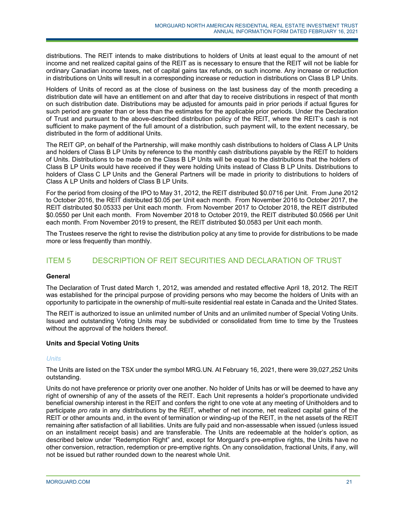distributions. The REIT intends to make distributions to holders of Units at least equal to the amount of net income and net realized capital gains of the REIT as is necessary to ensure that the REIT will not be liable for ordinary Canadian income taxes, net of capital gains tax refunds, on such income. Any increase or reduction in distributions on Units will result in a corresponding increase or reduction in distributions on Class B LP Units.

Holders of Units of record as at the close of business on the last business day of the month preceding a distribution date will have an entitlement on and after that day to receive distributions in respect of that month on such distribution date. Distributions may be adjusted for amounts paid in prior periods if actual figures for such period are greater than or less than the estimates for the applicable prior periods. Under the Declaration of Trust and pursuant to the above-described distribution policy of the REIT, where the REIT's cash is not sufficient to make payment of the full amount of a distribution, such payment will, to the extent necessary, be distributed in the form of additional Units.

The REIT GP, on behalf of the Partnership, will make monthly cash distributions to holders of Class A LP Units and holders of Class B LP Units by reference to the monthly cash distributions payable by the REIT to holders of Units. Distributions to be made on the Class B LP Units will be equal to the distributions that the holders of Class B LP Units would have received if they were holding Units instead of Class B LP Units. Distributions to holders of Class C LP Units and the General Partners will be made in priority to distributions to holders of Class A LP Units and holders of Class B LP Units.

For the period from closing of the IPO to May 31, 2012, the REIT distributed \$0.0716 per Unit. From June 2012 to October 2016, the REIT distributed \$0.05 per Unit each month. From November 2016 to October 2017, the REIT distributed \$0.05333 per Unit each month. From November 2017 to October 2018, the REIT distributed \$0.0550 per Unit each month. From November 2018 to October 2019, the REIT distributed \$0.0566 per Unit each month. From November 2019 to present, the REIT distributed \$0.0583 per Unit each month.

The Trustees reserve the right to revise the distribution policy at any time to provide for distributions to be made more or less frequently than monthly.

# ITEM 5 DESCRIPTION OF REIT SECURITIES AND DECLARATION OF TRUST

# **General**

The Declaration of Trust dated March 1, 2012, was amended and restated effective April 18, 2012. The REIT was established for the principal purpose of providing persons who may become the holders of Units with an opportunity to participate in the ownership of multi-suite residential real estate in Canada and the United States.

The REIT is authorized to issue an unlimited number of Units and an unlimited number of Special Voting Units. Issued and outstanding Voting Units may be subdivided or consolidated from time to time by the Trustees without the approval of the holders thereof.

# **Units and Special Voting Units**

# *Units*

The Units are listed on the TSX under the symbol MRG.UN. At February 16, 2021, there were 39,027,252 Units outstanding.

Units do not have preference or priority over one another. No holder of Units has or will be deemed to have any right of ownership of any of the assets of the REIT. Each Unit represents a holder's proportionate undivided beneficial ownership interest in the REIT and confers the right to one vote at any meeting of Unitholders and to participate *pro rata* in any distributions by the REIT, whether of net income, net realized capital gains of the REIT or other amounts and, in the event of termination or winding-up of the REIT, in the net assets of the REIT remaining after satisfaction of all liabilities. Units are fully paid and non-assessable when issued (unless issued on an installment receipt basis) and are transferable. The Units are redeemable at the holder's option, as described below under "Redemption Right" and, except for Morguard's pre-emptive rights, the Units have no other conversion, retraction, redemption or pre-emptive rights. On any consolidation, fractional Units, if any, will not be issued but rather rounded down to the nearest whole Unit.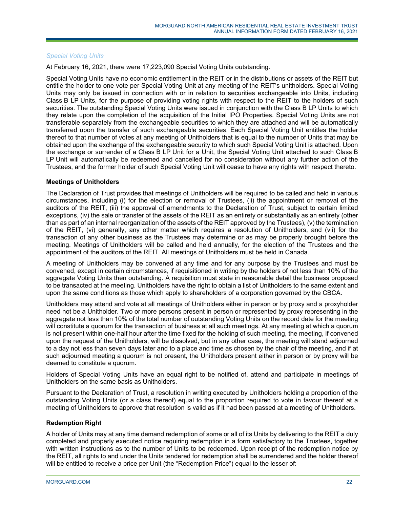# *Special Voting Units*

At February 16, 2021, there were 17,223,090 Special Voting Units outstanding.

Special Voting Units have no economic entitlement in the REIT or in the distributions or assets of the REIT but entitle the holder to one vote per Special Voting Unit at any meeting of the REIT's unitholders. Special Voting Units may only be issued in connection with or in relation to securities exchangeable into Units, including Class B LP Units, for the purpose of providing voting rights with respect to the REIT to the holders of such securities. The outstanding Special Voting Units were issued in conjunction with the Class B LP Units to which they relate upon the completion of the acquisition of the Initial IPO Properties. Special Voting Units are not transferable separately from the exchangeable securities to which they are attached and will be automatically transferred upon the transfer of such exchangeable securities. Each Special Voting Unit entitles the holder thereof to that number of votes at any meeting of Unitholders that is equal to the number of Units that may be obtained upon the exchange of the exchangeable security to which such Special Voting Unit is attached. Upon the exchange or surrender of a Class B LP Unit for a Unit, the Special Voting Unit attached to such Class B LP Unit will automatically be redeemed and cancelled for no consideration without any further action of the Trustees, and the former holder of such Special Voting Unit will cease to have any rights with respect thereto.

# **Meetings of Unitholders**

The Declaration of Trust provides that meetings of Unitholders will be required to be called and held in various circumstances, including (i) for the election or removal of Trustees, (ii) the appointment or removal of the auditors of the REIT, (iii) the approval of amendments to the Declaration of Trust, subject to certain limited exceptions, (iv) the sale or transfer of the assets of the REIT as an entirety or substantially as an entirety (other than as part of an internal reorganization of the assets of the REIT approved by the Trustees), (v) the termination of the REIT, (vi) generally, any other matter which requires a resolution of Unitholders, and (vii) for the transaction of any other business as the Trustees may determine or as may be properly brought before the meeting. Meetings of Unitholders will be called and held annually, for the election of the Trustees and the appointment of the auditors of the REIT. All meetings of Unitholders must be held in Canada.

A meeting of Unitholders may be convened at any time and for any purpose by the Trustees and must be convened, except in certain circumstances, if requisitioned in writing by the holders of not less than 10% of the aggregate Voting Units then outstanding. A requisition must state in reasonable detail the business proposed to be transacted at the meeting. Unitholders have the right to obtain a list of Unitholders to the same extent and upon the same conditions as those which apply to shareholders of a corporation governed by the CBCA.

Unitholders may attend and vote at all meetings of Unitholders either in person or by proxy and a proxyholder need not be a Unitholder. Two or more persons present in person or represented by proxy representing in the aggregate not less than 10% of the total number of outstanding Voting Units on the record date for the meeting will constitute a quorum for the transaction of business at all such meetings. At any meeting at which a quorum is not present within one-half hour after the time fixed for the holding of such meeting, the meeting, if convened upon the request of the Unitholders, will be dissolved, but in any other case, the meeting will stand adjourned to a day not less than seven days later and to a place and time as chosen by the chair of the meeting, and if at such adjourned meeting a quorum is not present, the Unitholders present either in person or by proxy will be deemed to constitute a quorum.

Holders of Special Voting Units have an equal right to be notified of, attend and participate in meetings of Unitholders on the same basis as Unitholders.

Pursuant to the Declaration of Trust, a resolution in writing executed by Unitholders holding a proportion of the outstanding Voting Units (or a class thereof) equal to the proportion required to vote in favour thereof at a meeting of Unitholders to approve that resolution is valid as if it had been passed at a meeting of Unitholders.

# **Redemption Right**

A holder of Units may at any time demand redemption of some or all of its Units by delivering to the REIT a duly completed and properly executed notice requiring redemption in a form satisfactory to the Trustees, together with written instructions as to the number of Units to be redeemed. Upon receipt of the redemption notice by the REIT, all rights to and under the Units tendered for redemption shall be surrendered and the holder thereof will be entitled to receive a price per Unit (the "Redemption Price") equal to the lesser of: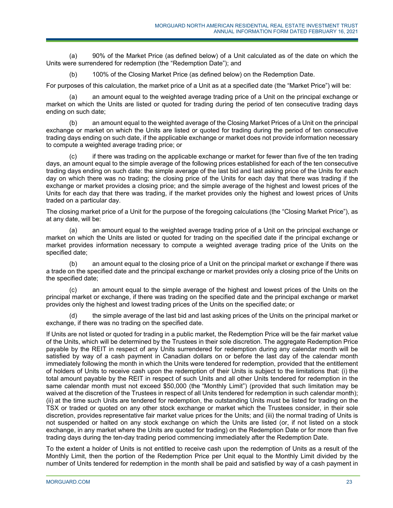(a) 90% of the Market Price (as defined below) of a Unit calculated as of the date on which the Units were surrendered for redemption (the "Redemption Date"); and

(b) 100% of the Closing Market Price (as defined below) on the Redemption Date.

For purposes of this calculation, the market price of a Unit as at a specified date (the "Market Price") will be:

(a) an amount equal to the weighted average trading price of a Unit on the principal exchange or market on which the Units are listed or quoted for trading during the period of ten consecutive trading days ending on such date;

(b) an amount equal to the weighted average of the Closing Market Prices of a Unit on the principal exchange or market on which the Units are listed or quoted for trading during the period of ten consecutive trading days ending on such date, if the applicable exchange or market does not provide information necessary to compute a weighted average trading price; or

(c) if there was trading on the applicable exchange or market for fewer than five of the ten trading days, an amount equal to the simple average of the following prices established for each of the ten consecutive trading days ending on such date: the simple average of the last bid and last asking price of the Units for each day on which there was no trading; the closing price of the Units for each day that there was trading if the exchange or market provides a closing price; and the simple average of the highest and lowest prices of the Units for each day that there was trading, if the market provides only the highest and lowest prices of Units traded on a particular day.

The closing market price of a Unit for the purpose of the foregoing calculations (the "Closing Market Price"), as at any date, will be:

(a) an amount equal to the weighted average trading price of a Unit on the principal exchange or market on which the Units are listed or quoted for trading on the specified date if the principal exchange or market provides information necessary to compute a weighted average trading price of the Units on the specified date;

(b) an amount equal to the closing price of a Unit on the principal market or exchange if there was a trade on the specified date and the principal exchange or market provides only a closing price of the Units on the specified date;

(c) an amount equal to the simple average of the highest and lowest prices of the Units on the principal market or exchange, if there was trading on the specified date and the principal exchange or market provides only the highest and lowest trading prices of the Units on the specified date; or

(d) the simple average of the last bid and last asking prices of the Units on the principal market or exchange, if there was no trading on the specified date.

If Units are not listed or quoted for trading in a public market, the Redemption Price will be the fair market value of the Units, which will be determined by the Trustees in their sole discretion. The aggregate Redemption Price payable by the REIT in respect of any Units surrendered for redemption during any calendar month will be satisfied by way of a cash payment in Canadian dollars on or before the last day of the calendar month immediately following the month in which the Units were tendered for redemption, provided that the entitlement of holders of Units to receive cash upon the redemption of their Units is subject to the limitations that: (i) the total amount payable by the REIT in respect of such Units and all other Units tendered for redemption in the same calendar month must not exceed \$50,000 (the "Monthly Limit") (provided that such limitation may be waived at the discretion of the Trustees in respect of all Units tendered for redemption in such calendar month); (ii) at the time such Units are tendered for redemption, the outstanding Units must be listed for trading on the TSX or traded or quoted on any other stock exchange or market which the Trustees consider, in their sole discretion, provides representative fair market value prices for the Units; and (iii) the normal trading of Units is not suspended or halted on any stock exchange on which the Units are listed (or, if not listed on a stock exchange, in any market where the Units are quoted for trading) on the Redemption Date or for more than five trading days during the ten-day trading period commencing immediately after the Redemption Date.

To the extent a holder of Units is not entitled to receive cash upon the redemption of Units as a result of the Monthly Limit, then the portion of the Redemption Price per Unit equal to the Monthly Limit divided by the number of Units tendered for redemption in the month shall be paid and satisfied by way of a cash payment in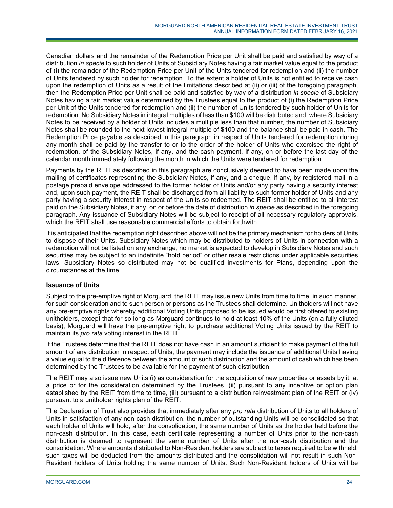Canadian dollars and the remainder of the Redemption Price per Unit shall be paid and satisfied by way of a distribution *in specie* to such holder of Units of Subsidiary Notes having a fair market value equal to the product of (i) the remainder of the Redemption Price per Unit of the Units tendered for redemption and (ii) the number of Units tendered by such holder for redemption. To the extent a holder of Units is not entitled to receive cash upon the redemption of Units as a result of the limitations described at (ii) or (iii) of the foregoing paragraph, then the Redemption Price per Unit shall be paid and satisfied by way of a distribution *in specie* of Subsidiary Notes having a fair market value determined by the Trustees equal to the product of (i) the Redemption Price per Unit of the Units tendered for redemption and (ii) the number of Units tendered by such holder of Units for redemption. No Subsidiary Notes in integral multiples of less than \$100 will be distributed and, where Subsidiary Notes to be received by a holder of Units includes a multiple less than that number, the number of Subsidiary Notes shall be rounded to the next lowest integral multiple of \$100 and the balance shall be paid in cash. The Redemption Price payable as described in this paragraph in respect of Units tendered for redemption during any month shall be paid by the transfer to or to the order of the holder of Units who exercised the right of redemption, of the Subsidiary Notes, if any, and the cash payment, if any, on or before the last day of the calendar month immediately following the month in which the Units were tendered for redemption.

Payments by the REIT as described in this paragraph are conclusively deemed to have been made upon the mailing of certificates representing the Subsidiary Notes, if any, and a cheque, if any, by registered mail in a postage prepaid envelope addressed to the former holder of Units and/or any party having a security interest and, upon such payment, the REIT shall be discharged from all liability to such former holder of Units and any party having a security interest in respect of the Units so redeemed. The REIT shall be entitled to all interest paid on the Subsidiary Notes, if any, on or before the date of distribution *in specie* as described in the foregoing paragraph. Any issuance of Subsidiary Notes will be subject to receipt of all necessary regulatory approvals, which the REIT shall use reasonable commercial efforts to obtain forthwith.

It is anticipated that the redemption right described above will not be the primary mechanism for holders of Units to dispose of their Units. Subsidiary Notes which may be distributed to holders of Units in connection with a redemption will not be listed on any exchange, no market is expected to develop in Subsidiary Notes and such securities may be subject to an indefinite "hold period" or other resale restrictions under applicable securities laws. Subsidiary Notes so distributed may not be qualified investments for Plans, depending upon the circumstances at the time.

# **Issuance of Units**

Subject to the pre-emptive right of Morguard, the REIT may issue new Units from time to time, in such manner, for such consideration and to such person or persons as the Trustees shall determine. Unitholders will not have any pre-emptive rights whereby additional Voting Units proposed to be issued would be first offered to existing unitholders, except that for so long as Morguard continues to hold at least 10% of the Units (on a fully diluted basis), Morguard will have the pre-emptive right to purchase additional Voting Units issued by the REIT to maintain its *pro rata* voting interest in the REIT.

If the Trustees determine that the REIT does not have cash in an amount sufficient to make payment of the full amount of any distribution in respect of Units, the payment may include the issuance of additional Units having a value equal to the difference between the amount of such distribution and the amount of cash which has been determined by the Trustees to be available for the payment of such distribution.

The REIT may also issue new Units (i) as consideration for the acquisition of new properties or assets by it, at a price or for the consideration determined by the Trustees, (ii) pursuant to any incentive or option plan established by the REIT from time to time, (iii) pursuant to a distribution reinvestment plan of the REIT or (iv) pursuant to a unitholder rights plan of the REIT.

The Declaration of Trust also provides that immediately after any *pro rata* distribution of Units to all holders of Units in satisfaction of any non-cash distribution, the number of outstanding Units will be consolidated so that each holder of Units will hold, after the consolidation, the same number of Units as the holder held before the non-cash distribution. In this case, each certificate representing a number of Units prior to the non-cash distribution is deemed to represent the same number of Units after the non-cash distribution and the consolidation. Where amounts distributed to Non-Resident holders are subject to taxes required to be withheld, such taxes will be deducted from the amounts distributed and the consolidation will not result in such Non-Resident holders of Units holding the same number of Units. Such Non-Resident holders of Units will be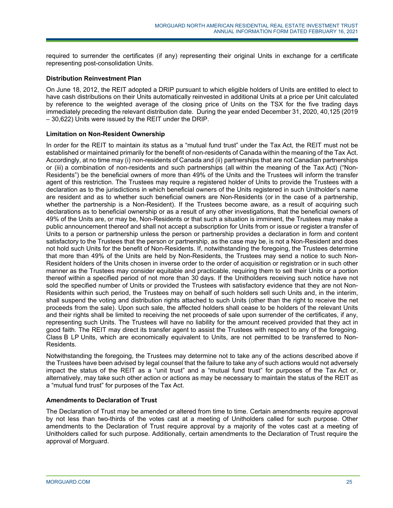required to surrender the certificates (if any) representing their original Units in exchange for a certificate representing post-consolidation Units.

# **Distribution Reinvestment Plan**

On June 18, 2012, the REIT adopted a DRIP pursuant to which eligible holders of Units are entitled to elect to have cash distributions on their Units automatically reinvested in additional Units at a price per Unit calculated by reference to the weighted average of the closing price of Units on the TSX for the five trading days immediately preceding the relevant distribution date. During the year ended December 31, 2020, 40,125 (2019 – 30,622) Units were issued by the REIT under the DRIP.

# **Limitation on Non-Resident Ownership**

In order for the REIT to maintain its status as a "mutual fund trust" under the Tax Act, the REIT must not be established or maintained primarily for the benefit of non-residents of Canada within the meaning of the Tax Act. Accordingly, at no time may (i) non-residents of Canada and (ii) partnerships that are not Canadian partnerships or (iii) a combination of non-residents and such partnerships (all within the meaning of the Tax Act) ("Non-Residents") be the beneficial owners of more than 49% of the Units and the Trustees will inform the transfer agent of this restriction. The Trustees may require a registered holder of Units to provide the Trustees with a declaration as to the jurisdictions in which beneficial owners of the Units registered in such Unitholder's name are resident and as to whether such beneficial owners are Non-Residents (or in the case of a partnership, whether the partnership is a Non-Resident). If the Trustees become aware, as a result of acquiring such declarations as to beneficial ownership or as a result of any other investigations, that the beneficial owners of 49% of the Units are, or may be, Non-Residents or that such a situation is imminent, the Trustees may make a public announcement thereof and shall not accept a subscription for Units from or issue or register a transfer of Units to a person or partnership unless the person or partnership provides a declaration in form and content satisfactory to the Trustees that the person or partnership, as the case may be, is not a Non-Resident and does not hold such Units for the benefit of Non-Residents. If, notwithstanding the foregoing, the Trustees determine that more than 49% of the Units are held by Non-Residents, the Trustees may send a notice to such Non-Resident holders of the Units chosen in inverse order to the order of acquisition or registration or in such other manner as the Trustees may consider equitable and practicable, requiring them to sell their Units or a portion thereof within a specified period of not more than 30 days. If the Unitholders receiving such notice have not sold the specified number of Units or provided the Trustees with satisfactory evidence that they are not Non-Residents within such period, the Trustees may on behalf of such holders sell such Units and, in the interim, shall suspend the voting and distribution rights attached to such Units (other than the right to receive the net proceeds from the sale). Upon such sale, the affected holders shall cease to be holders of the relevant Units and their rights shall be limited to receiving the net proceeds of sale upon surrender of the certificates, if any, representing such Units. The Trustees will have no liability for the amount received provided that they act in good faith. The REIT may direct its transfer agent to assist the Trustees with respect to any of the foregoing. Class B LP Units, which are economically equivalent to Units, are not permitted to be transferred to Non-Residents.

Notwithstanding the foregoing, the Trustees may determine not to take any of the actions described above if the Trustees have been advised by legal counsel that the failure to take any of such actions would not adversely impact the status of the REIT as a "unit trust" and a "mutual fund trust" for purposes of the Tax Act or, alternatively, may take such other action or actions as may be necessary to maintain the status of the REIT as a "mutual fund trust" for purposes of the Tax Act.

# **Amendments to Declaration of Trust**

The Declaration of Trust may be amended or altered from time to time. Certain amendments require approval by not less than two-thirds of the votes cast at a meeting of Unitholders called for such purpose. Other amendments to the Declaration of Trust require approval by a majority of the votes cast at a meeting of Unitholders called for such purpose. Additionally, certain amendments to the Declaration of Trust require the approval of Morguard.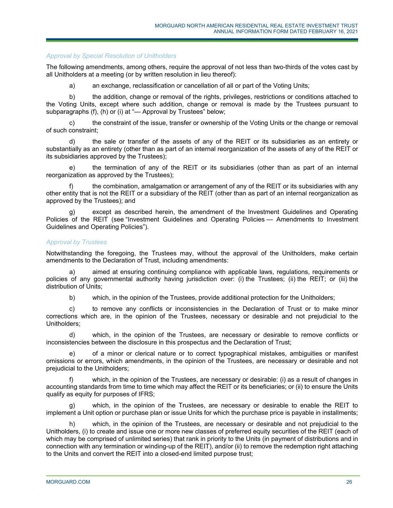# *Approval by Special Resolution of Unitholders*

The following amendments, among others, require the approval of not less than two-thirds of the votes cast by all Unitholders at a meeting (or by written resolution in lieu thereof):

a) an exchange, reclassification or cancellation of all or part of the Voting Units;

b) the addition, change or removal of the rights, privileges, restrictions or conditions attached to the Voting Units, except where such addition, change or removal is made by the Trustees pursuant to subparagraphs (f), (h) or (i) at "— Approval by Trustees" below;

c) the constraint of the issue, transfer or ownership of the Voting Units or the change or removal of such constraint;

d) the sale or transfer of the assets of any of the REIT or its subsidiaries as an entirety or substantially as an entirety (other than as part of an internal reorganization of the assets of any of the REIT or its subsidiaries approved by the Trustees);

e) the termination of any of the REIT or its subsidiaries (other than as part of an internal reorganization as approved by the Trustees);

the combination, amalgamation or arrangement of any of the REIT or its subsidiaries with any other entity that is not the REIT or a subsidiary of the REIT (other than as part of an internal reorganization as approved by the Trustees); and

except as described herein, the amendment of the Investment Guidelines and Operating Policies of the REIT (see "Investment Guidelines and Operating Policies — Amendments to Investment Guidelines and Operating Policies").

# *Approval by Trustees*

Notwithstanding the foregoing, the Trustees may, without the approval of the Unitholders, make certain amendments to the Declaration of Trust, including amendments:

a) aimed at ensuring continuing compliance with applicable laws, regulations, requirements or policies of any governmental authority having jurisdiction over: (i) the Trustees; (ii) the REIT; or (iii) the distribution of Units;

b) which, in the opinion of the Trustees, provide additional protection for the Unitholders;

c) to remove any conflicts or inconsistencies in the Declaration of Trust or to make minor corrections which are, in the opinion of the Trustees, necessary or desirable and not prejudicial to the Unitholders;

d) which, in the opinion of the Trustees, are necessary or desirable to remove conflicts or inconsistencies between the disclosure in this prospectus and the Declaration of Trust;

e) of a minor or clerical nature or to correct typographical mistakes, ambiguities or manifest omissions or errors, which amendments, in the opinion of the Trustees, are necessary or desirable and not prejudicial to the Unitholders;

f) which, in the opinion of the Trustees, are necessary or desirable: (i) as a result of changes in accounting standards from time to time which may affect the REIT or its beneficiaries; or (ii) to ensure the Units qualify as equity for purposes of IFRS;

g) which, in the opinion of the Trustees, are necessary or desirable to enable the REIT to implement a Unit option or purchase plan or issue Units for which the purchase price is payable in installments;

h) which, in the opinion of the Trustees, are necessary or desirable and not prejudicial to the Unitholders, (i) to create and issue one or more new classes of preferred equity securities of the REIT (each of which may be comprised of unlimited series) that rank in priority to the Units (in payment of distributions and in connection with any termination or winding-up of the REIT), and/or (ii) to remove the redemption right attaching to the Units and convert the REIT into a closed-end limited purpose trust;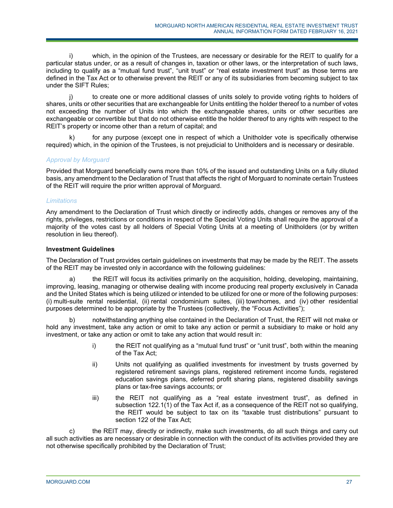i) which, in the opinion of the Trustees, are necessary or desirable for the REIT to qualify for a particular status under, or as a result of changes in, taxation or other laws, or the interpretation of such laws, including to qualify as a "mutual fund trust", "unit trust" or "real estate investment trust" as those terms are defined in the Tax Act or to otherwise prevent the REIT or any of its subsidiaries from becoming subject to tax under the SIFT Rules;

j) to create one or more additional classes of units solely to provide voting rights to holders of shares, units or other securities that are exchangeable for Units entitling the holder thereof to a number of votes not exceeding the number of Units into which the exchangeable shares, units or other securities are exchangeable or convertible but that do not otherwise entitle the holder thereof to any rights with respect to the REIT's property or income other than a return of capital; and

k) for any purpose (except one in respect of which a Unitholder vote is specifically otherwise required) which, in the opinion of the Trustees, is not prejudicial to Unitholders and is necessary or desirable.

# *Approval by Morguard*

Provided that Morguard beneficially owns more than 10% of the issued and outstanding Units on a fully diluted basis, any amendment to the Declaration of Trust that affects the right of Morguard to nominate certain Trustees of the REIT will require the prior written approval of Morguard.

# *Limitations*

Any amendment to the Declaration of Trust which directly or indirectly adds, changes or removes any of the rights, privileges, restrictions or conditions in respect of the Special Voting Units shall require the approval of a majority of the votes cast by all holders of Special Voting Units at a meeting of Unitholders (or by written resolution in lieu thereof).

# **Investment Guidelines**

The Declaration of Trust provides certain guidelines on investments that may be made by the REIT. The assets of the REIT may be invested only in accordance with the following guidelines:

the REIT will focus its activities primarily on the acquisition, holding, developing, maintaining, improving, leasing, managing or otherwise dealing with income producing real property exclusively in Canada and the United States which is being utilized or intended to be utilized for one or more of the following purposes: (i) multi-suite rental residential, (ii) rental condominium suites, (iii) townhomes, and (iv) other residential purposes determined to be appropriate by the Trustees (collectively, the "Focus Activities");

notwithstanding anything else contained in the Declaration of Trust, the REIT will not make or hold any investment, take any action or omit to take any action or permit a subsidiary to make or hold any investment, or take any action or omit to take any action that would result in:

- i) the REIT not qualifying as a "mutual fund trust" or "unit trust", both within the meaning of the Tax Act;
- ii) Units not qualifying as qualified investments for investment by trusts governed by registered retirement savings plans, registered retirement income funds, registered education savings plans, deferred profit sharing plans, registered disability savings plans or tax-free savings accounts; or
- iii) the REIT not qualifying as a "real estate investment trust", as defined in subsection 122.1(1) of the Tax Act if, as a consequence of the REIT not so qualifying, the REIT would be subject to tax on its "taxable trust distributions" pursuant to section 122 of the Tax Act;

c) the REIT may, directly or indirectly, make such investments, do all such things and carry out all such activities as are necessary or desirable in connection with the conduct of its activities provided they are not otherwise specifically prohibited by the Declaration of Trust;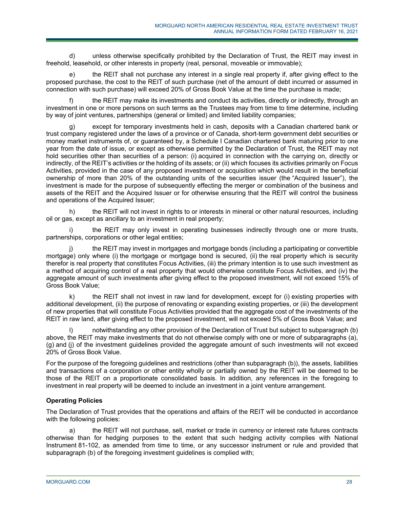d) unless otherwise specifically prohibited by the Declaration of Trust, the REIT may invest in freehold, leasehold, or other interests in property (real, personal, moveable or immovable);

e) the REIT shall not purchase any interest in a single real property if, after giving effect to the proposed purchase, the cost to the REIT of such purchase (net of the amount of debt incurred or assumed in connection with such purchase) will exceed 20% of Gross Book Value at the time the purchase is made;

f) the REIT may make its investments and conduct its activities, directly or indirectly, through an investment in one or more persons on such terms as the Trustees may from time to time determine, including by way of joint ventures, partnerships (general or limited) and limited liability companies;

g) except for temporary investments held in cash, deposits with a Canadian chartered bank or trust company registered under the laws of a province or of Canada, short-term government debt securities or money market instruments of, or guaranteed by, a Schedule I Canadian chartered bank maturing prior to one year from the date of issue, or except as otherwise permitted by the Declaration of Trust, the REIT may not hold securities other than securities of a person: (i) acquired in connection with the carrying on, directly or indirectly, of the REIT's activities or the holding of its assets; or (ii) which focuses its activities primarily on Focus Activities, provided in the case of any proposed investment or acquisition which would result in the beneficial ownership of more than 20% of the outstanding units of the securities issuer (the "Acquired Issuer"), the investment is made for the purpose of subsequently effecting the merger or combination of the business and assets of the REIT and the Acquired Issuer or for otherwise ensuring that the REIT will control the business and operations of the Acquired Issuer;

h) the REIT will not invest in rights to or interests in mineral or other natural resources, including oil or gas, except as ancillary to an investment in real property;

the REIT may only invest in operating businesses indirectly through one or more trusts, partnerships, corporations or other legal entities;

j) the REIT may invest in mortgages and mortgage bonds (including a participating or convertible mortgage) only where (i) the mortgage or mortgage bond is secured, (ii) the real property which is security therefor is real property that constitutes Focus Activities, (iii) the primary intention is to use such investment as a method of acquiring control of a real property that would otherwise constitute Focus Activities, and (iv) the aggregate amount of such investments after giving effect to the proposed investment, will not exceed 15% of Gross Book Value;

k) the REIT shall not invest in raw land for development, except for (i) existing properties with additional development, (ii) the purpose of renovating or expanding existing properties, or (iii) the development of new properties that will constitute Focus Activities provided that the aggregate cost of the investments of the REIT in raw land, after giving effect to the proposed investment, will not exceed 5% of Gross Book Value; and

notwithstanding any other provision of the Declaration of Trust but subject to subparagraph (b) above, the REIT may make investments that do not otherwise comply with one or more of subparagraphs (a), (g) and (j) of the investment guidelines provided the aggregate amount of such investments will not exceed 20% of Gross Book Value.

For the purpose of the foregoing guidelines and restrictions (other than subparagraph (b)), the assets, liabilities and transactions of a corporation or other entity wholly or partially owned by the REIT will be deemed to be those of the REIT on a proportionate consolidated basis. In addition, any references in the foregoing to investment in real property will be deemed to include an investment in a joint venture arrangement.

# **Operating Policies**

The Declaration of Trust provides that the operations and affairs of the REIT will be conducted in accordance with the following policies:

a) the REIT will not purchase, sell, market or trade in currency or interest rate futures contracts otherwise than for hedging purposes to the extent that such hedging activity complies with National Instrument 81-102, as amended from time to time, or any successor instrument or rule and provided that subparagraph (b) of the foregoing investment guidelines is complied with;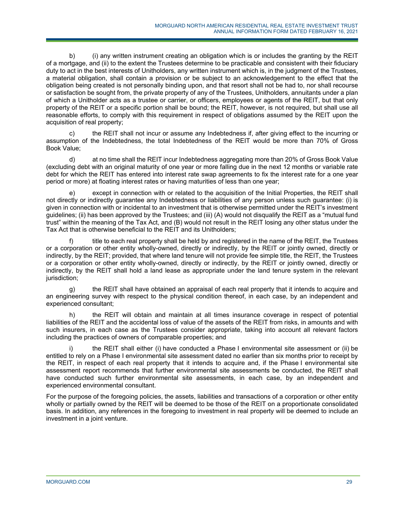b) (i) any written instrument creating an obligation which is or includes the granting by the REIT of a mortgage, and (ii) to the extent the Trustees determine to be practicable and consistent with their fiduciary duty to act in the best interests of Unitholders, any written instrument which is, in the judgment of the Trustees, a material obligation, shall contain a provision or be subject to an acknowledgement to the effect that the obligation being created is not personally binding upon, and that resort shall not be had to, nor shall recourse or satisfaction be sought from, the private property of any of the Trustees, Unitholders, annuitants under a plan of which a Unitholder acts as a trustee or carrier, or officers, employees or agents of the REIT, but that only property of the REIT or a specific portion shall be bound; the REIT, however, is not required, but shall use all reasonable efforts, to comply with this requirement in respect of obligations assumed by the REIT upon the acquisition of real property;

c) the REIT shall not incur or assume any Indebtedness if, after giving effect to the incurring or assumption of the Indebtedness, the total Indebtedness of the REIT would be more than 70% of Gross Book Value;

d) at no time shall the REIT incur Indebtedness aggregating more than 20% of Gross Book Value (excluding debt with an original maturity of one year or more falling due in the next 12 months or variable rate debt for which the REIT has entered into interest rate swap agreements to fix the interest rate for a one year period or more) at floating interest rates or having maturities of less than one year;

e) except in connection with or related to the acquisition of the Initial Properties, the REIT shall not directly or indirectly guarantee any Indebtedness or liabilities of any person unless such guarantee: (i) is given in connection with or incidental to an investment that is otherwise permitted under the REIT's investment guidelines; (ii) has been approved by the Trustees; and (iii) (A) would not disqualify the REIT as a "mutual fund trust" within the meaning of the Tax Act, and (B) would not result in the REIT losing any other status under the Tax Act that is otherwise beneficial to the REIT and its Unitholders;

f) title to each real property shall be held by and registered in the name of the REIT, the Trustees or a corporation or other entity wholly-owned, directly or indirectly, by the REIT or jointly owned, directly or indirectly, by the REIT; provided, that where land tenure will not provide fee simple title, the REIT, the Trustees or a corporation or other entity wholly-owned, directly or indirectly, by the REIT or jointly owned, directly or indirectly, by the REIT shall hold a land lease as appropriate under the land tenure system in the relevant jurisdiction;

g) the REIT shall have obtained an appraisal of each real property that it intends to acquire and an engineering survey with respect to the physical condition thereof, in each case, by an independent and experienced consultant;

h) the REIT will obtain and maintain at all times insurance coverage in respect of potential liabilities of the REIT and the accidental loss of value of the assets of the REIT from risks, in amounts and with such insurers, in each case as the Trustees consider appropriate, taking into account all relevant factors including the practices of owners of comparable properties; and

the REIT shall either (i) have conducted a Phase I environmental site assessment or (ii) be entitled to rely on a Phase I environmental site assessment dated no earlier than six months prior to receipt by the REIT, in respect of each real property that it intends to acquire and, if the Phase I environmental site assessment report recommends that further environmental site assessments be conducted, the REIT shall have conducted such further environmental site assessments, in each case, by an independent and experienced environmental consultant.

For the purpose of the foregoing policies, the assets, liabilities and transactions of a corporation or other entity wholly or partially owned by the REIT will be deemed to be those of the REIT on a proportionate consolidated basis. In addition, any references in the foregoing to investment in real property will be deemed to include an investment in a joint venture.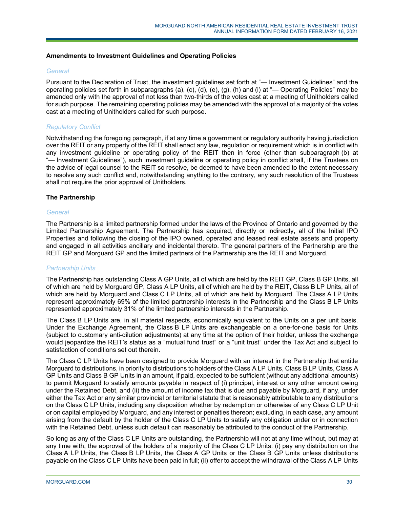# **Amendments to Investment Guidelines and Operating Policies**

# *General*

Pursuant to the Declaration of Trust, the investment guidelines set forth at "— Investment Guidelines" and the operating policies set forth in subparagraphs (a), (c), (d), (e), (g), (h) and (i) at "— Operating Policies" may be amended only with the approval of not less than two-thirds of the votes cast at a meeting of Unitholders called for such purpose. The remaining operating policies may be amended with the approval of a majority of the votes cast at a meeting of Unitholders called for such purpose.

# *Regulatory Conflict*

Notwithstanding the foregoing paragraph, if at any time a government or regulatory authority having jurisdiction over the REIT or any property of the REIT shall enact any law, regulation or requirement which is in conflict with any investment guideline or operating policy of the REIT then in force (other than subparagraph (b) at "- Investment Guidelines"), such investment guideline or operating policy in conflict shall, if the Trustees on the advice of legal counsel to the REIT so resolve, be deemed to have been amended to the extent necessary to resolve any such conflict and, notwithstanding anything to the contrary, any such resolution of the Trustees shall not require the prior approval of Unitholders.

# **The Partnership**

# *General*

The Partnership is a limited partnership formed under the laws of the Province of Ontario and governed by the Limited Partnership Agreement. The Partnership has acquired, directly or indirectly, all of the Initial IPO Properties and following the closing of the IPO owned, operated and leased real estate assets and property and engaged in all activities ancillary and incidental thereto. The general partners of the Partnership are the REIT GP and Morguard GP and the limited partners of the Partnership are the REIT and Morguard.

# *Partnership Units*

The Partnership has outstanding Class A GP Units, all of which are held by the REIT GP, Class B GP Units, all of which are held by Morguard GP, Class A LP Units, all of which are held by the REIT, Class B LP Units, all of which are held by Morguard and Class C LP Units, all of which are held by Morguard. The Class A LP Units represent approximately 69% of the limited partnership interests in the Partnership and the Class B LP Units represented approximately 31% of the limited partnership interests in the Partnership.

The Class B LP Units are, in all material respects, economically equivalent to the Units on a per unit basis. Under the Exchange Agreement, the Class B LP Units are exchangeable on a one-for-one basis for Units (subject to customary anti-dilution adjustments) at any time at the option of their holder, unless the exchange would jeopardize the REIT's status as a "mutual fund trust" or a "unit trust" under the Tax Act and subject to satisfaction of conditions set out therein.

The Class C LP Units have been designed to provide Morguard with an interest in the Partnership that entitle Morguard to distributions, in priority to distributions to holders of the Class A LP Units, Class B LP Units, Class A GP Units and Class B GP Units in an amount, if paid, expected to be sufficient (without any additional amounts) to permit Morguard to satisfy amounts payable in respect of (i) principal, interest or any other amount owing under the Retained Debt, and (ii) the amount of income tax that is due and payable by Morguard, if any, under either the Tax Act or any similar provincial or territorial statute that is reasonably attributable to any distributions on the Class C LP Units, including any disposition whether by redemption or otherwise of any Class C LP Unit or on capital employed by Morguard, and any interest or penalties thereon; excluding, in each case, any amount arising from the default by the holder of the Class C LP Units to satisfy any obligation under or in connection with the Retained Debt, unless such default can reasonably be attributed to the conduct of the Partnership.

So long as any of the Class C LP Units are outstanding, the Partnership will not at any time without, but may at any time with, the approval of the holders of a majority of the Class C LP Units: (i) pay any distribution on the Class A LP Units, the Class B LP Units, the Class A GP Units or the Class B GP Units unless distributions payable on the Class C LP Units have been paid in full; (ii) offer to accept the withdrawal of the Class A LP Units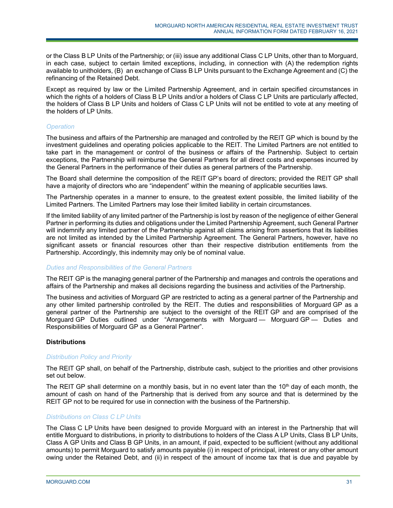or the Class B LP Units of the Partnership; or (iii) issue any additional Class C LP Units, other than to Morguard, in each case, subject to certain limited exceptions, including, in connection with (A) the redemption rights available to unitholders, (B) an exchange of Class B LP Units pursuant to the Exchange Agreement and (C) the refinancing of the Retained Debt.

Except as required by law or the Limited Partnership Agreement, and in certain specified circumstances in which the rights of a holders of Class B LP Units and/or a holders of Class C LP Units are particularly affected, the holders of Class B LP Units and holders of Class C LP Units will not be entitled to vote at any meeting of the holders of LP Units.

# *Operation*

The business and affairs of the Partnership are managed and controlled by the REIT GP which is bound by the investment guidelines and operating policies applicable to the REIT. The Limited Partners are not entitled to take part in the management or control of the business or affairs of the Partnership. Subject to certain exceptions, the Partnership will reimburse the General Partners for all direct costs and expenses incurred by the General Partners in the performance of their duties as general partners of the Partnership.

The Board shall determine the composition of the REIT GP's board of directors; provided the REIT GP shall have a majority of directors who are "independent" within the meaning of applicable securities laws.

The Partnership operates in a manner to ensure, to the greatest extent possible, the limited liability of the Limited Partners. The Limited Partners may lose their limited liability in certain circumstances.

If the limited liability of any limited partner of the Partnership is lost by reason of the negligence of either General Partner in performing its duties and obligations under the Limited Partnership Agreement, such General Partner will indemnify any limited partner of the Partnership against all claims arising from assertions that its liabilities are not limited as intended by the Limited Partnership Agreement. The General Partners, however, have no significant assets or financial resources other than their respective distribution entitlements from the Partnership. Accordingly, this indemnity may only be of nominal value.

# *Duties and Responsibilities of the General Partners*

The REIT GP is the managing general partner of the Partnership and manages and controls the operations and affairs of the Partnership and makes all decisions regarding the business and activities of the Partnership.

The business and activities of Morguard GP are restricted to acting as a general partner of the Partnership and any other limited partnership controlled by the REIT. The duties and responsibilities of Morguard GP as a general partner of the Partnership are subject to the oversight of the REIT GP and are comprised of the Morguard GP Duties outlined under "Arrangements with Morguard — Morguard GP — Duties and Responsibilities of Morguard GP as a General Partner".

# **Distributions**

# *Distribution Policy and Priority*

The REIT GP shall, on behalf of the Partnership, distribute cash, subject to the priorities and other provisions set out below.

The REIT GP shall determine on a monthly basis, but in no event later than the 10<sup>th</sup> day of each month, the amount of cash on hand of the Partnership that is derived from any source and that is determined by the REIT GP not to be required for use in connection with the business of the Partnership.

# *Distributions on Class C LP Units*

The Class C LP Units have been designed to provide Morguard with an interest in the Partnership that will entitle Morguard to distributions, in priority to distributions to holders of the Class A LP Units, Class B LP Units, Class A GP Units and Class B GP Units, in an amount, if paid, expected to be sufficient (without any additional amounts) to permit Morguard to satisfy amounts payable (i) in respect of principal, interest or any other amount owing under the Retained Debt, and (ii) in respect of the amount of income tax that is due and payable by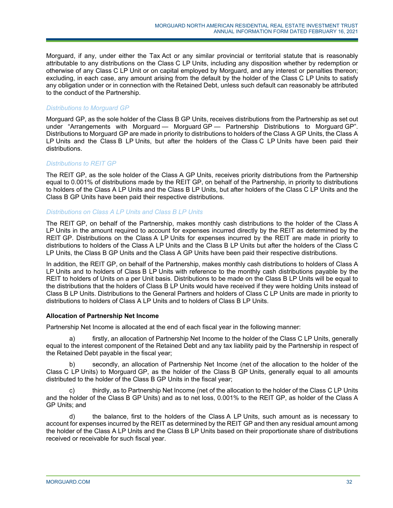Morguard, if any, under either the Tax Act or any similar provincial or territorial statute that is reasonably attributable to any distributions on the Class C LP Units, including any disposition whether by redemption or otherwise of any Class C LP Unit or on capital employed by Morguard, and any interest or penalties thereon; excluding, in each case, any amount arising from the default by the holder of the Class C LP Units to satisfy any obligation under or in connection with the Retained Debt, unless such default can reasonably be attributed to the conduct of the Partnership.

# *Distributions to Morguard GP*

Morguard GP, as the sole holder of the Class B GP Units, receives distributions from the Partnership as set out under "Arrangements with Morguard — Morguard GP — Partnership Distributions to Morguard GP". Distributions to Morguard GP are made in priority to distributions to holders of the Class A GP Units, the Class A LP Units and the Class B LP Units, but after the holders of the Class C LP Units have been paid their distributions.

# *Distributions to REIT GP*

The REIT GP, as the sole holder of the Class A GP Units, receives priority distributions from the Partnership equal to 0.001% of distributions made by the REIT GP, on behalf of the Partnership, in priority to distributions to holders of the Class A LP Units and the Class B LP Units, but after holders of the Class C LP Units and the Class B GP Units have been paid their respective distributions.

# *Distributions on Class A LP Units and Class B LP Units*

The REIT GP, on behalf of the Partnership, makes monthly cash distributions to the holder of the Class A LP Units in the amount required to account for expenses incurred directly by the REIT as determined by the REIT GP. Distributions on the Class A LP Units for expenses incurred by the REIT are made in priority to distributions to holders of the Class A LP Units and the Class B LP Units but after the holders of the Class C LP Units, the Class B GP Units and the Class A GP Units have been paid their respective distributions.

In addition, the REIT GP, on behalf of the Partnership, makes monthly cash distributions to holders of Class A LP Units and to holders of Class B LP Units with reference to the monthly cash distributions payable by the REIT to holders of Units on a per Unit basis. Distributions to be made on the Class B LP Units will be equal to the distributions that the holders of Class B LP Units would have received if they were holding Units instead of Class B LP Units. Distributions to the General Partners and holders of Class C LP Units are made in priority to distributions to holders of Class A LP Units and to holders of Class B LP Units.

# **Allocation of Partnership Net Income**

Partnership Net Income is allocated at the end of each fiscal year in the following manner:

a) firstly, an allocation of Partnership Net Income to the holder of the Class C LP Units, generally equal to the interest component of the Retained Debt and any tax liability paid by the Partnership in respect of the Retained Debt payable in the fiscal year;

b) secondly, an allocation of Partnership Net Income (net of the allocation to the holder of the Class C LP Units) to Morguard GP, as the holder of the Class B GP Units, generally equal to all amounts distributed to the holder of the Class B GP Units in the fiscal year;

c) thirdly, as to Partnership Net Income (net of the allocation to the holder of the Class C LP Units and the holder of the Class B GP Units) and as to net loss, 0.001% to the REIT GP, as holder of the Class A GP Units; and

d) the balance, first to the holders of the Class A LP Units, such amount as is necessary to account for expenses incurred by the REIT as determined by the REIT GP and then any residual amount among the holder of the Class A LP Units and the Class B LP Units based on their proportionate share of distributions received or receivable for such fiscal year.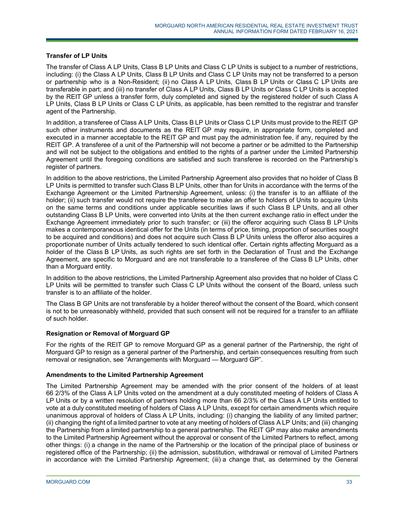# **Transfer of LP Units**

The transfer of Class A LP Units, Class B LP Units and Class C LP Units is subject to a number of restrictions, including: (i) the Class A LP Units, Class B LP Units and Class C LP Units may not be transferred to a person or partnership who is a Non-Resident; (ii) no Class A LP Units, Class B LP Units or Class C LP Units are transferable in part; and (iii) no transfer of Class A LP Units, Class B LP Units or Class C LP Units is accepted by the REIT GP unless a transfer form, duly completed and signed by the registered holder of such Class A LP Units, Class B LP Units or Class C LP Units, as applicable, has been remitted to the registrar and transfer agent of the Partnership.

In addition, a transferee of Class A LP Units, Class B LP Units or Class C LP Units must provide to the REIT GP such other instruments and documents as the REIT GP may require, in appropriate form, completed and executed in a manner acceptable to the REIT GP and must pay the administration fee, if any, required by the REIT GP. A transferee of a unit of the Partnership will not become a partner or be admitted to the Partnership and will not be subject to the obligations and entitled to the rights of a partner under the Limited Partnership Agreement until the foregoing conditions are satisfied and such transferee is recorded on the Partnership's register of partners.

In addition to the above restrictions, the Limited Partnership Agreement also provides that no holder of Class B LP Units is permitted to transfer such Class B LP Units, other than for Units in accordance with the terms of the Exchange Agreement or the Limited Partnership Agreement, unless: (i) the transfer is to an affiliate of the holder; (ii) such transfer would not require the transferee to make an offer to holders of Units to acquire Units on the same terms and conditions under applicable securities laws if such Class B LP Units, and all other outstanding Class B LP Units, were converted into Units at the then current exchange ratio in effect under the Exchange Agreement immediately prior to such transfer; or (iii) the offeror acquiring such Class B LP Units makes a contemporaneous identical offer for the Units (in terms of price, timing, proportion of securities sought to be acquired and conditions) and does not acquire such Class B LP Units unless the offeror also acquires a proportionate number of Units actually tendered to such identical offer. Certain rights affecting Morguard as a holder of the Class B LP Units, as such rights are set forth in the Declaration of Trust and the Exchange Agreement, are specific to Morguard and are not transferable to a transferee of the Class B LP Units, other than a Morguard entity.

In addition to the above restrictions, the Limited Partnership Agreement also provides that no holder of Class C LP Units will be permitted to transfer such Class C LP Units without the consent of the Board, unless such transfer is to an affiliate of the holder.

The Class B GP Units are not transferable by a holder thereof without the consent of the Board, which consent is not to be unreasonably withheld, provided that such consent will not be required for a transfer to an affiliate of such holder.

# **Resignation or Removal of Morguard GP**

For the rights of the REIT GP to remove Morguard GP as a general partner of the Partnership, the right of Morguard GP to resign as a general partner of the Partnership, and certain consequences resulting from such removal or resignation, see "Arrangements with Morguard — Morguard GP".

# **Amendments to the Limited Partnership Agreement**

The Limited Partnership Agreement may be amended with the prior consent of the holders of at least 66 2/3% of the Class A LP Units voted on the amendment at a duly constituted meeting of holders of Class A LP Units or by a written resolution of partners holding more than 66 2/3% of the Class A LP Units entitled to vote at a duly constituted meeting of holders of Class A LP Units, except for certain amendments which require unanimous approval of holders of Class A LP Units, including: (i) changing the liability of any limited partner; (ii) changing the right of a limited partner to vote at any meeting of holders of Class A LP Units; and (iii) changing the Partnership from a limited partnership to a general partnership. The REIT GP may also make amendments to the Limited Partnership Agreement without the approval or consent of the Limited Partners to reflect, among other things: (i) a change in the name of the Partnership or the location of the principal place of business or registered office of the Partnership; (ii) the admission, substitution, withdrawal or removal of Limited Partners in accordance with the Limited Partnership Agreement; (iii) a change that, as determined by the General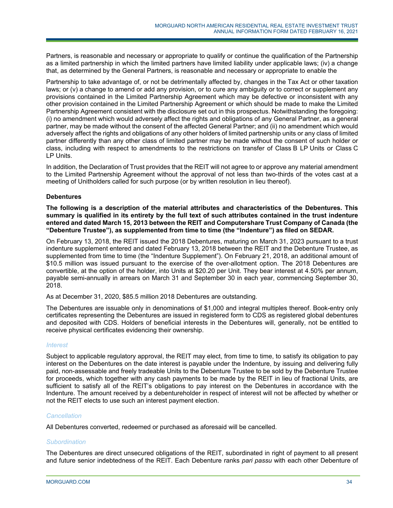Partners, is reasonable and necessary or appropriate to qualify or continue the qualification of the Partnership as a limited partnership in which the limited partners have limited liability under applicable laws; (iv) a change that, as determined by the General Partners, is reasonable and necessary or appropriate to enable the

Partnership to take advantage of, or not be detrimentally affected by, changes in the Tax Act or other taxation laws; or (v) a change to amend or add any provision, or to cure any ambiguity or to correct or supplement any provisions contained in the Limited Partnership Agreement which may be defective or inconsistent with any other provision contained in the Limited Partnership Agreement or which should be made to make the Limited Partnership Agreement consistent with the disclosure set out in this prospectus. Notwithstanding the foregoing: (i) no amendment which would adversely affect the rights and obligations of any General Partner, as a general partner, may be made without the consent of the affected General Partner; and (ii) no amendment which would adversely affect the rights and obligations of any other holders of limited partnership units or any class of limited partner differently than any other class of limited partner may be made without the consent of such holder or class, including with respect to amendments to the restrictions on transfer of Class B LP Units or Class C LP Units.

In addition, the Declaration of Trust provides that the REIT will not agree to or approve any material amendment to the Limited Partnership Agreement without the approval of not less than two-thirds of the votes cast at a meeting of Unitholders called for such purpose (or by written resolution in lieu thereof).

# **Debentures**

**The following is a description of the material attributes and characteristics of the Debentures. This summary is qualified in its entirety by the full text of such attributes contained in the trust indenture entered and dated March 15, 2013 between the REIT and Computershare Trust Company of Canada (the "Debenture Trustee"), as supplemented from time to time (the "Indenture") as filed on SEDAR.** 

On February 13, 2018, the REIT issued the 2018 Debentures, maturing on March 31, 2023 pursuant to a trust indenture supplement entered and dated February 13, 2018 between the REIT and the Debenture Trustee, as supplemented from time to time (the "Indenture Supplement"). On February 21, 2018, an additional amount of \$10.5 million was issued pursuant to the exercise of the over-allotment option. The 2018 Debentures are convertible, at the option of the holder, into Units at \$20.20 per Unit. They bear interest at 4.50% per annum, payable semi-annually in arrears on March 31 and September 30 in each year, commencing September 30, 2018.

As at December 31, 2020, \$85.5 million 2018 Debentures are outstanding.

The Debentures are issuable only in denominations of \$1,000 and integral multiples thereof. Book-entry only certificates representing the Debentures are issued in registered form to CDS as registered global debentures and deposited with CDS. Holders of beneficial interests in the Debentures will, generally, not be entitled to receive physical certificates evidencing their ownership.

# *Interest*

Subject to applicable regulatory approval, the REIT may elect, from time to time, to satisfy its obligation to pay interest on the Debentures on the date interest is payable under the Indenture, by issuing and delivering fully paid, non-assessable and freely tradeable Units to the Debenture Trustee to be sold by the Debenture Trustee for proceeds, which together with any cash payments to be made by the REIT in lieu of fractional Units, are sufficient to satisfy all of the REIT's obligations to pay interest on the Debentures in accordance with the Indenture. The amount received by a debentureholder in respect of interest will not be affected by whether or not the REIT elects to use such an interest payment election.

# *Cancellation*

All Debentures converted, redeemed or purchased as aforesaid will be cancelled.

# *Subordination*

The Debentures are direct unsecured obligations of the REIT, subordinated in right of payment to all present and future senior indebtedness of the REIT. Each Debenture ranks *pari passu* with each other Debenture of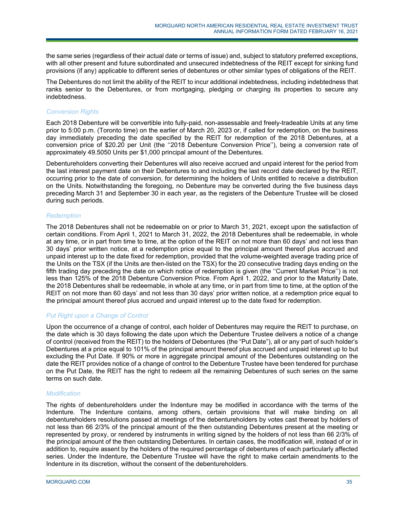the same series (regardless of their actual date or terms of issue) and, subject to statutory preferred exceptions, with all other present and future subordinated and unsecured indebtedness of the REIT except for sinking fund provisions (if any) applicable to different series of debentures or other similar types of obligations of the REIT.

The Debentures do not limit the ability of the REIT to incur additional indebtedness, including indebtedness that ranks senior to the Debentures, or from mortgaging, pledging or charging its properties to secure any indebtedness.

# *Conversion Rights*

Each 2018 Debenture will be convertible into fully-paid, non-assessable and freely-tradeable Units at any time prior to 5:00 p.m. (Toronto time) on the earlier of March 20, 2023 or, if called for redemption, on the business day immediately preceding the date specified by the REIT for redemption of the 2018 Debentures, at a conversion price of \$20.20 per Unit (the ''2018 Debenture Conversion Price''), being a conversion rate of approximately 49.5050 Units per \$1,000 principal amount of the Debentures.

Debentureholders converting their Debentures will also receive accrued and unpaid interest for the period from the last interest payment date on their Debentures to and including the last record date declared by the REIT, occurring prior to the date of conversion, for determining the holders of Units entitled to receive a distribution on the Units. Notwithstanding the foregoing, no Debenture may be converted during the five business days preceding March 31 and September 30 in each year, as the registers of the Debenture Trustee will be closed during such periods.

# *Redemption*

The 2018 Debentures shall not be redeemable on or prior to March 31, 2021, except upon the satisfaction of certain conditions. From April 1, 2021 to March 31, 2022, the 2018 Debentures shall be redeemable, in whole at any time, or in part from time to time, at the option of the REIT on not more than 60 days' and not less than 30 days' prior written notice, at a redemption price equal to the principal amount thereof plus accrued and unpaid interest up to the date fixed for redemption, provided that the volume-weighted average trading price of the Units on the TSX (if the Units are then-listed on the TSX) for the 20 consecutive trading days ending on the fifth trading day preceding the date on which notice of redemption is given (the ''Current Market Price'') is not less than 125% of the 2018 Debenture Conversion Price. From April 1, 2022, and prior to the Maturity Date, the 2018 Debentures shall be redeemable, in whole at any time, or in part from time to time, at the option of the REIT on not more than 60 days' and not less than 30 days' prior written notice, at a redemption price equal to the principal amount thereof plus accrued and unpaid interest up to the date fixed for redemption.

# *Put Right upon a Change of Control*

Upon the occurrence of a change of control, each holder of Debentures may require the REIT to purchase, on the date which is 30 days following the date upon which the Debenture Trustee delivers a notice of a change of control (received from the REIT) to the holders of Debentures (the "Put Date"), all or any part of such holder's Debentures at a price equal to 101% of the principal amount thereof plus accrued and unpaid interest up to but excluding the Put Date. If 90% or more in aggregate principal amount of the Debentures outstanding on the date the REIT provides notice of a change of control to the Debenture Trustee have been tendered for purchase on the Put Date, the REIT has the right to redeem all the remaining Debentures of such series on the same terms on such date.

# *Modification*

The rights of debentureholders under the Indenture may be modified in accordance with the terms of the Indenture. The Indenture contains, among others, certain provisions that will make binding on all debentureholders resolutions passed at meetings of the debentureholders by votes cast thereat by holders of not less than 66 2/3% of the principal amount of the then outstanding Debentures present at the meeting or represented by proxy, or rendered by instruments in writing signed by the holders of not less than 66 2/3% of the principal amount of the then outstanding Debentures. In certain cases, the modification will, instead of or in addition to, require assent by the holders of the required percentage of debentures of each particularly affected series. Under the Indenture, the Debenture Trustee will have the right to make certain amendments to the Indenture in its discretion, without the consent of the debentureholders.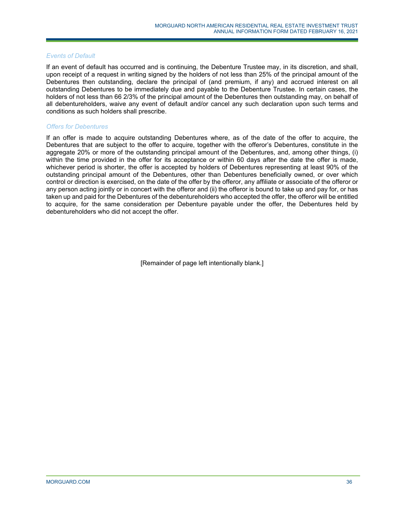#### *Events of Default*

If an event of default has occurred and is continuing, the Debenture Trustee may, in its discretion, and shall, upon receipt of a request in writing signed by the holders of not less than 25% of the principal amount of the Debentures then outstanding, declare the principal of (and premium, if any) and accrued interest on all outstanding Debentures to be immediately due and payable to the Debenture Trustee. In certain cases, the holders of not less than 66 2/3% of the principal amount of the Debentures then outstanding may, on behalf of all debentureholders, waive any event of default and/or cancel any such declaration upon such terms and conditions as such holders shall prescribe.

# *Offers for Debentures*

If an offer is made to acquire outstanding Debentures where, as of the date of the offer to acquire, the Debentures that are subject to the offer to acquire, together with the offeror's Debentures, constitute in the aggregate 20% or more of the outstanding principal amount of the Debentures, and, among other things, (i) within the time provided in the offer for its acceptance or within 60 days after the date the offer is made, whichever period is shorter, the offer is accepted by holders of Debentures representing at least 90% of the outstanding principal amount of the Debentures, other than Debentures beneficially owned, or over which control or direction is exercised, on the date of the offer by the offeror, any affiliate or associate of the offeror or any person acting jointly or in concert with the offeror and (ii) the offeror is bound to take up and pay for, or has taken up and paid for the Debentures of the debentureholders who accepted the offer, the offeror will be entitled to acquire, for the same consideration per Debenture payable under the offer, the Debentures held by debentureholders who did not accept the offer.

[Remainder of page left intentionally blank.]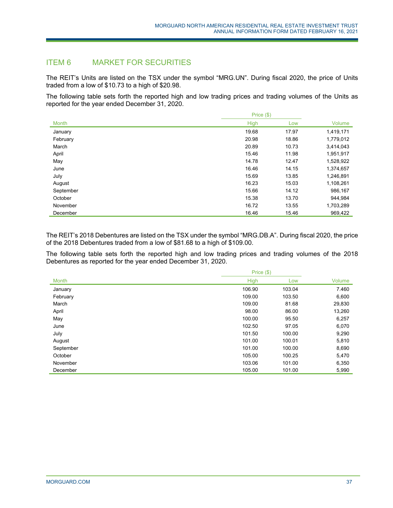# ITEM 6 MARKET FOR SECURITIES

The REIT's Units are listed on the TSX under the symbol "MRG.UN". During fiscal 2020, the price of Units traded from a low of \$10.73 to a high of \$20.98.

The following table sets forth the reported high and low trading prices and trading volumes of the Units as reported for the year ended December 31, 2020.

|              | Price (\$)  |       |           |
|--------------|-------------|-------|-----------|
| <b>Month</b> | <b>High</b> | Low   | Volume    |
| January      | 19.68       | 17.97 | 1,419,171 |
| February     | 20.98       | 18.86 | 1,779,012 |
| March        | 20.89       | 10.73 | 3,414,043 |
| April        | 15.46       | 11.98 | 1,951,917 |
| May          | 14.78       | 12.47 | 1,528,922 |
| June         | 16.46       | 14.15 | 1,374,657 |
| July         | 15.69       | 13.85 | 1,246,891 |
| August       | 16.23       | 15.03 | 1,108,261 |
| September    | 15.66       | 14.12 | 986,167   |
| October      | 15.38       | 13.70 | 944,984   |
| November     | 16.72       | 13.55 | 1,703,289 |
| December     | 16.46       | 15.46 | 969.422   |

The REIT's 2018 Debentures are listed on the TSX under the symbol "MRG.DB.A". During fiscal 2020, the price of the 2018 Debentures traded from a low of \$81.68 to a high of \$109.00.

The following table sets forth the reported high and low trading prices and trading volumes of the 2018 Debentures as reported for the year ended December 31, 2020.

|           | Price $(\$)$ |        |        |
|-----------|--------------|--------|--------|
| Month     | <b>High</b>  | Low    | Volume |
| January   | 106.90       | 103.04 | 7.460  |
| February  | 109.00       | 103.50 | 6,600  |
| March     | 109.00       | 81.68  | 29,830 |
| April     | 98.00        | 86.00  | 13,260 |
| May       | 100.00       | 95.50  | 6,257  |
| June      | 102.50       | 97.05  | 6,070  |
| July      | 101.50       | 100.00 | 9,290  |
| August    | 101.00       | 100.01 | 5,810  |
| September | 101.00       | 100.00 | 8,690  |
| October   | 105.00       | 100.25 | 5,470  |
| November  | 103.06       | 101.00 | 6,350  |
| December  | 105.00       | 101.00 | 5,990  |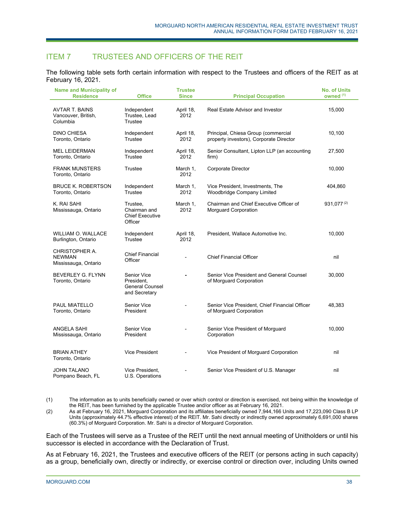# ITEM 7 TRUSTEES AND OFFICERS OF THE REIT

The following table sets forth certain information with respect to the Trustees and officers of the REIT as at February 16, 2021.

| <b>Name and Municipality of</b><br><b>Residence</b>      | <b>Office</b>                                                        | <b>Trustee</b><br><b>Since</b> | <b>Principal Occupation</b>                                                    | <b>No. of Units</b><br>owned <sup>(1)</sup> |
|----------------------------------------------------------|----------------------------------------------------------------------|--------------------------------|--------------------------------------------------------------------------------|---------------------------------------------|
| <b>AVTAR T. BAINS</b><br>Vancouver, British,<br>Columbia | Independent<br>Trustee, Lead<br>Trustee                              | April 18,<br>2012              | Real Estate Advisor and Investor                                               | 15,000                                      |
| <b>DINO CHIESA</b><br>Toronto, Ontario                   | Independent<br>Trustee                                               | April 18,<br>2012              | Principal, Chiesa Group (commercial<br>property investors), Corporate Director | 10,100                                      |
| <b>MEL LEIDERMAN</b><br>Toronto, Ontario                 | Independent<br>Trustee                                               | April 18,<br>2012              | Senior Consultant, Lipton LLP (an accounting<br>firm)                          | 27,500                                      |
| <b>FRANK MUNSTERS</b><br>Toronto, Ontario                | Trustee                                                              | March 1,<br>2012               | <b>Corporate Director</b>                                                      | 10,000                                      |
| <b>BRUCE K. ROBERTSON</b><br>Toronto, Ontario            | Independent<br>Trustee                                               | March 1,<br>2012               | Vice President, Investments, The<br><b>Woodbridge Company Limited</b>          | 404,860                                     |
| K. RAI SAHI<br>Mississauga, Ontario                      | Trustee,<br>Chairman and<br><b>Chief Executive</b><br>Officer        | March 1,<br>2012               | Chairman and Chief Executive Officer of<br>Morguard Corporation                | $931,077^{(2)}$                             |
| <b>WILLIAM O. WALLACE</b><br>Burlington, Ontario         | Independent<br>Trustee                                               | April 18,<br>2012              | President, Wallace Automotive Inc.                                             | 10.000                                      |
| CHRISTOPHER A.<br><b>NEWMAN</b><br>Mississauga, Ontario  | <b>Chief Financial</b><br>Officer                                    |                                | <b>Chief Financial Officer</b>                                                 | nil                                         |
| <b>BEVERLEY G. FLYNN</b><br>Toronto, Ontario             | Senior Vice<br>President.<br><b>General Counsel</b><br>and Secretary |                                | Senior Vice President and General Counsel<br>of Morguard Corporation           | 30,000                                      |
| PAUL MIATELLO<br>Toronto, Ontario                        | Senior Vice<br>President                                             | $\overline{a}$                 | Senior Vice President, Chief Financial Officer<br>of Morguard Corporation      | 48,383                                      |
| ANGELA SAHI<br>Mississauga, Ontario                      | Senior Vice<br>President                                             | $\overline{a}$                 | Senior Vice President of Morguard<br>Corporation                               | 10,000                                      |
| <b>BRIAN ATHEY</b><br>Toronto, Ontario                   | <b>Vice President</b>                                                |                                | Vice President of Morguard Corporation                                         | nil                                         |
| <b>JOHN TALANO</b><br>Pompano Beach, FL                  | Vice President.<br>U.S. Operations                                   | $\overline{\phantom{0}}$       | Senior Vice President of U.S. Manager                                          | nil                                         |

(1) The information as to units beneficially owned or over which control or direction is exercised, not being within the knowledge of the REIT, has been furnished by the applicable Trustee and/or officer as at February 16, 2021.

(2) As at February 16, 2021, Morguard Corporation and its affiliates beneficially owned 7,944,166 Units and 17,223,090 Class B LP Units (approximately 44.7% effective interest) of the REIT. Mr. Sahi directly or indirectly owned approximately 6,691,000 shares (60.3%) of Morguard Corporation. Mr. Sahi is a director of Morguard Corporation.

Each of the Trustees will serve as a Trustee of the REIT until the next annual meeting of Unitholders or until his successor is elected in accordance with the Declaration of Trust.

As at February 16, 2021, the Trustees and executive officers of the REIT (or persons acting in such capacity) as a group, beneficially own, directly or indirectly, or exercise control or direction over, including Units owned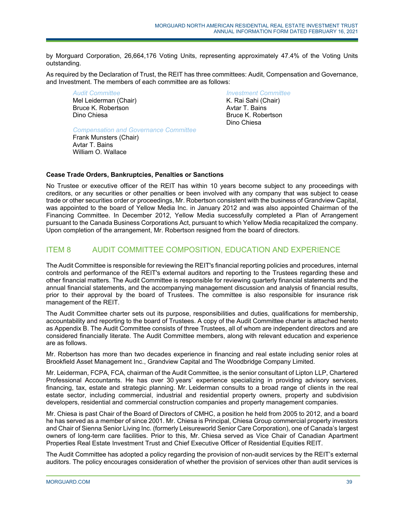by Morguard Corporation, 26,664,176 Voting Units, representing approximately 47.4% of the Voting Units outstanding.

As required by the Declaration of Trust, the REIT has three committees: Audit, Compensation and Governance, and Investment. The members of each committee are as follows:

*Audit Committee*  Mel Leiderman (Chair) Bruce K. Robertson Dino Chiesa

*Investment Committee*  K. Rai Sahi (Chair) Avtar T. Bains Bruce K. Robertson Dino Chiesa

*Compensation and Governance Committee* 

Frank Munsters (Chair) Avtar T. Bains William O. Wallace

# **Cease Trade Orders, Bankruptcies, Penalties or Sanctions**

No Trustee or executive officer of the REIT has within 10 years become subject to any proceedings with creditors, or any securities or other penalties or been involved with any company that was subject to cease trade or other securities order or proceedings, Mr. Robertson consistent with the business of Grandview Capital, was appointed to the board of Yellow Media Inc. in January 2012 and was also appointed Chairman of the Financing Committee. In December 2012, Yellow Media successfully completed a Plan of Arrangement pursuant to the Canada Business Corporations Act, pursuant to which Yellow Media recapitalized the company. Upon completion of the arrangement, Mr. Robertson resigned from the board of directors.

# ITEM 8 AUDIT COMMITTEE COMPOSITION, EDUCATION AND EXPERIENCE

The Audit Committee is responsible for reviewing the REIT's financial reporting policies and procedures, internal controls and performance of the REIT's external auditors and reporting to the Trustees regarding these and other financial matters. The Audit Committee is responsible for reviewing quarterly financial statements and the annual financial statements, and the accompanying management discussion and analysis of financial results, prior to their approval by the board of Trustees. The committee is also responsible for insurance risk management of the REIT.

The Audit Committee charter sets out its purpose, responsibilities and duties, qualifications for membership, accountability and reporting to the board of Trustees. A copy of the Audit Committee charter is attached hereto as Appendix B. The Audit Committee consists of three Trustees, all of whom are independent directors and are considered financially literate. The Audit Committee members, along with relevant education and experience are as follows.

Mr. Robertson has more than two decades experience in financing and real estate including senior roles at Brookfield Asset Management Inc., Grandview Capital and The Woodbridge Company Limited.

Mr. Leiderman, FCPA, FCA, chairman of the Audit Committee, is the senior consultant of Lipton LLP, Chartered Professional Accountants. He has over 30 years' experience specializing in providing advisory services, financing, tax, estate and strategic planning. Mr. Leiderman consults to a broad range of clients in the real estate sector, including commercial, industrial and residential property owners, property and subdivision developers, residential and commercial construction companies and property management companies.

Mr. Chiesa is past Chair of the Board of Directors of CMHC, a position he held from 2005 to 2012, and a board he has served as a member of since 2001. Mr. Chiesa is Principal, Chiesa Group commercial property investors and Chair of Sienna Senior Living Inc. (formerly Leisureworld Senior Care Corporation), one of Canada's largest owners of long-term care facilities. Prior to this, Mr. Chiesa served as Vice Chair of Canadian Apartment Properties Real Estate Investment Trust and Chief Executive Officer of Residential Equities REIT.

The Audit Committee has adopted a policy regarding the provision of non-audit services by the REIT's external auditors. The policy encourages consideration of whether the provision of services other than audit services is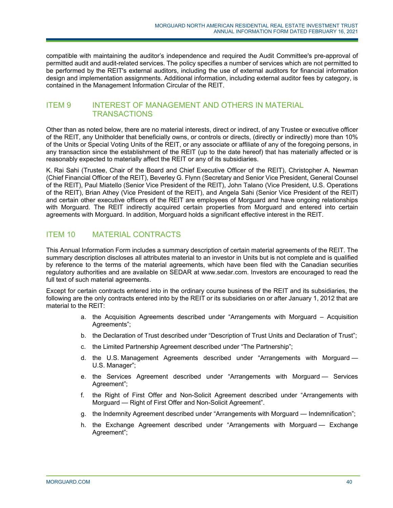compatible with maintaining the auditor's independence and required the Audit Committee's pre-approval of permitted audit and audit-related services. The policy specifies a number of services which are not permitted to be performed by the REIT's external auditors, including the use of external auditors for financial information design and implementation assignments. Additional information, including external auditor fees by category, is contained in the Management Information Circular of the REIT.

# ITEM 9 INTEREST OF MANAGEMENT AND OTHERS IN MATERIAL **TRANSACTIONS**

Other than as noted below, there are no material interests, direct or indirect, of any Trustee or executive officer of the REIT, any Unitholder that beneficially owns, or controls or directs, (directly or indirectly) more than 10% of the Units or Special Voting Units of the REIT, or any associate or affiliate of any of the foregoing persons, in any transaction since the establishment of the REIT (up to the date hereof) that has materially affected or is reasonably expected to materially affect the REIT or any of its subsidiaries.

K. Rai Sahi (Trustee, Chair of the Board and Chief Executive Officer of the REIT), Christopher A. Newman (Chief Financial Officer of the REIT), Beverley G. Flynn (Secretary and Senior Vice President, General Counsel of the REIT), Paul Miatello (Senior Vice President of the REIT), John Talano (Vice President, U.S. Operations of the REIT), Brian Athey (Vice President of the REIT), and Angela Sahi (Senior Vice President of the REIT) and certain other executive officers of the REIT are employees of Morguard and have ongoing relationships with Morguard. The REIT indirectly acquired certain properties from Morguard and entered into certain agreements with Morguard. In addition, Morguard holds a significant effective interest in the REIT.

# ITEM 10 MATERIAL CONTRACTS

This Annual Information Form includes a summary description of certain material agreements of the REIT. The summary description discloses all attributes material to an investor in Units but is not complete and is qualified by reference to the terms of the material agreements, which have been filed with the Canadian securities regulatory authorities and are available on SEDAR at www.sedar.com. Investors are encouraged to read the full text of such material agreements.

Except for certain contracts entered into in the ordinary course business of the REIT and its subsidiaries, the following are the only contracts entered into by the REIT or its subsidiaries on or after January 1, 2012 that are material to the REIT:

- a. the Acquisition Agreements described under "Arrangements with Morguard Acquisition Agreements";
- b. the Declaration of Trust described under "Description of Trust Units and Declaration of Trust";
- c. the Limited Partnership Agreement described under "The Partnership";
- d. the U.S. Management Agreements described under "Arrangements with Morguard U.S. Manager";
- e. the Services Agreement described under "Arrangements with Morguard Services Agreement";
- f. the Right of First Offer and Non-Solicit Agreement described under "Arrangements with Morguard — Right of First Offer and Non-Solicit Agreement".
- g. the Indemnity Agreement described under "Arrangements with Morguard Indemnification";
- h. the Exchange Agreement described under "Arrangements with Morguard Exchange Agreement";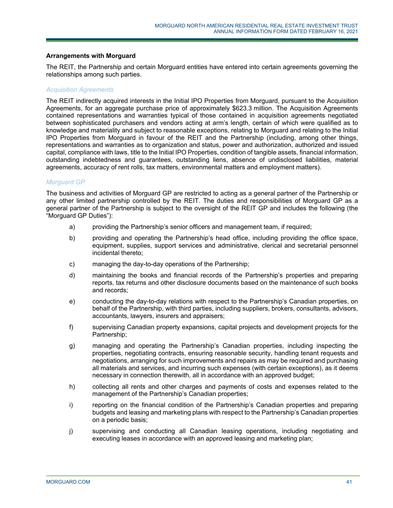#### **Arrangements with Morguard**

The REIT, the Partnership and certain Morguard entities have entered into certain agreements governing the relationships among such parties.

#### *Acquisition Agreements*

The REIT indirectly acquired interests in the Initial IPO Properties from Morguard, pursuant to the Acquisition Agreements, for an aggregate purchase price of approximately \$623.3 million. The Acquisition Agreements contained representations and warranties typical of those contained in acquisition agreements negotiated between sophisticated purchasers and vendors acting at arm's length, certain of which were qualified as to knowledge and materiality and subject to reasonable exceptions, relating to Morguard and relating to the Initial IPO Properties from Morguard in favour of the REIT and the Partnership (including, among other things, representations and warranties as to organization and status, power and authorization, authorized and issued capital, compliance with laws, title to the Initial IPO Properties, condition of tangible assets, financial information, outstanding indebtedness and guarantees, outstanding liens, absence of undisclosed liabilities, material agreements, accuracy of rent rolls, tax matters, environmental matters and employment matters).

#### *Morguard GP*

The business and activities of Morguard GP are restricted to acting as a general partner of the Partnership or any other limited partnership controlled by the REIT. The duties and responsibilities of Morguard GP as a general partner of the Partnership is subject to the oversight of the REIT GP and includes the following (the "Morguard GP Duties"):

- a) providing the Partnership's senior officers and management team, if required;
- b) providing and operating the Partnership's head office, including providing the office space, equipment, supplies, support services and administrative, clerical and secretarial personnel incidental thereto;
- c) managing the day-to-day operations of the Partnership;
- d) maintaining the books and financial records of the Partnership's properties and preparing reports, tax returns and other disclosure documents based on the maintenance of such books and records;
- e) conducting the day-to-day relations with respect to the Partnership's Canadian properties, on behalf of the Partnership, with third parties, including suppliers, brokers, consultants, advisors, accountants, lawyers, insurers and appraisers;
- f) supervising Canadian property expansions, capital projects and development projects for the Partnership;
- g) managing and operating the Partnership's Canadian properties, including inspecting the properties, negotiating contracts, ensuring reasonable security, handling tenant requests and negotiations, arranging for such improvements and repairs as may be required and purchasing all materials and services, and incurring such expenses (with certain exceptions), as it deems necessary in connection therewith, all in accordance with an approved budget;
- h) collecting all rents and other charges and payments of costs and expenses related to the management of the Partnership's Canadian properties;
- i) reporting on the financial condition of the Partnership's Canadian properties and preparing budgets and leasing and marketing plans with respect to the Partnership's Canadian properties on a periodic basis;
- j) supervising and conducting all Canadian leasing operations, including negotiating and executing leases in accordance with an approved leasing and marketing plan;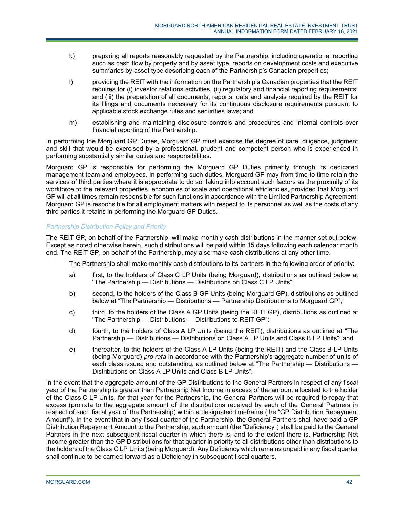- k) preparing all reports reasonably requested by the Partnership, including operational reporting such as cash flow by property and by asset type, reports on development costs and executive summaries by asset type describing each of the Partnership's Canadian properties;
- l) providing the REIT with the information on the Partnership's Canadian properties that the REIT requires for (i) investor relations activities, (ii) regulatory and financial reporting requirements, and (iii) the preparation of all documents, reports, data and analysis required by the REIT for its filings and documents necessary for its continuous disclosure requirements pursuant to applicable stock exchange rules and securities laws; and
- m) establishing and maintaining disclosure controls and procedures and internal controls over financial reporting of the Partnership.

In performing the Morguard GP Duties, Morguard GP must exercise the degree of care, diligence, judgment and skill that would be exercised by a professional, prudent and competent person who is experienced in performing substantially similar duties and responsibilities.

Morguard GP is responsible for performing the Morguard GP Duties primarily through its dedicated management team and employees. In performing such duties, Morguard GP may from time to time retain the services of third parties where it is appropriate to do so, taking into account such factors as the proximity of its workforce to the relevant properties, economies of scale and operational efficiencies, provided that Morguard GP will at all times remain responsible for such functions in accordance with the Limited Partnership Agreement. Morguard GP is responsible for all employment matters with respect to its personnel as well as the costs of any third parties it retains in performing the Morguard GP Duties.

## *Partnership Distribution Policy and Priority*

The REIT GP, on behalf of the Partnership, will make monthly cash distributions in the manner set out below. Except as noted otherwise herein, such distributions will be paid within 15 days following each calendar month end. The REIT GP, on behalf of the Partnership, may also make cash distributions at any other time.

The Partnership shall make monthly cash distributions to its partners in the following order of priority:

- a) first, to the holders of Class C LP Units (being Morguard), distributions as outlined below at "The Partnership — Distributions — Distributions on Class C LP Units";
- b) second, to the holders of the Class B GP Units (being Morguard GP), distributions as outlined below at "The Partnership — Distributions — Partnership Distributions to Morguard GP";
- c) third, to the holders of the Class A GP Units (being the REIT GP), distributions as outlined at "The Partnership — Distributions — Distributions to REIT GP";
- d) fourth, to the holders of Class A LP Units (being the REIT), distributions as outlined at "The Partnership — Distributions — Distributions on Class A LP Units and Class B LP Units"; and
- e) thereafter, to the holders of the Class A LP Units (being the REIT) and the Class B LP Units (being Morguard) *pro rata* in accordance with the Partnership's aggregate number of units of each class issued and outstanding, as outlined below at "The Partnership — Distributions — Distributions on Class A LP Units and Class B LP Units".

In the event that the aggregate amount of the GP Distributions to the General Partners in respect of any fiscal year of the Partnership is greater than Partnership Net Income in excess of the amount allocated to the holder of the Class C LP Units, for that year for the Partnership, the General Partners will be required to repay that excess (pro rata to the aggregate amount of the distributions received by each of the General Partners in respect of such fiscal year of the Partnership) within a designated timeframe (the "GP Distribution Repayment Amount"). In the event that in any fiscal quarter of the Partnership, the General Partners shall have paid a GP Distribution Repayment Amount to the Partnership, such amount (the "Deficiency") shall be paid to the General Partners in the next subsequent fiscal quarter in which there is, and to the extent there is, Partnership Net Income greater than the GP Distributions for that quarter in priority to all distributions other than distributions to the holders of the Class C LP Units (being Morguard). Any Deficiency which remains unpaid in any fiscal quarter shall continue to be carried forward as a Deficiency in subsequent fiscal quarters.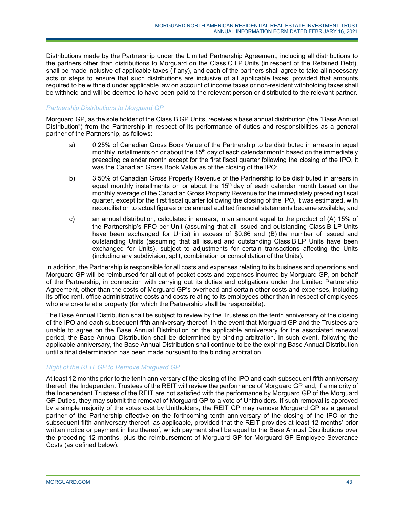Distributions made by the Partnership under the Limited Partnership Agreement, including all distributions to the partners other than distributions to Morguard on the Class C LP Units (in respect of the Retained Debt), shall be made inclusive of applicable taxes (if any), and each of the partners shall agree to take all necessary acts or steps to ensure that such distributions are inclusive of all applicable taxes; provided that amounts required to be withheld under applicable law on account of income taxes or non-resident withholding taxes shall be withheld and will be deemed to have been paid to the relevant person or distributed to the relevant partner.

## *Partnership Distributions to Morguard GP*

Morguard GP, as the sole holder of the Class B GP Units, receives a base annual distribution (the "Base Annual Distribution") from the Partnership in respect of its performance of duties and responsibilities as a general partner of the Partnership, as follows:

- a) 0.25% of Canadian Gross Book Value of the Partnership to be distributed in arrears in equal monthly installments on or about the  $15<sup>th</sup>$  day of each calendar month based on the immediately preceding calendar month except for the first fiscal quarter following the closing of the IPO, it was the Canadian Gross Book Value as of the closing of the IPO;
- b) 3.50% of Canadian Gross Property Revenue of the Partnership to be distributed in arrears in equal monthly installments on or about the  $15<sup>th</sup>$  day of each calendar month based on the monthly average of the Canadian Gross Property Revenue for the immediately preceding fiscal quarter, except for the first fiscal quarter following the closing of the IPO, it was estimated, with reconciliation to actual figures once annual audited financial statements became available; and
- c) an annual distribution, calculated in arrears, in an amount equal to the product of (A) 15% of the Partnership's FFO per Unit (assuming that all issued and outstanding Class B LP Units have been exchanged for Units) in excess of \$0.66 and (B) the number of issued and outstanding Units (assuming that all issued and outstanding Class B LP Units have been exchanged for Units), subject to adjustments for certain transactions affecting the Units (including any subdivision, split, combination or consolidation of the Units).

In addition, the Partnership is responsible for all costs and expenses relating to its business and operations and Morguard GP will be reimbursed for all out-of-pocket costs and expenses incurred by Morguard GP, on behalf of the Partnership, in connection with carrying out its duties and obligations under the Limited Partnership Agreement, other than the costs of Morguard GP's overhead and certain other costs and expenses, including its office rent, office administrative costs and costs relating to its employees other than in respect of employees who are on-site at a property (for which the Partnership shall be responsible).

The Base Annual Distribution shall be subject to review by the Trustees on the tenth anniversary of the closing of the IPO and each subsequent fifth anniversary thereof. In the event that Morguard GP and the Trustees are unable to agree on the Base Annual Distribution on the applicable anniversary for the associated renewal period, the Base Annual Distribution shall be determined by binding arbitration. In such event, following the applicable anniversary, the Base Annual Distribution shall continue to be the expiring Base Annual Distribution until a final determination has been made pursuant to the binding arbitration.

## *Right of the REIT GP to Remove Morguard GP*

At least 12 months prior to the tenth anniversary of the closing of the IPO and each subsequent fifth anniversary thereof, the Independent Trustees of the REIT will review the performance of Morguard GP and, if a majority of the Independent Trustees of the REIT are not satisfied with the performance by Morguard GP of the Morguard GP Duties, they may submit the removal of Morguard GP to a vote of Unitholders. If such removal is approved by a simple majority of the votes cast by Unitholders, the REIT GP may remove Morguard GP as a general partner of the Partnership effective on the forthcoming tenth anniversary of the closing of the IPO or the subsequent fifth anniversary thereof, as applicable, provided that the REIT provides at least 12 months' prior written notice or payment in lieu thereof, which payment shall be equal to the Base Annual Distributions over the preceding 12 months, plus the reimbursement of Morguard GP for Morguard GP Employee Severance Costs (as defined below).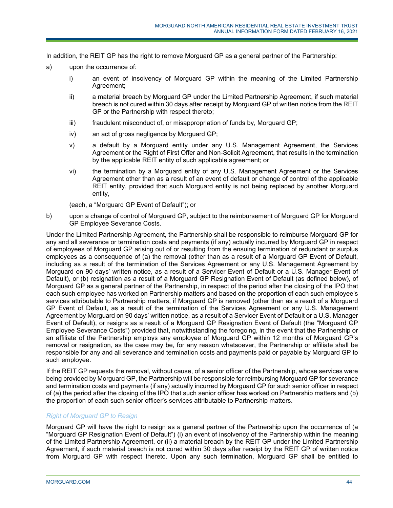In addition, the REIT GP has the right to remove Morguard GP as a general partner of the Partnership:

- a) upon the occurrence of:
	- i) an event of insolvency of Morguard GP within the meaning of the Limited Partnership Agreement;
	- ii) a material breach by Morguard GP under the Limited Partnership Agreement, if such material breach is not cured within 30 days after receipt by Morguard GP of written notice from the REIT GP or the Partnership with respect thereto;
	- iii) fraudulent misconduct of, or misappropriation of funds by, Morguard GP;
	- iv) an act of gross negligence by Morguard GP;
	- v) a default by a Morguard entity under any U.S. Management Agreement, the Services Agreement or the Right of First Offer and Non-Solicit Agreement, that results in the termination by the applicable REIT entity of such applicable agreement; or
	- vi) the termination by a Morguard entity of any U.S. Management Agreement or the Services Agreement other than as a result of an event of default or change of control of the applicable REIT entity, provided that such Morguard entity is not being replaced by another Morguard entity,

(each, a "Morguard GP Event of Default"); or

b) upon a change of control of Morguard GP, subject to the reimbursement of Morguard GP for Morguard GP Employee Severance Costs.

Under the Limited Partnership Agreement, the Partnership shall be responsible to reimburse Morguard GP for any and all severance or termination costs and payments (if any) actually incurred by Morguard GP in respect of employees of Morguard GP arising out of or resulting from the ensuing termination of redundant or surplus employees as a consequence of (a) the removal (other than as a result of a Morguard GP Event of Default, including as a result of the termination of the Services Agreement or any U.S. Management Agreement by Morguard on 90 days' written notice, as a result of a Servicer Event of Default or a U.S. Manager Event of Default), or (b) resignation as a result of a Morguard GP Resignation Event of Default (as defined below), of Morguard GP as a general partner of the Partnership, in respect of the period after the closing of the IPO that each such employee has worked on Partnership matters and based on the proportion of each such employee's services attributable to Partnership matters, if Morguard GP is removed (other than as a result of a Morguard GP Event of Default, as a result of the termination of the Services Agreement or any U.S. Management Agreement by Morguard on 90 days' written notice, as a result of a Servicer Event of Default or a U.S. Manager Event of Default), or resigns as a result of a Morguard GP Resignation Event of Default (the "Morguard GP Employee Severance Costs") provided that, notwithstanding the foregoing, in the event that the Partnership or an affiliate of the Partnership employs any employee of Morguard GP within 12 months of Morguard GP's removal or resignation, as the case may be, for any reason whatsoever, the Partnership or affiliate shall be responsible for any and all severance and termination costs and payments paid or payable by Morguard GP to such employee.

If the REIT GP requests the removal, without cause, of a senior officer of the Partnership, whose services were being provided by Morguard GP, the Partnership will be responsible for reimbursing Morguard GP for severance and termination costs and payments (if any) actually incurred by Morguard GP for such senior officer in respect of (a) the period after the closing of the IPO that such senior officer has worked on Partnership matters and (b) the proportion of each such senior officer's services attributable to Partnership matters.

## *Right of Morguard GP to Resign*

Morguard GP will have the right to resign as a general partner of the Partnership upon the occurrence of (a "Morguard GP Resignation Event of Default") (i) an event of insolvency of the Partnership within the meaning of the Limited Partnership Agreement, or (ii) a material breach by the REIT GP under the Limited Partnership Agreement, if such material breach is not cured within 30 days after receipt by the REIT GP of written notice from Morguard GP with respect thereto. Upon any such termination, Morguard GP shall be entitled to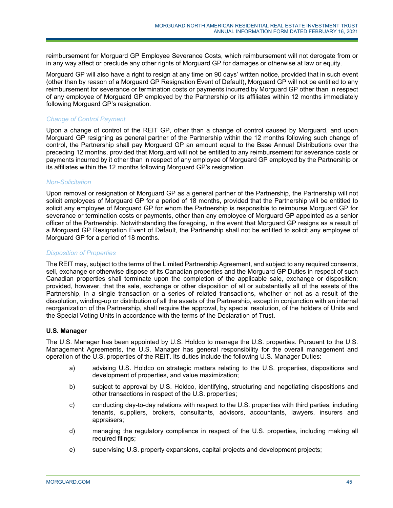reimbursement for Morguard GP Employee Severance Costs, which reimbursement will not derogate from or in any way affect or preclude any other rights of Morguard GP for damages or otherwise at law or equity.

Morguard GP will also have a right to resign at any time on 90 days' written notice, provided that in such event (other than by reason of a Morguard GP Resignation Event of Default), Morguard GP will not be entitled to any reimbursement for severance or termination costs or payments incurred by Morguard GP other than in respect of any employee of Morguard GP employed by the Partnership or its affiliates within 12 months immediately following Morguard GP's resignation.

## *Change of Control Payment*

Upon a change of control of the REIT GP, other than a change of control caused by Morguard, and upon Morguard GP resigning as general partner of the Partnership within the 12 months following such change of control, the Partnership shall pay Morguard GP an amount equal to the Base Annual Distributions over the preceding 12 months, provided that Morguard will not be entitled to any reimbursement for severance costs or payments incurred by it other than in respect of any employee of Morguard GP employed by the Partnership or its affiliates within the 12 months following Morguard GP's resignation.

#### *Non-Solicitation*

Upon removal or resignation of Morguard GP as a general partner of the Partnership, the Partnership will not solicit employees of Morguard GP for a period of 18 months, provided that the Partnership will be entitled to solicit any employee of Morguard GP for whom the Partnership is responsible to reimburse Morguard GP for severance or termination costs or payments, other than any employee of Morguard GP appointed as a senior officer of the Partnership. Notwithstanding the foregoing, in the event that Morguard GP resigns as a result of a Morguard GP Resignation Event of Default, the Partnership shall not be entitled to solicit any employee of Morguard GP for a period of 18 months.

## *Disposition of Properties*

The REIT may, subject to the terms of the Limited Partnership Agreement, and subject to any required consents, sell, exchange or otherwise dispose of its Canadian properties and the Morguard GP Duties in respect of such Canadian properties shall terminate upon the completion of the applicable sale, exchange or disposition; provided, however, that the sale, exchange or other disposition of all or substantially all of the assets of the Partnership, in a single transaction or a series of related transactions, whether or not as a result of the dissolution, winding-up or distribution of all the assets of the Partnership, except in conjunction with an internal reorganization of the Partnership, shall require the approval, by special resolution, of the holders of Units and the Special Voting Units in accordance with the terms of the Declaration of Trust.

## **U.S. Manager**

The U.S. Manager has been appointed by U.S. Holdco to manage the U.S. properties. Pursuant to the U.S. Management Agreements, the U.S. Manager has general responsibility for the overall management and operation of the U.S. properties of the REIT. Its duties include the following U.S. Manager Duties:

- a) advising U.S. Holdco on strategic matters relating to the U.S. properties, dispositions and development of properties, and value maximization;
- b) subject to approval by U.S. Holdco, identifying, structuring and negotiating dispositions and other transactions in respect of the U.S. properties;
- c) conducting day-to-day relations with respect to the U.S. properties with third parties, including tenants, suppliers, brokers, consultants, advisors, accountants, lawyers, insurers and appraisers;
- d) managing the regulatory compliance in respect of the U.S. properties, including making all required filings;
- e) supervising U.S. property expansions, capital projects and development projects;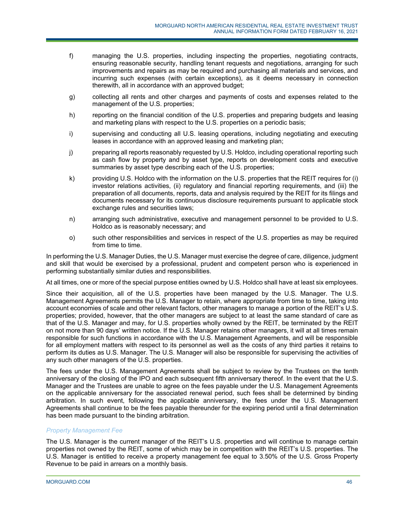- f) managing the U.S. properties, including inspecting the properties, negotiating contracts, ensuring reasonable security, handling tenant requests and negotiations, arranging for such improvements and repairs as may be required and purchasing all materials and services, and incurring such expenses (with certain exceptions), as it deems necessary in connection therewith, all in accordance with an approved budget;
- g) collecting all rents and other charges and payments of costs and expenses related to the management of the U.S. properties;
- h) reporting on the financial condition of the U.S. properties and preparing budgets and leasing and marketing plans with respect to the U.S. properties on a periodic basis;
- i) supervising and conducting all U.S. leasing operations, including negotiating and executing leases in accordance with an approved leasing and marketing plan;
- j) preparing all reports reasonably requested by U.S. Holdco, including operational reporting such as cash flow by property and by asset type, reports on development costs and executive summaries by asset type describing each of the U.S. properties;
- k) providing U.S. Holdco with the information on the U.S. properties that the REIT requires for (i) investor relations activities, (ii) regulatory and financial reporting requirements, and (iii) the preparation of all documents, reports, data and analysis required by the REIT for its filings and documents necessary for its continuous disclosure requirements pursuant to applicable stock exchange rules and securities laws;
- n) arranging such administrative, executive and management personnel to be provided to U.S. Holdco as is reasonably necessary; and
- o) such other responsibilities and services in respect of the U.S. properties as may be required from time to time.

In performing the U.S. Manager Duties, the U.S. Manager must exercise the degree of care, diligence, judgment and skill that would be exercised by a professional, prudent and competent person who is experienced in performing substantially similar duties and responsibilities.

At all times, one or more of the special purpose entities owned by U.S. Holdco shall have at least six employees.

Since their acquisition, all of the U.S. properties have been managed by the U.S. Manager. The U.S. Management Agreements permits the U.S. Manager to retain, where appropriate from time to time, taking into account economies of scale and other relevant factors, other managers to manage a portion of the REIT's U.S. properties; provided, however, that the other managers are subject to at least the same standard of care as that of the U.S. Manager and may, for U.S. properties wholly owned by the REIT, be terminated by the REIT on not more than 90 days' written notice. If the U.S. Manager retains other managers, it will at all times remain responsible for such functions in accordance with the U.S. Management Agreements, and will be responsible for all employment matters with respect to its personnel as well as the costs of any third parties it retains to perform its duties as U.S. Manager. The U.S. Manager will also be responsible for supervising the activities of any such other managers of the U.S. properties.

The fees under the U.S. Management Agreements shall be subject to review by the Trustees on the tenth anniversary of the closing of the IPO and each subsequent fifth anniversary thereof. In the event that the U.S. Manager and the Trustees are unable to agree on the fees payable under the U.S. Management Agreements on the applicable anniversary for the associated renewal period, such fees shall be determined by binding arbitration. In such event, following the applicable anniversary, the fees under the U.S. Management Agreements shall continue to be the fees payable thereunder for the expiring period until a final determination has been made pursuant to the binding arbitration.

# *Property Management Fee*

The U.S. Manager is the current manager of the REIT's U.S. properties and will continue to manage certain properties not owned by the REIT, some of which may be in competition with the REIT's U.S. properties. The U.S. Manager is entitled to receive a property management fee equal to 3.50% of the U.S. Gross Property Revenue to be paid in arrears on a monthly basis.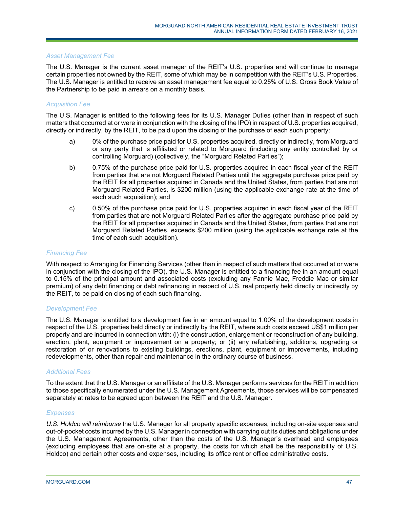### *Asset Management Fee*

The U.S. Manager is the current asset manager of the REIT's U.S. properties and will continue to manage certain properties not owned by the REIT, some of which may be in competition with the REIT's U.S. Properties. The U.S. Manager is entitled to receive an asset management fee equal to 0.25% of U.S. Gross Book Value of the Partnership to be paid in arrears on a monthly basis.

## *Acquisition Fee*

The U.S. Manager is entitled to the following fees for its U.S. Manager Duties (other than in respect of such matters that occurred at or were in conjunction with the closing of the IPO) in respect of U.S. properties acquired, directly or indirectly, by the REIT, to be paid upon the closing of the purchase of each such property:

- a) 0% of the purchase price paid for U.S. properties acquired, directly or indirectly, from Morguard or any party that is affiliated or related to Morguard (including any entity controlled by or controlling Morguard) (collectively, the "Morguard Related Parties");
- b) 0.75% of the purchase price paid for U.S. properties acquired in each fiscal year of the REIT from parties that are not Morguard Related Parties until the aggregate purchase price paid by the REIT for all properties acquired in Canada and the United States, from parties that are not Morguard Related Parties, is \$200 million (using the applicable exchange rate at the time of each such acquisition); and
- c) 0.50% of the purchase price paid for U.S. properties acquired in each fiscal year of the REIT from parties that are not Morguard Related Parties after the aggregate purchase price paid by the REIT for all properties acquired in Canada and the United States, from parties that are not Morguard Related Parties, exceeds \$200 million (using the applicable exchange rate at the time of each such acquisition).

### *Financing Fee*

With respect to Arranging for Financing Services (other than in respect of such matters that occurred at or were in conjunction with the closing of the IPO), the U.S. Manager is entitled to a financing fee in an amount equal to 0.15% of the principal amount and associated costs (excluding any Fannie Mae, Freddie Mac or similar premium) of any debt financing or debt refinancing in respect of U.S. real property held directly or indirectly by the REIT, to be paid on closing of each such financing.

#### *Development Fee*

The U.S. Manager is entitled to a development fee in an amount equal to 1.00% of the development costs in respect of the U.S. properties held directly or indirectly by the REIT, where such costs exceed US\$1 million per property and are incurred in connection with: (i) the construction, enlargement or reconstruction of any building, erection, plant, equipment or improvement on a property; or (ii) any refurbishing, additions, upgrading or restoration of or renovations to existing buildings, erections, plant, equipment or improvements, including redevelopments, other than repair and maintenance in the ordinary course of business.

## *Additional Fees*

To the extent that the U.S. Manager or an affiliate of the U.S. Manager performs services for the REIT in addition to those specifically enumerated under the U.S. Management Agreements, those services will be compensated separately at rates to be agreed upon between the REIT and the U.S. Manager.

#### *Expenses*

*U.S. Holdco will reimburse* the U.S. Manager for all property specific expenses, including on-site expenses and out-of-pocket costs incurred by the U.S. Manager in connection with carrying out its duties and obligations under the U.S. Management Agreements, other than the costs of the U.S. Manager's overhead and employees (excluding employees that are on-site at a property, the costs for which shall be the responsibility of U.S. Holdco) and certain other costs and expenses, including its office rent or office administrative costs.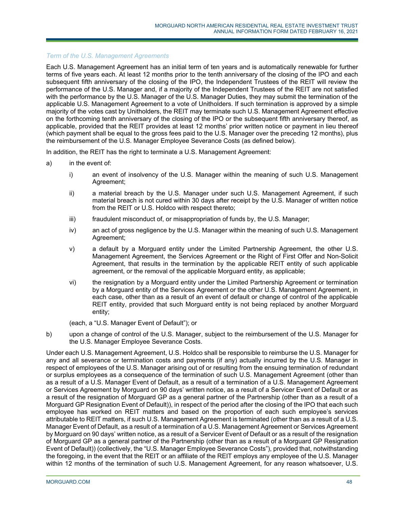## *Term of the U.S. Management Agreements*

Each U.S. Management Agreement has an initial term of ten years and is automatically renewable for further terms of five years each. At least 12 months prior to the tenth anniversary of the closing of the IPO and each subsequent fifth anniversary of the closing of the IPO, the Independent Trustees of the REIT will review the performance of the U.S. Manager and, if a majority of the Independent Trustees of the REIT are not satisfied with the performance by the U.S. Manager of the U.S. Manager Duties, they may submit the termination of the applicable U.S. Management Agreement to a vote of Unitholders. If such termination is approved by a simple majority of the votes cast by Unitholders, the REIT may terminate such U.S. Management Agreement effective on the forthcoming tenth anniversary of the closing of the IPO or the subsequent fifth anniversary thereof, as applicable, provided that the REIT provides at least 12 months' prior written notice or payment in lieu thereof (which payment shall be equal to the gross fees paid to the U.S. Manager over the preceding 12 months), plus the reimbursement of the U.S. Manager Employee Severance Costs (as defined below).

In addition, the REIT has the right to terminate a U.S. Management Agreement:

- a) in the event of:
	- i) an event of insolvency of the U.S. Manager within the meaning of such U.S. Management Agreement;
	- ii) a material breach by the U.S. Manager under such U.S. Management Agreement, if such material breach is not cured within 30 days after receipt by the U.S. Manager of written notice from the REIT or U.S. Holdco with respect thereto;
	- iii) fraudulent misconduct of, or misappropriation of funds by, the U.S. Manager;
	- iv) an act of gross negligence by the U.S. Manager within the meaning of such U.S. Management Agreement;
	- v) a default by a Morguard entity under the Limited Partnership Agreement, the other U.S. Management Agreement, the Services Agreement or the Right of First Offer and Non-Solicit Agreement, that results in the termination by the applicable REIT entity of such applicable agreement, or the removal of the applicable Morguard entity, as applicable;
	- vi) the resignation by a Morguard entity under the Limited Partnership Agreement or termination by a Morguard entity of the Services Agreement or the other U.S. Management Agreement, in each case, other than as a result of an event of default or change of control of the applicable REIT entity, provided that such Morguard entity is not being replaced by another Morguard entity;

(each, a "U.S. Manager Event of Default"); or

b) upon a change of control of the U.S. Manager, subject to the reimbursement of the U.S. Manager for the U.S. Manager Employee Severance Costs.

Under each U.S. Management Agreement, U.S. Holdco shall be responsible to reimburse the U.S. Manager for any and all severance or termination costs and payments (if any) actually incurred by the U.S. Manager in respect of employees of the U.S. Manager arising out of or resulting from the ensuing termination of redundant or surplus employees as a consequence of the termination of such U.S. Management Agreement (other than as a result of a U.S. Manager Event of Default, as a result of a termination of a U.S. Management Agreement or Services Agreement by Morguard on 90 days' written notice, as a result of a Servicer Event of Default or as a result of the resignation of Morguard GP as a general partner of the Partnership (other than as a result of a Morguard GP Resignation Event of Default)), in respect of the period after the closing of the IPO that each such employee has worked on REIT matters and based on the proportion of each such employee's services attributable to REIT matters, if such U.S. Management Agreement is terminated (other than as a result of a U.S. Manager Event of Default, as a result of a termination of a U.S. Management Agreement or Services Agreement by Morguard on 90 days' written notice, as a result of a Servicer Event of Default or as a result of the resignation of Morguard GP as a general partner of the Partnership (other than as a result of a Morguard GP Resignation Event of Default)) (collectively, the "U.S. Manager Employee Severance Costs"), provided that, notwithstanding the foregoing, in the event that the REIT or an affiliate of the REIT employs any employee of the U.S. Manager within 12 months of the termination of such U.S. Management Agreement, for any reason whatsoever, U.S.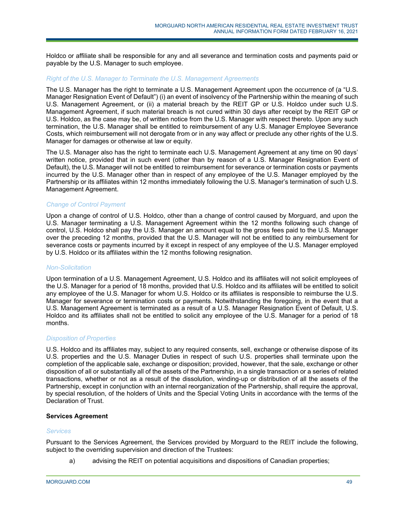Holdco or affiliate shall be responsible for any and all severance and termination costs and payments paid or payable by the U.S. Manager to such employee.

#### *Right of the U.S. Manager to Terminate the U.S. Management Agreements*

The U.S. Manager has the right to terminate a U.S. Management Agreement upon the occurrence of (a "U.S. Manager Resignation Event of Default") (i) an event of insolvency of the Partnership within the meaning of such U.S. Management Agreement, or (ii) a material breach by the REIT GP or U.S. Holdco under such U.S. Management Agreement, if such material breach is not cured within 30 days after receipt by the REIT GP or U.S. Holdco, as the case may be, of written notice from the U.S. Manager with respect thereto. Upon any such termination, the U.S. Manager shall be entitled to reimbursement of any U.S. Manager Employee Severance Costs, which reimbursement will not derogate from or in any way affect or preclude any other rights of the U.S. Manager for damages or otherwise at law or equity.

The U.S. Manager also has the right to terminate each U.S. Management Agreement at any time on 90 days' written notice, provided that in such event (other than by reason of a U.S. Manager Resignation Event of Default), the U.S. Manager will not be entitled to reimbursement for severance or termination costs or payments incurred by the U.S. Manager other than in respect of any employee of the U.S. Manager employed by the Partnership or its affiliates within 12 months immediately following the U.S. Manager's termination of such U.S. Management Agreement.

## *Change of Control Payment*

Upon a change of control of U.S. Holdco, other than a change of control caused by Morguard, and upon the U.S. Manager terminating a U.S. Management Agreement within the 12 months following such change of control, U.S. Holdco shall pay the U.S. Manager an amount equal to the gross fees paid to the U.S. Manager over the preceding 12 months, provided that the U.S. Manager will not be entitled to any reimbursement for severance costs or payments incurred by it except in respect of any employee of the U.S. Manager employed by U.S. Holdco or its affiliates within the 12 months following resignation.

## *Non-Solicitation*

Upon termination of a U.S. Management Agreement, U.S. Holdco and its affiliates will not solicit employees of the U.S. Manager for a period of 18 months, provided that U.S. Holdco and its affiliates will be entitled to solicit any employee of the U.S. Manager for whom U.S. Holdco or its affiliates is responsible to reimburse the U.S. Manager for severance or termination costs or payments. Notwithstanding the foregoing, in the event that a U.S. Management Agreement is terminated as a result of a U.S. Manager Resignation Event of Default, U.S. Holdco and its affiliates shall not be entitled to solicit any employee of the U.S. Manager for a period of 18 months.

## *Disposition of Properties*

U.S. Holdco and its affiliates may, subject to any required consents, sell, exchange or otherwise dispose of its U.S. properties and the U.S. Manager Duties in respect of such U.S. properties shall terminate upon the completion of the applicable sale, exchange or disposition; provided, however, that the sale, exchange or other disposition of all or substantially all of the assets of the Partnership, in a single transaction or a series of related transactions, whether or not as a result of the dissolution, winding-up or distribution of all the assets of the Partnership, except in conjunction with an internal reorganization of the Partnership, shall require the approval, by special resolution, of the holders of Units and the Special Voting Units in accordance with the terms of the Declaration of Trust.

## **Services Agreement**

#### *Services*

Pursuant to the Services Agreement, the Services provided by Morguard to the REIT include the following, subject to the overriding supervision and direction of the Trustees:

a) advising the REIT on potential acquisitions and dispositions of Canadian properties;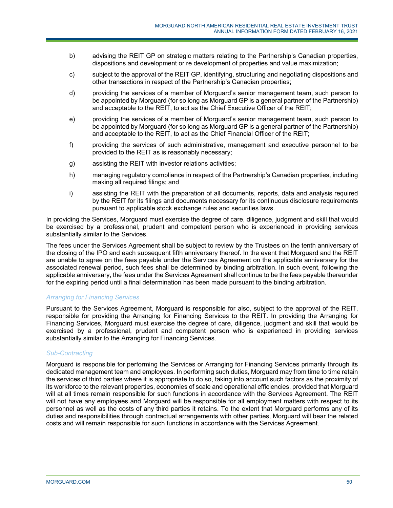- b) advising the REIT GP on strategic matters relating to the Partnership's Canadian properties, dispositions and development or re development of properties and value maximization;
- c) subject to the approval of the REIT GP, identifying, structuring and negotiating dispositions and other transactions in respect of the Partnership's Canadian properties;
- d) providing the services of a member of Morguard's senior management team, such person to be appointed by Morguard (for so long as Morguard GP is a general partner of the Partnership) and acceptable to the REIT, to act as the Chief Executive Officer of the REIT;
- e) providing the services of a member of Morguard's senior management team, such person to be appointed by Morguard (for so long as Morguard GP is a general partner of the Partnership) and acceptable to the REIT, to act as the Chief Financial Officer of the REIT;
- f) providing the services of such administrative, management and executive personnel to be provided to the REIT as is reasonably necessary;
- g) assisting the REIT with investor relations activities;
- h) managing regulatory compliance in respect of the Partnership's Canadian properties, including making all required filings; and
- i) assisting the REIT with the preparation of all documents, reports, data and analysis required by the REIT for its filings and documents necessary for its continuous disclosure requirements pursuant to applicable stock exchange rules and securities laws.

In providing the Services, Morguard must exercise the degree of care, diligence, judgment and skill that would be exercised by a professional, prudent and competent person who is experienced in providing services substantially similar to the Services.

The fees under the Services Agreement shall be subject to review by the Trustees on the tenth anniversary of the closing of the IPO and each subsequent fifth anniversary thereof. In the event that Morguard and the REIT are unable to agree on the fees payable under the Services Agreement on the applicable anniversary for the associated renewal period, such fees shall be determined by binding arbitration. In such event, following the applicable anniversary, the fees under the Services Agreement shall continue to be the fees payable thereunder for the expiring period until a final determination has been made pursuant to the binding arbitration.

## *Arranging for Financing Services*

Pursuant to the Services Agreement, Morguard is responsible for also, subject to the approval of the REIT, responsible for providing the Arranging for Financing Services to the REIT. In providing the Arranging for Financing Services, Morguard must exercise the degree of care, diligence, judgment and skill that would be exercised by a professional, prudent and competent person who is experienced in providing services substantially similar to the Arranging for Financing Services.

## *Sub-Contracting*

Morguard is responsible for performing the Services or Arranging for Financing Services primarily through its dedicated management team and employees. In performing such duties, Morguard may from time to time retain the services of third parties where it is appropriate to do so, taking into account such factors as the proximity of its workforce to the relevant properties, economies of scale and operational efficiencies, provided that Morguard will at all times remain responsible for such functions in accordance with the Services Agreement. The REIT will not have any employees and Morguard will be responsible for all employment matters with respect to its personnel as well as the costs of any third parties it retains. To the extent that Morguard performs any of its duties and responsibilities through contractual arrangements with other parties, Morguard will bear the related costs and will remain responsible for such functions in accordance with the Services Agreement.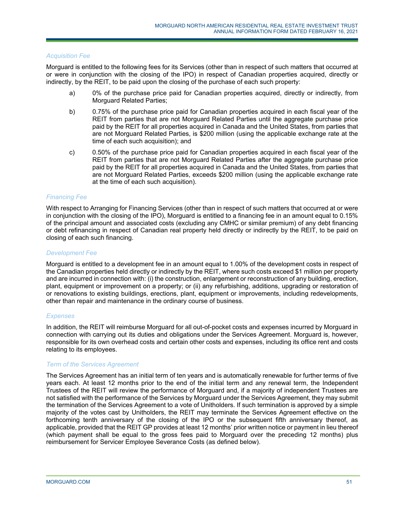#### *Acquisition Fee*

Morguard is entitled to the following fees for its Services (other than in respect of such matters that occurred at or were in conjunction with the closing of the IPO) in respect of Canadian properties acquired, directly or indirectly, by the REIT, to be paid upon the closing of the purchase of each such property:

- a) 0% of the purchase price paid for Canadian properties acquired, directly or indirectly, from Morguard Related Parties;
- b) 0.75% of the purchase price paid for Canadian properties acquired in each fiscal year of the REIT from parties that are not Morguard Related Parties until the aggregate purchase price paid by the REIT for all properties acquired in Canada and the United States, from parties that are not Morguard Related Parties, is \$200 million (using the applicable exchange rate at the time of each such acquisition); and
- c) 0.50% of the purchase price paid for Canadian properties acquired in each fiscal year of the REIT from parties that are not Morguard Related Parties after the aggregate purchase price paid by the REIT for all properties acquired in Canada and the United States, from parties that are not Morguard Related Parties, exceeds \$200 million (using the applicable exchange rate at the time of each such acquisition).

#### *Financing Fee*

With respect to Arranging for Financing Services (other than in respect of such matters that occurred at or were in conjunction with the closing of the IPO), Morguard is entitled to a financing fee in an amount equal to 0.15% of the principal amount and associated costs (excluding any CMHC or similar premium) of any debt financing or debt refinancing in respect of Canadian real property held directly or indirectly by the REIT, to be paid on closing of each such financing.

#### *Development Fee*

Morguard is entitled to a development fee in an amount equal to 1.00% of the development costs in respect of the Canadian properties held directly or indirectly by the REIT, where such costs exceed \$1 million per property and are incurred in connection with: (i) the construction, enlargement or reconstruction of any building, erection, plant, equipment or improvement on a property; or (ii) any refurbishing, additions, upgrading or restoration of or renovations to existing buildings, erections, plant, equipment or improvements, including redevelopments, other than repair and maintenance in the ordinary course of business.

## *Expenses*

In addition, the REIT will reimburse Morguard for all out-of-pocket costs and expenses incurred by Morguard in connection with carrying out its duties and obligations under the Services Agreement. Morguard is, however, responsible for its own overhead costs and certain other costs and expenses, including its office rent and costs relating to its employees.

#### *Term of the Services Agreement*

The Services Agreement has an initial term of ten years and is automatically renewable for further terms of five years each. At least 12 months prior to the end of the initial term and any renewal term, the Independent Trustees of the REIT will review the performance of Morguard and, if a majority of independent Trustees are not satisfied with the performance of the Services by Morguard under the Services Agreement, they may submit the termination of the Services Agreement to a vote of Unitholders. If such termination is approved by a simple majority of the votes cast by Unitholders, the REIT may terminate the Services Agreement effective on the forthcoming tenth anniversary of the closing of the IPO or the subsequent fifth anniversary thereof, as applicable, provided that the REIT GP provides at least 12 months' prior written notice or payment in lieu thereof (which payment shall be equal to the gross fees paid to Morguard over the preceding 12 months) plus reimbursement for Servicer Employee Severance Costs (as defined below).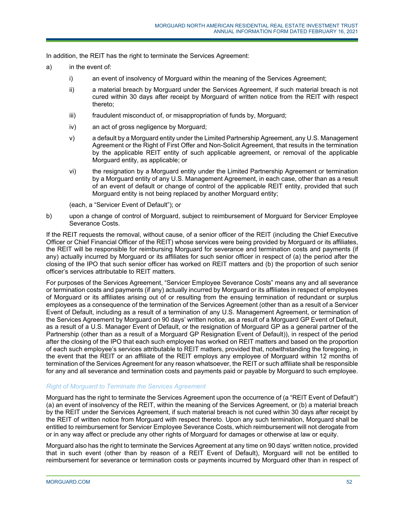In addition, the REIT has the right to terminate the Services Agreement:

- a) in the event of:
	- i) an event of insolvency of Morguard within the meaning of the Services Agreement;
	- ii) a material breach by Morguard under the Services Agreement, if such material breach is not cured within 30 days after receipt by Morguard of written notice from the REIT with respect thereto;
	- iii) fraudulent misconduct of, or misappropriation of funds by, Morguard;
	- iv) an act of gross negligence by Morguard;
	- v) a default by a Morguard entity under the Limited Partnership Agreement, any U.S. Management Agreement or the Right of First Offer and Non-Solicit Agreement, that results in the termination by the applicable REIT entity of such applicable agreement, or removal of the applicable Morguard entity, as applicable; or
	- vi) the resignation by a Morguard entity under the Limited Partnership Agreement or termination by a Morguard entity of any U.S. Management Agreement, in each case, other than as a result of an event of default or change of control of the applicable REIT entity, provided that such Morguard entity is not being replaced by another Morguard entity;

(each, a "Servicer Event of Default"); or

b) upon a change of control of Morguard, subject to reimbursement of Morguard for Servicer Employee Severance Costs.

If the REIT requests the removal, without cause, of a senior officer of the REIT (including the Chief Executive Officer or Chief Financial Officer of the REIT) whose services were being provided by Morguard or its affiliates, the REIT will be responsible for reimbursing Morguard for severance and termination costs and payments (if any) actually incurred by Morguard or its affiliates for such senior officer in respect of (a) the period after the closing of the IPO that such senior officer has worked on REIT matters and (b) the proportion of such senior officer's services attributable to REIT matters.

For purposes of the Services Agreement, "Servicer Employee Severance Costs" means any and all severance or termination costs and payments (if any) actually incurred by Morguard or its affiliates in respect of employees of Morguard or its affiliates arising out of or resulting from the ensuing termination of redundant or surplus employees as a consequence of the termination of the Services Agreement (other than as a result of a Servicer Event of Default, including as a result of a termination of any U.S. Management Agreement, or termination of the Services Agreement by Morguard on 90 days' written notice, as a result of a Morguard GP Event of Default, as a result of a U.S. Manager Event of Default, or the resignation of Morguard GP as a general partner of the Partnership (other than as a result of a Morguard GP Resignation Event of Default)), in respect of the period after the closing of the IPO that each such employee has worked on REIT matters and based on the proportion of each such employee's services attributable to REIT matters, provided that, notwithstanding the foregoing, in the event that the REIT or an affiliate of the REIT employs any employee of Morguard within 12 months of termination of the Services Agreement for any reason whatsoever, the REIT or such affiliate shall be responsible for any and all severance and termination costs and payments paid or payable by Morguard to such employee.

## *Right of Morguard to Terminate the Services Agreement*

Morguard has the right to terminate the Services Agreement upon the occurrence of (a "REIT Event of Default") (a) an event of insolvency of the REIT, within the meaning of the Services Agreement, or (b) a material breach by the REIT under the Services Agreement, if such material breach is not cured within 30 days after receipt by the REIT of written notice from Morguard with respect thereto. Upon any such termination, Morguard shall be entitled to reimbursement for Servicer Employee Severance Costs, which reimbursement will not derogate from or in any way affect or preclude any other rights of Morguard for damages or otherwise at law or equity.

Morguard also has the right to terminate the Services Agreement at any time on 90 days' written notice, provided that in such event (other than by reason of a REIT Event of Default), Morguard will not be entitled to reimbursement for severance or termination costs or payments incurred by Morguard other than in respect of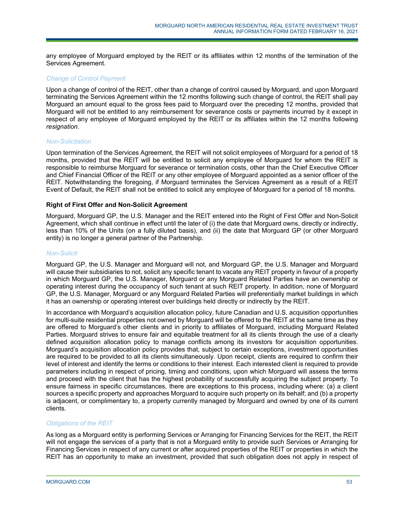any employee of Morguard employed by the REIT or its affiliates within 12 months of the termination of the Services Agreement.

## *Change of Co*n*trol Payment*

Upon a change of control of the REIT, other than a change of control caused by Morguard, and upon Morguard terminating the Services Agreement within the 12 months following such change of control, the REIT shall pay Morguard an amount equal to the gross fees paid to Morguard over the preceding 12 months, provided that Morguard will not be entitled to any reimbursement for severance costs or payments incurred by it except in respect of any employee of Morguard employed by the REIT or its affiliates within the 12 months following *resignation.* 

## *Non-Solicitation*

Upon termination of the Services Agreement, the REIT will not solicit employees of Morguard for a period of 18 months, provided that the REIT will be entitled to solicit any employee of Morguard for whom the REIT is responsible to reimburse Morguard for severance or termination costs, other than the Chief Executive Officer and Chief Financial Officer of the REIT or any other employee of Morguard appointed as a senior officer of the REIT. Notwithstanding the foregoing, if Morguard terminates the Services Agreement as a result of a REIT Event of Default, the REIT shall not be entitled to solicit any employee of Morguard for a period of 18 months.

## **Right of First Offer and Non-Solicit Agreement**

Morguard, Morguard GP, the U.S. Manager and the REIT entered into the Right of First Offer and Non-Solicit Agreement, which shall continue in effect until the later of (i) the date that Morguard owns, directly or indirectly, less than 10% of the Units (on a fully diluted basis), and (ii) the date that Morguard GP (or other Morguard entity) is no longer a general partner of the Partnership.

## *Non-Solicit*

Morguard GP, the U.S. Manager and Morguard will not, and Morguard GP, the U.S. Manager and Morguard will cause their subsidiaries to not, solicit any specific tenant to vacate any REIT property in favour of a property in which Morguard GP, the U.S. Manager, Morguard or any Morguard Related Parties have an ownership or operating interest during the occupancy of such tenant at such REIT property. In addition, none of Morguard GP, the U.S. Manager, Morguard or any Morguard Related Parties will preferentially market buildings in which it has an ownership or operating interest over buildings held directly or indirectly by the REIT.

In accordance with Morguard's acquisition allocation policy, future Canadian and U.S. acquisition opportunities for multi-suite residential properties not owned by Morguard will be offered to the REIT at the same time as they are offered to Morguard's other clients and in priority to affiliates of Morguard, including Morguard Related Parties. Morguard strives to ensure fair and equitable treatment for all its clients through the use of a clearly defined acquisition allocation policy to manage conflicts among its investors for acquisition opportunities. Morguard's acquisition allocation policy provides that, subject to certain exceptions, investment opportunities are required to be provided to all its clients simultaneously. Upon receipt, clients are required to confirm their level of interest and identify the terms or conditions to their interest. Each interested client is required to provide parameters including in respect of pricing, timing and conditions, upon which Morguard will assess the terms and proceed with the client that has the highest probability of successfully acquiring the subject property. To ensure fairness in specific circumstances, there are exceptions to this process, including where: (a) a client sources a specific property and approaches Morguard to acquire such property on its behalf; and (b) a property is adjacent, or complimentary to, a property currently managed by Morguard and owned by one of its current clients.

## *Obligations of the REIT*

As long as a Morguard entity is performing Services or Arranging for Financing Services for the REIT, the REIT will not engage the services of a party that is not a Morguard entity to provide such Services or Arranging for Financing Services in respect of any current or after acquired properties of the REIT or properties in which the REIT has an opportunity to make an investment, provided that such obligation does not apply in respect of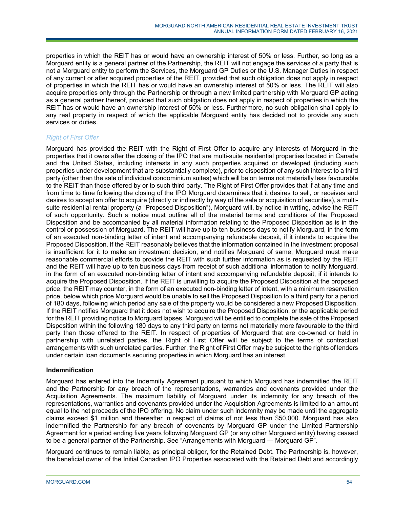properties in which the REIT has or would have an ownership interest of 50% or less. Further, so long as a Morguard entity is a general partner of the Partnership, the REIT will not engage the services of a party that is not a Morguard entity to perform the Services, the Morguard GP Duties or the U.S. Manager Duties in respect of any current or after acquired properties of the REIT, provided that such obligation does not apply in respect of properties in which the REIT has or would have an ownership interest of 50% or less. The REIT will also acquire properties only through the Partnership or through a new limited partnership with Morguard GP acting as a general partner thereof, provided that such obligation does not apply in respect of properties in which the REIT has or would have an ownership interest of 50% or less. Furthermore, no such obligation shall apply to any real property in respect of which the applicable Morguard entity has decided not to provide any such services or duties.

# *Right of First Offer*

Morguard has provided the REIT with the Right of First Offer to acquire any interests of Morguard in the properties that it owns after the closing of the IPO that are multi-suite residential properties located in Canada and the United States, including interests in any such properties acquired or developed (including such properties under development that are substantially complete), prior to disposition of any such interest to a third party (other than the sale of individual condominium suites) which will be on terms not materially less favourable to the REIT than those offered by or to such third party. The Right of First Offer provides that if at any time and from time to time following the closing of the IPO Morguard determines that it desires to sell, or receives and desires to accept an offer to acquire (directly or indirectly by way of the sale or acquisition of securities), a multisuite residential rental property (a "Proposed Disposition"), Morguard will, by notice in writing, advise the REIT of such opportunity. Such a notice must outline all of the material terms and conditions of the Proposed Disposition and be accompanied by all material information relating to the Proposed Disposition as is in the control or possession of Morguard. The REIT will have up to ten business days to notify Morguard, in the form of an executed non-binding letter of intent and accompanying refundable deposit, if it intends to acquire the Proposed Disposition. If the REIT reasonably believes that the information contained in the investment proposal is insufficient for it to make an investment decision, and notifies Morguard of same, Morguard must make reasonable commercial efforts to provide the REIT with such further information as is requested by the REIT and the REIT will have up to ten business days from receipt of such additional information to notify Morguard, in the form of an executed non-binding letter of intent and accompanying refundable deposit, if it intends to acquire the Proposed Disposition. If the REIT is unwilling to acquire the Proposed Disposition at the proposed price, the REIT may counter, in the form of an executed non-binding letter of intent, with a minimum reservation price, below which price Morguard would be unable to sell the Proposed Disposition to a third party for a period of 180 days, following which period any sale of the property would be considered a new Proposed Disposition. If the REIT notifies Morguard that it does not wish to acquire the Proposed Disposition, or the applicable period for the REIT providing notice to Morguard lapses, Morguard will be entitled to complete the sale of the Proposed Disposition within the following 180 days to any third party on terms not materially more favourable to the third party than those offered to the REIT. In respect of properties of Morguard that are co-owned or held in partnership with unrelated parties, the Right of First Offer will be subject to the terms of contractual arrangements with such unrelated parties. Further, the Right of First Offer may be subject to the rights of lenders under certain loan documents securing properties in which Morguard has an interest.

# **Indemnification**

Morguard has entered into the Indemnity Agreement pursuant to which Morguard has indemnified the REIT and the Partnership for any breach of the representations, warranties and covenants provided under the Acquisition Agreements. The maximum liability of Morguard under its indemnity for any breach of the representations, warranties and covenants provided under the Acquisition Agreements is limited to an amount equal to the net proceeds of the IPO offering. No claim under such indemnity may be made until the aggregate claims exceed \$1 million and thereafter in respect of claims of not less than \$50,000. Morguard has also indemnified the Partnership for any breach of covenants by Morguard GP under the Limited Partnership Agreement for a period ending five years following Morguard GP (or any other Morguard entity) having ceased to be a general partner of the Partnership. See "Arrangements with Morguard — Morguard GP".

Morguard continues to remain liable, as principal obligor, for the Retained Debt. The Partnership is, however, the beneficial owner of the Initial Canadian IPO Properties associated with the Retained Debt and accordingly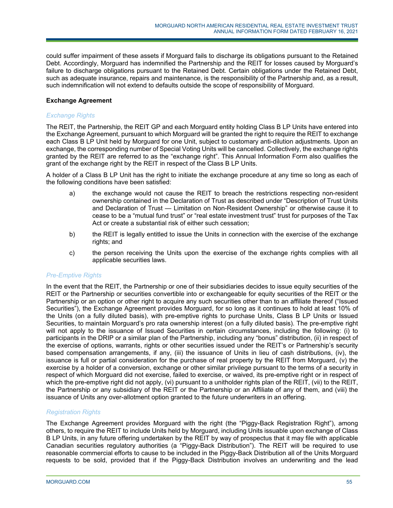could suffer impairment of these assets if Morguard fails to discharge its obligations pursuant to the Retained Debt. Accordingly, Morguard has indemnified the Partnership and the REIT for losses caused by Morguard's failure to discharge obligations pursuant to the Retained Debt. Certain obligations under the Retained Debt, such as adequate insurance, repairs and maintenance, is the responsibility of the Partnership and, as a result, such indemnification will not extend to defaults outside the scope of responsibility of Morguard.

## **Exchange Agreement**

## *Exchange Rights*

The REIT, the Partnership, the REIT GP and each Morguard entity holding Class B LP Units have entered into the Exchange Agreement, pursuant to which Morguard will be granted the right to require the REIT to exchange each Class B LP Unit held by Morguard for one Unit, subject to customary anti-dilution adjustments. Upon an exchange, the corresponding number of Special Voting Units will be cancelled. Collectively, the exchange rights granted by the REIT are referred to as the "exchange right". This Annual Information Form also qualifies the grant of the exchange right by the REIT in respect of the Class B LP Units.

A holder of a Class B LP Unit has the right to initiate the exchange procedure at any time so long as each of the following conditions have been satisfied:

- a) the exchange would not cause the REIT to breach the restrictions respecting non-resident ownership contained in the Declaration of Trust as described under "Description of Trust Units and Declaration of Trust — Limitation on Non-Resident Ownership" or otherwise cause it to cease to be a "mutual fund trust" or "real estate investment trust" trust for purposes of the Tax Act or create a substantial risk of either such cessation;
- b) the REIT is legally entitled to issue the Units in connection with the exercise of the exchange rights; and
- c) the person receiving the Units upon the exercise of the exchange rights complies with all applicable securities laws.

## *Pre-Emptive Rights*

In the event that the REIT, the Partnership or one of their subsidiaries decides to issue equity securities of the REIT or the Partnership or securities convertible into or exchangeable for equity securities of the REIT or the Partnership or an option or other right to acquire any such securities other than to an affiliate thereof ("Issued Securities"), the Exchange Agreement provides Morguard, for so long as it continues to hold at least 10% of the Units (on a fully diluted basis), with pre-emptive rights to purchase Units, Class B LP Units or Issued Securities, to maintain Morguard's pro rata ownership interest (on a fully diluted basis). The pre-emptive right will not apply to the issuance of Issued Securities in certain circumstances, including the following: (i) to participants in the DRIP or a similar plan of the Partnership, including any "bonus" distribution, (ii) in respect of the exercise of options, warrants, rights or other securities issued under the REIT's or Partnership's security based compensation arrangements, if any, (iii) the issuance of Units in lieu of cash distributions, (iv), the issuance is full or partial consideration for the purchase of real property by the REIT from Morguard, (v) the exercise by a holder of a conversion, exchange or other similar privilege pursuant to the terms of a security in respect of which Morguard did not exercise, failed to exercise, or waived, its pre-emptive right or in respect of which the pre-emptive right did not apply, (vi) pursuant to a unitholder rights plan of the REIT, (vii) to the REIT, the Partnership or any subsidiary of the REIT or the Partnership or an Affiliate of any of them, and (viii) the issuance of Units any over-allotment option granted to the future underwriters in an offering.

# *Registration Rights*

The Exchange Agreement provides Morguard with the right (the "Piggy-Back Registration Right"), among others, to require the REIT to include Units held by Morguard, including Units issuable upon exchange of Class B LP Units, in any future offering undertaken by the REIT by way of prospectus that it may file with applicable Canadian securities regulatory authorities (a "Piggy-Back Distribution"). The REIT will be required to use reasonable commercial efforts to cause to be included in the Piggy-Back Distribution all of the Units Morguard requests to be sold, provided that if the Piggy-Back Distribution involves an underwriting and the lead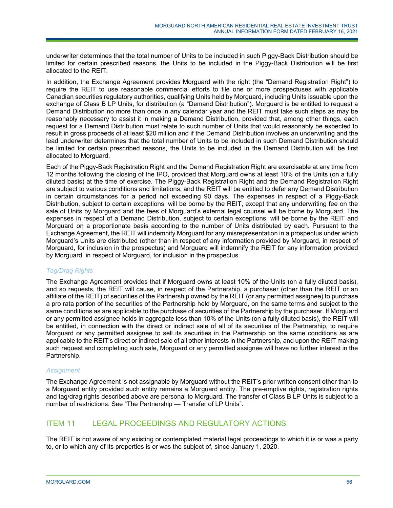underwriter determines that the total number of Units to be included in such Piggy-Back Distribution should be limited for certain prescribed reasons, the Units to be included in the Piggy-Back Distribution will be first allocated to the REIT.

In addition, the Exchange Agreement provides Morguard with the right (the "Demand Registration Right") to require the REIT to use reasonable commercial efforts to file one or more prospectuses with applicable Canadian securities regulatory authorities, qualifying Units held by Morguard, including Units issuable upon the exchange of Class B LP Units, for distribution (a "Demand Distribution"). Morguard is be entitled to request a Demand Distribution no more than once in any calendar year and the REIT must take such steps as may be reasonably necessary to assist it in making a Demand Distribution, provided that, among other things, each request for a Demand Distribution must relate to such number of Units that would reasonably be expected to result in gross proceeds of at least \$20 million and if the Demand Distribution involves an underwriting and the lead underwriter determines that the total number of Units to be included in such Demand Distribution should be limited for certain prescribed reasons, the Units to be included in the Demand Distribution will be first allocated to Morguard.

Each of the Piggy-Back Registration Right and the Demand Registration Right are exercisable at any time from 12 months following the closing of the IPO, provided that Morguard owns at least 10% of the Units (on a fully diluted basis) at the time of exercise. The Piggy-Back Registration Right and the Demand Registration Right are subject to various conditions and limitations, and the REIT will be entitled to defer any Demand Distribution in certain circumstances for a period not exceeding 90 days. The expenses in respect of a Piggy-Back Distribution, subject to certain exceptions, will be borne by the REIT, except that any underwriting fee on the sale of Units by Morguard and the fees of Morguard's external legal counsel will be borne by Morguard. The expenses in respect of a Demand Distribution, subject to certain exceptions, will be borne by the REIT and Morguard on a proportionate basis according to the number of Units distributed by each. Pursuant to the Exchange Agreement, the REIT will indemnify Morguard for any misrepresentation in a prospectus under which Morguard's Units are distributed (other than in respect of any information provided by Morguard, in respect of Morguard, for inclusion in the prospectus) and Morguard will indemnify the REIT for any information provided by Morguard, in respect of Morguard, for inclusion in the prospectus.

# *Tag/Drag Rights*

The Exchange Agreement provides that if Morguard owns at least 10% of the Units (on a fully diluted basis), and so requests, the REIT will cause, in respect of the Partnership, a purchaser (other than the REIT or an affiliate of the REIT) of securities of the Partnership owned by the REIT (or any permitted assignee) to purchase a pro rata portion of the securities of the Partnership held by Morguard, on the same terms and subject to the same conditions as are applicable to the purchase of securities of the Partnership by the purchaser. If Morguard or any permitted assignee holds in aggregate less than 10% of the Units (on a fully diluted basis), the REIT will be entitled, in connection with the direct or indirect sale of all of its securities of the Partnership, to require Morguard or any permitted assignee to sell its securities in the Partnership on the same conditions as are applicable to the REIT's direct or indirect sale of all other interests in the Partnership, and upon the REIT making such request and completing such sale, Morguard or any permitted assignee will have no further interest in the Partnership.

# *Assignment*

The Exchange Agreement is not assignable by Morguard without the REIT's prior written consent other than to a Morguard entity provided such entity remains a Morguard entity. The pre-emptive rights, registration rights and tag/drag rights described above are personal to Morguard. The transfer of Class B LP Units is subject to a number of restrictions. See "The Partnership — Transfer of LP Units".

# ITEM 11 LEGAL PROCEEDINGS AND REGULATORY ACTIONS

The REIT is not aware of any existing or contemplated material legal proceedings to which it is or was a party to, or to which any of its properties is or was the subject of, since January 1, 2020.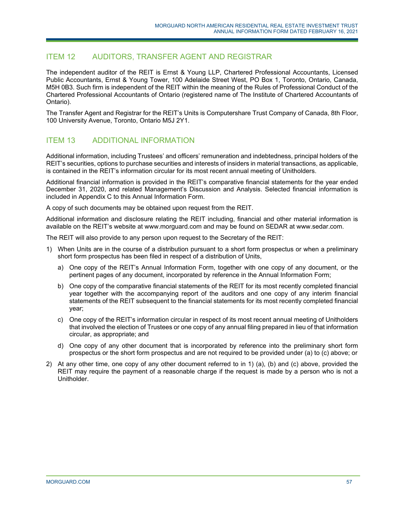# ITEM 12 AUDITORS, TRANSFER AGENT AND REGISTRAR

The independent auditor of the REIT is Ernst & Young LLP, Chartered Professional Accountants, Licensed Public Accountants, Ernst & Young Tower, 100 Adelaide Street West, PO Box 1, Toronto, Ontario, Canada, M5H 0B3. Such firm is independent of the REIT within the meaning of the Rules of Professional Conduct of the Chartered Professional Accountants of Ontario (registered name of The Institute of Chartered Accountants of Ontario).

The Transfer Agent and Registrar for the REIT's Units is Computershare Trust Company of Canada, 8th Floor, 100 University Avenue, Toronto, Ontario M5J 2Y1.

# ITEM 13 ADDITIONAL INFORMATION

Additional information, including Trustees' and officers' remuneration and indebtedness, principal holders of the REIT's securities, options to purchase securities and interests of insiders in material transactions, as applicable, is contained in the REIT's information circular for its most recent annual meeting of Unitholders.

Additional financial information is provided in the REIT's comparative financial statements for the year ended December 31, 2020, and related Management's Discussion and Analysis. Selected financial information is included in Appendix C to this Annual Information Form.

A copy of such documents may be obtained upon request from the REIT.

Additional information and disclosure relating the REIT including, financial and other material information is available on the REIT's website at www.morguard.com and may be found on SEDAR at www.sedar.com.

The REIT will also provide to any person upon request to the Secretary of the REIT:

- 1) When Units are in the course of a distribution pursuant to a short form prospectus or when a preliminary short form prospectus has been filed in respect of a distribution of Units,
	- a) One copy of the REIT's Annual Information Form, together with one copy of any document, or the pertinent pages of any document, incorporated by reference in the Annual Information Form;
	- b) One copy of the comparative financial statements of the REIT for its most recently completed financial year together with the accompanying report of the auditors and one copy of any interim financial statements of the REIT subsequent to the financial statements for its most recently completed financial year;
	- c) One copy of the REIT's information circular in respect of its most recent annual meeting of Unitholders that involved the election of Trustees or one copy of any annual filing prepared in lieu of that information circular, as appropriate; and
	- d) One copy of any other document that is incorporated by reference into the preliminary short form prospectus or the short form prospectus and are not required to be provided under (a) to (c) above; or
- 2) At any other time, one copy of any other document referred to in 1) (a), (b) and (c) above, provided the REIT may require the payment of a reasonable charge if the request is made by a person who is not a Unitholder.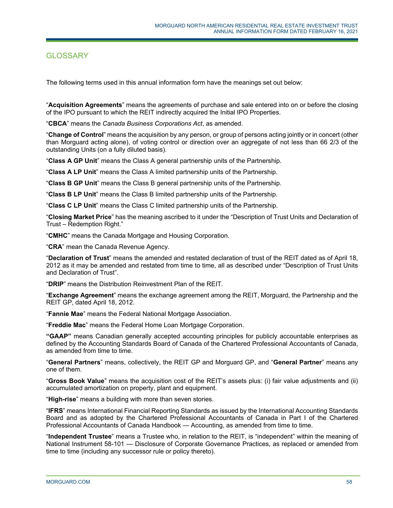# **GLOSSARY**

The following terms used in this annual information form have the meanings set out below:

"**Acquisition Agreements**" means the agreements of purchase and sale entered into on or before the closing of the IPO pursuant to which the REIT indirectly acquired the Initial IPO Properties.

"**CBCA**" means the *Canada Business Corporations Act*, as amended.

"**Change of Control**" means the acquisition by any person, or group of persons acting jointly or in concert (other than Morguard acting alone), of voting control or direction over an aggregate of not less than 66 2/3 of the outstanding Units (on a fully diluted basis).

"**Class A GP Unit**" means the Class A general partnership units of the Partnership.

"**Class A LP Unit**" means the Class A limited partnership units of the Partnership.

"**Class B GP Unit**" means the Class B general partnership units of the Partnership.

"**Class B LP Unit**" means the Class B limited partnership units of the Partnership.

"**Class C LP Unit**" means the Class C limited partnership units of the Partnership.

"**Closing Market Price**" has the meaning ascribed to it under the "Description of Trust Units and Declaration of Trust – Redemption Right."

"**CMHC**" means the Canada Mortgage and Housing Corporation.

"**CRA**" mean the Canada Revenue Agency.

"**Declaration of Trust**" means the amended and restated declaration of trust of the REIT dated as of April 18, 2012 as it may be amended and restated from time to time, all as described under "Description of Trust Units and Declaration of Trust".

"**DRIP**" means the Distribution Reinvestment Plan of the REIT.

"**Exchange Agreement**" means the exchange agreement among the REIT, Morguard, the Partnership and the REIT GP, dated April 18, 2012.

"**Fannie Mae**" means the Federal National Mortgage Association.

"**Freddie Mac**" means the Federal Home Loan Mortgage Corporation.

**"GAAP"** means Canadian generally accepted accounting principles for publicly accountable enterprises as defined by the Accounting Standards Board of Canada of the Chartered Professional Accountants of Canada, as amended from time to time.

"**General Partners**" means, collectively, the REIT GP and Morguard GP, and "**General Partner**" means any one of them.

"**Gross Book Value**" means the acquisition cost of the REIT's assets plus: (i) fair value adjustments and (ii) accumulated amortization on property, plant and equipment.

"**High-rise**" means a building with more than seven stories.

"**IFRS**" means International Financial Reporting Standards as issued by the International Accounting Standards Board and as adopted by the Chartered Professional Accountants of Canada in Part I of the Chartered Professional Accountants of Canada Handbook — Accounting, as amended from time to time.

"**Independent Trustee**" means a Trustee who, in relation to the REIT, is "independent" within the meaning of National Instrument 58-101 — Disclosure of Corporate Governance Practices, as replaced or amended from time to time (including any successor rule or policy thereto).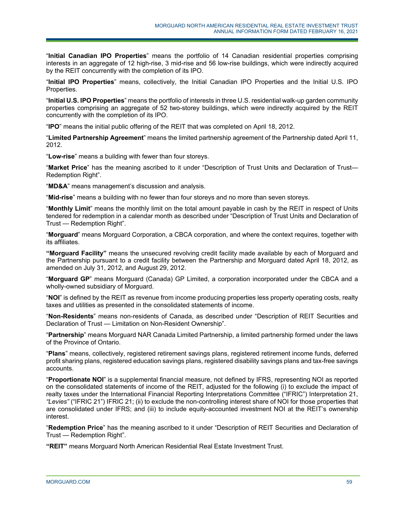"**Initial Canadian IPO Properties**" means the portfolio of 14 Canadian residential properties comprising interests in an aggregate of 12 high-rise, 3 mid-rise and 56 low-rise buildings, which were indirectly acquired by the REIT concurrently with the completion of its IPO.

"**Initial IPO Properties**" means, collectively, the Initial Canadian IPO Properties and the Initial U.S. IPO Properties.

"**Initial U.S. IPO Properties**" means the portfolio of interests in three U.S. residential walk-up garden community properties comprising an aggregate of 52 two-storey buildings, which were indirectly acquired by the REIT concurrently with the completion of its IPO.

"**IPO**" means the initial public offering of the REIT that was completed on April 18, 2012.

"**Limited Partnership Agreement**" means the limited partnership agreement of the Partnership dated April 11, 2012.

"**Low-rise**" means a building with fewer than four storeys.

"**Market Price**" has the meaning ascribed to it under "Description of Trust Units and Declaration of Trust— Redemption Right".

"**MD&A**" means management's discussion and analysis.

"**Mid-rise**" means a building with no fewer than four storeys and no more than seven storeys.

"**Monthly Limit**" means the monthly limit on the total amount payable in cash by the REIT in respect of Units tendered for redemption in a calendar month as described under "Description of Trust Units and Declaration of Trust — Redemption Right".

"**Morguard**" means Morguard Corporation, a CBCA corporation, and where the context requires, together with its affiliates.

**"Morguard Facility"** means the unsecured revolving credit facility made available by each of Morguard and the Partnership pursuant to a credit facility between the Partnership and Morguard dated April 18, 2012, as amended on July 31, 2012, and August 29, 2012.

"**Morguard GP**" means Morguard (Canada) GP Limited, a corporation incorporated under the CBCA and a wholly-owned subsidiary of Morguard.

"**NOI**" is defined by the REIT as revenue from income producing properties less property operating costs, realty taxes and utilities as presented in the consolidated statements of income.

"**Non-Residents**" means non-residents of Canada, as described under "Description of REIT Securities and Declaration of Trust — Limitation on Non-Resident Ownership".

"**Partnership**" means Morguard NAR Canada Limited Partnership, a limited partnership formed under the laws of the Province of Ontario.

"**Plans**" means, collectively, registered retirement savings plans, registered retirement income funds, deferred profit sharing plans, registered education savings plans, registered disability savings plans and tax-free savings accounts.

"**Proportionate NOI**" is a supplemental financial measure, not defined by IFRS, representing NOI as reported on the consolidated statements of income of the REIT, adjusted for the following (i) to exclude the impact of realty taxes under the International Financial Reporting Interpretations Committee ("IFRIC") Interpretation 21, *"Levies"* ("IFRIC 21") IFRIC 21; (ii) to exclude the non-controlling interest share of NOI for those properties that are consolidated under IFRS; and (iii) to include equity-accounted investment NOI at the REIT's ownership interest.

"**Redemption Price**" has the meaning ascribed to it under "Description of REIT Securities and Declaration of Trust — Redemption Right".

**"REIT"** means Morguard North American Residential Real Estate Investment Trust.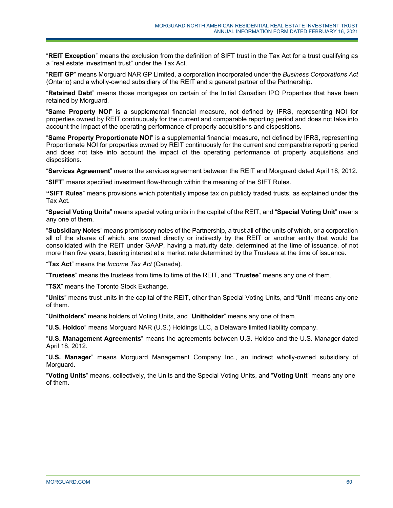"**REIT Exception**" means the exclusion from the definition of SIFT trust in the Tax Act for a trust qualifying as a "real estate investment trust" under the Tax Act.

"**REIT GP**" means Morguard NAR GP Limited, a corporation incorporated under the *Business Corporations Act* (Ontario) and a wholly-owned subsidiary of the REIT and a general partner of the Partnership.

"**Retained Debt**" means those mortgages on certain of the Initial Canadian IPO Properties that have been retained by Morguard.

"**Same Property NOI**" is a supplemental financial measure, not defined by IFRS, representing NOI for properties owned by REIT continuously for the current and comparable reporting period and does not take into account the impact of the operating performance of property acquisitions and dispositions.

"**Same Property Proportionate NOI**" is a supplemental financial measure, not defined by IFRS, representing Proportionate NOI for properties owned by REIT continuously for the current and comparable reporting period and does not take into account the impact of the operating performance of property acquisitions and dispositions.

"**Services Agreement**" means the services agreement between the REIT and Morguard dated April 18, 2012.

"**SIFT**" means specified investment flow-through within the meaning of the SIFT Rules.

**"SIFT Rules**" means provisions which potentially impose tax on publicly traded trusts, as explained under the Tax Act.

"**Special Voting Units**" means special voting units in the capital of the REIT, and "**Special Voting Unit**" means any one of them.

"**Subsidiary Notes**" means promissory notes of the Partnership, a trust all of the units of which, or a corporation all of the shares of which, are owned directly or indirectly by the REIT or another entity that would be consolidated with the REIT under GAAP, having a maturity date, determined at the time of issuance, of not more than five years, bearing interest at a market rate determined by the Trustees at the time of issuance.

"**Tax Act**" means the *Income Tax Act* (Canada).

"**Trustees**" means the trustees from time to time of the REIT, and "**Trustee**" means any one of them.

"**TSX**" means the Toronto Stock Exchange.

"**Units**" means trust units in the capital of the REIT, other than Special Voting Units, and "**Unit**" means any one of them.

"**Unitholders**" means holders of Voting Units, and "**Unitholder**" means any one of them.

"**U.S. Holdco**" means Morguard NAR (U.S.) Holdings LLC, a Delaware limited liability company.

"**U.S. Management Agreements**" means the agreements between U.S. Holdco and the U.S. Manager dated April 18, 2012.

"**U.S. Manager**" means Morguard Management Company Inc., an indirect wholly-owned subsidiary of Morguard.

"**Voting Units**" means, collectively, the Units and the Special Voting Units, and "**Voting Unit**" means any one of them.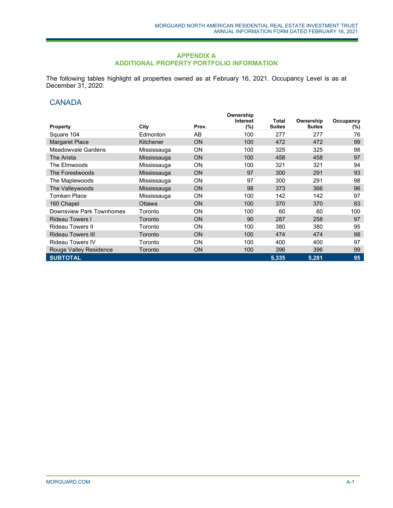### **APPENDIX A ADDITIONAL PROPERTY PORTFOLIO INFORMATION**

The following tables highlight all properties owned as at February 16, 2021. Occupancy Level is as at December 31, 2020.

# **CANADA**

|                          |             |           | Ownership       |               |               |           |
|--------------------------|-------------|-----------|-----------------|---------------|---------------|-----------|
|                          |             |           | <b>Interest</b> | Total         | Ownership     | Occupancy |
| <b>Property</b>          | City        | Prov.     | (%)             | <b>Suites</b> | <b>Suites</b> | $(\%)$    |
| Square 104               | Edmonton    | AB        | 100             | 277           | 277           | 76        |
| <b>Margaret Place</b>    | Kitchener   | ON        | 100             | 472           | 472           | 99        |
| Meadowvale Gardens       | Mississauga | <b>ON</b> | 100             | 325           | 325           | 98        |
| The Arista               | Mississauga | <b>ON</b> | 100             | 458           | 458           | 97        |
| The Elmwoods             | Mississauga | <b>ON</b> | 100             | 321           | 321           | 94        |
| The Forestwoods          | Mississauga | <b>ON</b> | 97              | 300           | 291           | 93        |
| The Maplewoods           | Mississauga | ON        | 97              | 300           | 291           | 98        |
| The Valleywoods          | Mississauga | <b>ON</b> | 98              | 373           | 366           | 96        |
| <b>Tomken Place</b>      | Mississauga | <b>ON</b> | 100             | 142           | 142           | 97        |
| 160 Chapel               | Ottawa      | <b>ON</b> | 100             | 370           | 370           | 83        |
| Downsview Park Townhomes | Toronto     | <b>ON</b> | 100             | 60            | 60            | 100       |
| <b>Rideau Towers I</b>   | Toronto     | <b>ON</b> | 90              | 287           | 258           | 97        |
| <b>Rideau Towers II</b>  | Toronto     | <b>ON</b> | 100             | 380           | 380           | 95        |
| <b>Rideau Towers III</b> | Toronto     | <b>ON</b> | 100             | 474           | 474           | 98        |
| <b>Rideau Towers IV</b>  | Toronto     | <b>ON</b> | 100             | 400           | 400           | 97        |
| Rouge Valley Residence   | Toronto     | ON        | 100             | 396           | 396           | 99        |
| <b>SUBTOTAL</b>          |             |           |                 | 5,335         | 5,281         | 95        |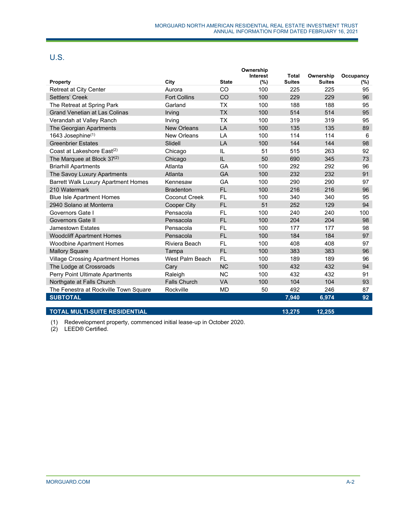# U.S.

|                                            |                     |                | Ownership<br>Interest | <b>Total</b>  | Ownership     |                  |
|--------------------------------------------|---------------------|----------------|-----------------------|---------------|---------------|------------------|
| <b>Property</b>                            | City                | <b>State</b>   | (%)                   | <b>Suites</b> | <b>Suites</b> | Occupancy<br>(%) |
| Retreat at City Center                     | Aurora              | CO             | 100                   | 225           | 225           | 95               |
| Settlers' Creek                            | <b>Fort Collins</b> | CO             | 100                   | 229           | 229           | 96               |
| The Retreat at Spring Park                 | Garland             | <b>TX</b>      | 100                   | 188           | 188           | 95               |
| <b>Grand Venetian at Las Colinas</b>       | Irving              | <b>TX</b>      | 100                   | 514           | 514           | 95               |
| Verandah at Valley Ranch                   | Irving              | <b>TX</b>      | 100                   | 319           | 319           | 95               |
| The Georgian Apartments                    | <b>New Orleans</b>  | $\overline{A}$ | 100                   | 135           | 135           | 89               |
| 1643 Josephine(1)                          | <b>New Orleans</b>  | LA             | 100                   | 114           | 114           | 6                |
| <b>Greenbrier Estates</b>                  | Slidell             | LA             | 100                   | 144           | 144           | 98               |
| Coast at Lakeshore East <sup>(2)</sup>     | Chicago             | IL             | 51                    | 515           | 263           | 92               |
| The Marquee at Block 37(2)                 | Chicago             | IL             | 50                    | 690           | 345           | 73               |
| <b>Briarhill Apartments</b>                | Atlanta             | GA             | 100                   | 292           | 292           | 96               |
| The Savoy Luxury Apartments                | Atlanta             | GA             | 100                   | 232           | 232           | 91               |
| <b>Barrett Walk Luxury Apartment Homes</b> | Kennesaw            | GA             | 100                   | 290           | 290           | 97               |
| 210 Watermark                              | <b>Bradenton</b>    | <b>FL</b>      | 100                   | 216           | 216           | 96               |
| <b>Blue Isle Apartment Homes</b>           | Coconut Creek       | <b>FL</b>      | 100                   | 340           | 340           | 95               |
| 2940 Solano at Monterra                    | <b>Cooper City</b>  | <b>FL</b>      | 51                    | 252           | 129           | 94               |
| Governors Gate I                           | Pensacola           | FL             | 100                   | 240           | 240           | 100              |
| Governors Gate II                          | Pensacola           | <b>FL</b>      | 100                   | 204           | 204           | 98               |
| <b>Jamestown Estates</b>                   | Pensacola           | <b>FL</b>      | 100                   | 177           | 177           | 98               |
| <b>Woodcliff Apartment Homes</b>           | Pensacola           | <b>FL</b>      | 100                   | 184           | 184           | 97               |
| <b>Woodbine Apartment Homes</b>            | Riviera Beach       | FL             | 100                   | 408           | 408           | 97               |
| <b>Mallory Square</b>                      | Tampa               | <b>FL</b>      | 100                   | 383           | 383           | 96               |
| <b>Village Crossing Apartment Homes</b>    | West Palm Beach     | <b>FL</b>      | 100                   | 189           | 189           | 96               |
| The Lodge at Crossroads                    | Cary                | <b>NC</b>      | 100                   | 432           | 432           | 94               |
| Perry Point Ultimate Apartments            | Raleigh             | <b>NC</b>      | 100                   | 432           | 432           | 91               |
| Northgate at Falls Church                  | <b>Falls Church</b> | <b>VA</b>      | 100                   | 104           | 104           | 93               |
| The Fenestra at Rockville Town Square      | Rockville           | MD             | 50                    | 492           | 246           | 87               |
| <b>SUBTOTAL</b>                            |                     |                |                       | 7,940         | 6,974         | 92               |
|                                            |                     |                |                       |               |               |                  |

## **TOTAL MULTI-SUITE RESIDENTIAL 13,275 12,255**

(1) Redevelopment property, commenced initial lease-up in October 2020.

(2) LEED® Certified.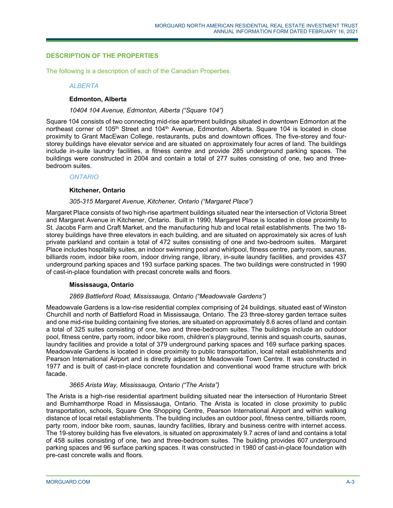## **DESCRIPTION OF THE PROPERTIES**

The following is a description of each of the Canadian Properties.

#### *ALBERTA*

## **Edmonton, Alberta**

#### *10404 104 Avenue, Edmonton, Alberta ("Square 104")*

Square 104 consists of two connecting mid-rise apartment buildings situated in downtown Edmonton at the northeast corner of 105<sup>th</sup> Street and 104<sup>th</sup> Avenue, Edmonton, Alberta. Square 104 is located in close proximity to Grant MacEwan College, restaurants, pubs and downtown offices. The five-storey and fourstorey buildings have elevator service and are situated on approximately four acres of land. The buildings include in-suite laundry facilities, a fitness centre and provide 285 underground parking spaces. The buildings were constructed in 2004 and contain a total of 277 suites consisting of one, two and threebedroom suites.

#### *ONTARIO*

#### **Kitchener, Ontario**

## *305-315 Margaret Avenue, Kitchener, Ontario ("Margaret Place")*

Margaret Place consists of two high-rise apartment buildings situated near the intersection of Victoria Street and Margaret Avenue in Kitchener, Ontario. Built in 1990, Margaret Place is located in close proximity to St. Jacobs Farm and Craft Market, and the manufacturing hub and local retail establishments. The two 18 storey buildings have three elevators in each building, and are situated on approximately six acres of lush private parkland and contain a total of 472 suites consisting of one and two-bedroom suites. Margaret Place includes hospitality suites, an indoor swimming pool and whirlpool, fitness centre, party room, saunas, billiards room, indoor bike room, indoor driving range, library, in-suite laundry facilities, and provides 437 underground parking spaces and 193 surface parking spaces. The two buildings were constructed in 1990 of cast-in-place foundation with precast concrete walls and floors.

## **Mississauga, Ontario**

## *2869 Battleford Road, Mississauga, Ontario ("Meadowvale Gardens")*

Meadowvale Gardens is a low-rise residential complex comprising of 24 buildings, situated east of Winston Churchill and north of Battleford Road in Mississauga, Ontario. The 23 three-storey garden terrace suites and one mid-rise building containing five stories, are situated on approximately 8.6 acres of land and contain a total of 325 suites consisting of one, two and three-bedroom suites. The buildings include an outdoor pool, fitness centre, party room, indoor bike room, children's playground, tennis and squash courts, saunas, laundry facilities and provide a total of 379 underground parking spaces and 169 surface parking spaces. Meadowvale Gardens is located in close proximity to public transportation, local retail establishments and Pearson International Airport and is directly adjacent to Meadowvale Town Centre. It was constructed in 1977 and is built of cast-in-place concrete foundation and conventional wood frame structure with brick facade.

## *3665 Arista Way, Mississauga, Ontario ("The Arista")*

The Arista is a high-rise residential apartment building situated near the intersection of Hurontario Street and Burnhamthorpe Road in Mississauga, Ontario. The Arista is located in close proximity to public transportation, schools, Square One Shopping Centre, Pearson International Airport and within walking distance of local retail establishments. The building includes an outdoor pool, fitness centre, billiards room, party room, indoor bike room, saunas, laundry facilities, library and business centre with internet access. The 19-storey building has five elevators, is situated on approximately 9.7 acres of land and contains a total of 458 suites consisting of one, two and three-bedroom suites. The building provides 607 underground parking spaces and 96 surface parking spaces. It was constructed in 1980 of cast-in-place foundation with pre-cast concrete walls and floors.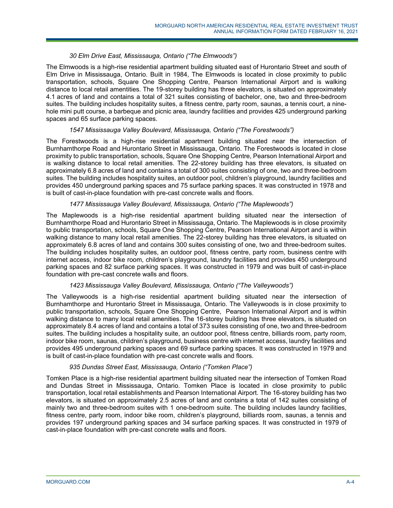## *30 Elm Drive East, Mississauga, Ontario ("The Elmwoods")*

The Elmwoods is a high-rise residential apartment building situated east of Hurontario Street and south of Elm Drive in Mississauga, Ontario. Built in 1984, The Elmwoods is located in close proximity to public transportation, schools, Square One Shopping Centre, Pearson International Airport and is walking distance to local retail amentities. The 19-storey building has three elevators, is situated on approximately 4.1 acres of land and contains a total of 321 suites consisting of bachelor, one, two and three-bedroom suites. The building includes hospitality suites, a fitness centre, party room, saunas, a tennis court, a ninehole mini putt course, a barbeque and picnic area, laundry facilities and provides 425 underground parking spaces and 65 surface parking spaces.

## *1547 Mississauga Valley Boulevard, Mississauga, Ontario ("The Forestwoods")*

The Forestwoods is a high-rise residential apartment building situated near the intersection of Burnhamthorpe Road and Hurontario Street in Mississauga, Ontario. The Forestwoods is located in close proximity to public transportation, schools, Square One Shopping Centre, Pearson International Airport and is walking distance to local retail amenities. The 22-storey building has three elevators, is situated on approximately 6.8 acres of land and contains a total of 300 suites consisting of one, two and three-bedroom suites. The building includes hospitality suites, an outdoor pool, children's playground, laundry facilities and provides 450 underground parking spaces and 75 surface parking spaces. It was constructed in 1978 and is built of cast-in-place foundation with pre-cast concrete walls and floors.

## *1477 Mississauga Valley Boulevard, Mississauga, Ontario ("The Maplewoods")*

The Maplewoods is a high-rise residential apartment building situated near the intersection of Burnhamthorpe Road and Hurontario Street in Mississauga, Ontario. The Maplewoods is in close proximity to public transportation, schools, Square One Shopping Centre, Pearson International Airport and is within walking distance to many local retail amenities. The 22-storey building has three elevators, is situated on approximately 6.8 acres of land and contains 300 suites consisting of one, two and three-bedroom suites. The building includes hospitality suites, an outdoor pool, fitness centre, party room, business centre with internet access, indoor bike room, children's playground, laundry facilities and provides 450 underground parking spaces and 82 surface parking spaces. It was constructed in 1979 and was built of cast-in-place foundation with pre-cast concrete walls and floors.

## *1423 Mississauga Valley Boulevard, Mississauga, Ontario ("The Valleywoods")*

The Valleywoods is a high-rise residential apartment building situated near the intersection of Burnhamthorpe and Hurontario Street in Mississauga, Ontario. The Valleywoods is in close proximity to public transportation, schools, Square One Shopping Centre, Pearson International Airport and is within walking distance to many local retail amenities. The 16-storey building has three elevators, is situated on approximately 8.4 acres of land and contains a total of 373 suites consisting of one, two and three-bedroom suites. The building includes a hospitality suite, an outdoor pool, fitness centre, billiards room, party room, indoor bike room, saunas, children's playground, business centre with internet access, laundry facilities and provides 495 underground parking spaces and 69 surface parking spaces. It was constructed in 1979 and is built of cast-in-place foundation with pre-cast concrete walls and floors.

## *935 Dundas Street East, Mississauga, Ontario ("Tomken Place")*

Tomken Place is a high-rise residential apartment building situated near the intersection of Tomken Road and Dundas Street in Mississauga, Ontario. Tomken Place is located in close proximity to public transportation, local retail establishments and Pearson International Airport. The 16-storey building has two elevators, is situated on approximately 2.5 acres of land and contains a total of 142 suites consisting of mainly two and three-bedroom suites with 1 one-bedroom suite. The building includes laundry facilities, fitness centre, party room, indoor bike room, children's playground, billiards room, saunas, a tennis and provides 197 underground parking spaces and 34 surface parking spaces. It was constructed in 1979 of cast-in-place foundation with pre-cast concrete walls and floors.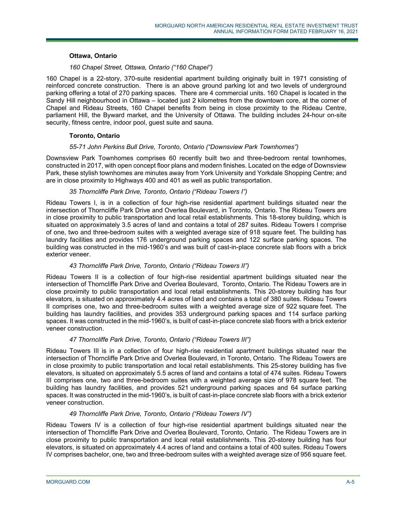### **Ottawa, Ontario**

## *160 Chapel Street, Ottawa, Ontario ("160 Chapel")*

160 Chapel is a 22-story, 370-suite residential apartment building originally built in 1971 consisting of reinforced concrete construction. There is an above ground parking lot and two levels of underground parking offering a total of 270 parking spaces. There are 4 commercial units. 160 Chapel is located in the Sandy Hill neighbourhood in Ottawa – located just 2 kilometres from the downtown core, at the corner of Chapel and Rideau Streets, 160 Chapel benefits from being in close proximity to the Rideau Centre, parliament Hill, the Byward market, and the University of Ottawa. The building includes 24-hour on-site security, fitness centre, indoor pool, guest suite and sauna.

## **Toronto, Ontario**

#### *55-71 John Perkins Bull Drive, Toronto, Ontario ("Downsview Park Townhomes")*

Downsview Park Townhomes comprises 60 recently built two and three-bedroom rental townhomes, constructed in 2017, with open concept floor plans and modern finishes. Located on the edge of Downsview Park, these stylish townhomes are minutes away from York University and Yorkdale Shopping Centre; and are in close proximity to Highways 400 and 401 as well as public transportation.

#### *35 Thorncliffe Park Drive, Toronto, Ontario ("Rideau Towers I")*

Rideau Towers I, is in a collection of four high-rise residential apartment buildings situated near the intersection of Thorncliffe Park Drive and Overlea Boulevard, in Toronto, Ontario. The Rideau Towers are in close proximity to public transportation and local retail establishments. This 18-storey building, which is situated on approximately 3.5 acres of land and contains a total of 287 suites. Rideau Towers I comprise of one, two and three-bedroom suites with a weighted average size of 918 square feet. The building has laundry facilities and provides 176 underground parking spaces and 122 surface parking spaces. The building was constructed in the mid-1960's and was built of cast-in-place concrete slab floors with a brick exterior veneer.

## *43 Thorncliffe Park Drive, Toronto, Ontario ("Rideau Towers II")*

Rideau Towers II is a collection of four high-rise residential apartment buildings situated near the intersection of Thorncliffe Park Drive and Overlea Boulevard, Toronto, Ontario. The Rideau Towers are in close proximity to public transportation and local retail establishments. This 20-storey building has four elevators, is situated on approximately 4.4 acres of land and contains a total of 380 suites. Rideau Towers II comprises one, two and three-bedroom suites with a weighted average size of 922 square feet. The building has laundry facilities, and provides 353 underground parking spaces and 114 surface parking spaces. It was constructed in the mid-1960's, is built of cast-in-place concrete slab floors with a brick exterior veneer construction.

## *47 Thorncliffe Park Drive, Toronto, Ontario ("Rideau Towers III")*

Rideau Towers III is in a collection of four high-rise residential apartment buildings situated near the intersection of Thorncliffe Park Drive and Overlea Boulevard, in Toronto, Ontario. The Rideau Towers are in close proximity to public transportation and local retail establishments. This 25-storey building has five elevators, is situated on approximately 5.5 acres of land and contains a total of 474 suites. Rideau Towers III comprises one, two and three-bedroom suites with a weighted average size of 978 square feet. The building has laundry facilities, and provides 521 underground parking spaces and 64 surface parking spaces. It was constructed in the mid-1960's, is built of cast-in-place concrete slab floors with a brick exterior veneer construction.

#### *49 Thorncliffe Park Drive, Toronto, Ontario ("Rideau Towers IV")*

Rideau Towers IV is a collection of four high-rise residential apartment buildings situated near the intersection of Thorncliffe Park Drive and Overlea Boulevard, Toronto, Ontario. The Rideau Towers are in close proximity to public transportation and local retail establishments. This 20-storey building has four elevators, is situated on approximately 4.4 acres of land and contains a total of 400 suites. Rideau Towers IV comprises bachelor, one, two and three-bedroom suites with a weighted average size of 956 square feet.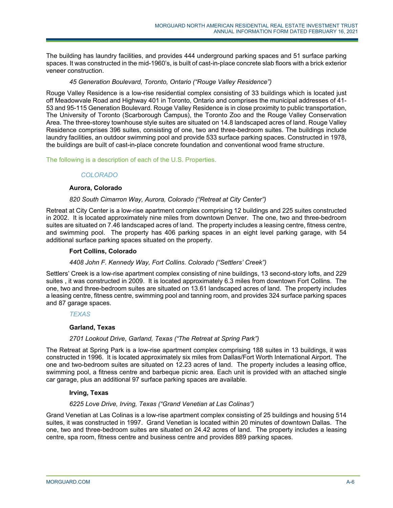The building has laundry facilities, and provides 444 underground parking spaces and 51 surface parking spaces. It was constructed in the mid-1960's, is built of cast-in-place concrete slab floors with a brick exterior veneer construction.

## *45 Generation Boulevard, Toronto, Ontario ("Rouge Valley Residence")*

Rouge Valley Residence is a low-rise residential complex consisting of 33 buildings which is located just off Meadowvale Road and Highway 401 in Toronto, Ontario and comprises the municipal addresses of 41- 53 and 95-115 Generation Boulevard. Rouge Valley Residence is in close proximity to public transportation, The University of Toronto (Scarborough Campus), the Toronto Zoo and the Rouge Valley Conservation Area. The three-storey townhouse style suites are situated on 14.8 landscaped acres of land. Rouge Valley Residence comprises 396 suites, consisting of one, two and three-bedroom suites. The buildings include laundry facilities, an outdoor swimming pool and provide 533 surface parking spaces. Constructed in 1978, the buildings are built of cast-in-place concrete foundation and conventional wood frame structure.

The following is a description of each of the U.S. Properties.

# *COLORADO*

## **Aurora, Colorado**

## *820 South Cimarron Way, Aurora, Colorado ("Retreat at City Center")*

Retreat at City Center is a low-rise apartment complex comprising 12 buildings and 225 suites constructed in 2002. It is located approximately nine miles from downtown Denver. The one, two and three-bedroom suites are situated on 7.46 landscaped acres of land. The property includes a leasing centre, fitness centre, and swimming pool. The property has 406 parking spaces in an eight level parking garage, with 54 additional surface parking spaces situated on the property.

## **Fort Collins, Colorado**

## *4408 John F. Kennedy Way, Fort Collins. Colorado ("Settlers' Creek")*

Settlers' Creek is a low-rise apartment complex consisting of nine buildings, 13 second-story lofts, and 229 suites , it was constructed in 2009. It is located approximately 6.3 miles from downtown Fort Collins. The one, two and three-bedroom suites are situated on 13.61 landscaped acres of land. The property includes a leasing centre, fitness centre, swimming pool and tanning room, and provides 324 surface parking spaces and 87 garage spaces.

## *TEXAS*

## **Garland, Texas**

## *2701 Lookout Drive, Garland, Texas ("The Retreat at Spring Park")*

The Retreat at Spring Park is a low-rise apartment complex comprising 188 suites in 13 buildings, it was constructed in 1996. It is located approximately six miles from Dallas/Fort Worth International Airport. The one and two-bedroom suites are situated on 12.23 acres of land. The property includes a leasing office, swimming pool, a fitness centre and barbeque picnic area. Each unit is provided with an attached single car garage, plus an additional 97 surface parking spaces are available.

## **Irving, Texas**

## *6225 Love Drive, Irving, Texas ("Grand Venetian at Las Colinas")*

Grand Venetian at Las Colinas is a low-rise apartment complex consisting of 25 buildings and housing 514 suites, it was constructed in 1997. Grand Venetian is located within 20 minutes of downtown Dallas. The one, two and three-bedroom suites are situated on 24.42 acres of land. The property includes a leasing centre, spa room, fitness centre and business centre and provides 889 parking spaces.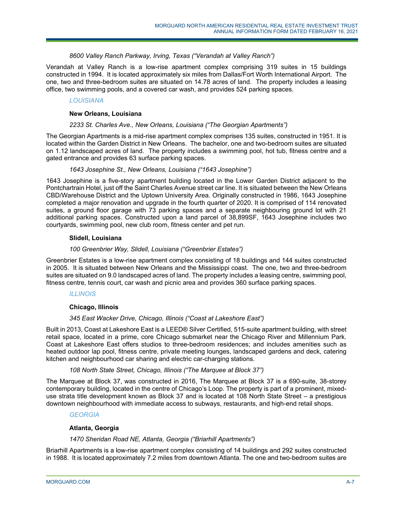## *8600 Valley Ranch Parkway, Irving, Texas ("Verandah at Valley Ranch")*

Verandah at Valley Ranch is a low-rise apartment complex comprising 319 suites in 15 buildings constructed in 1994. It is located approximately six miles from Dallas/Fort Worth International Airport. The one, two and three-bedroom suites are situated on 14.78 acres of land. The property includes a leasing office, two swimming pools, and a covered car wash, and provides 524 parking spaces.

## *LOUISIANA*

## **New Orleans, Louisiana**

## *2233 St. Charles Ave., New Orleans, Louisiana ("The Georgian Apartments")*

The Georgian Apartments is a mid-rise apartment complex comprises 135 suites, constructed in 1951. It is located within the Garden District in New Orleans. The bachelor, one and two-bedroom suites are situated on 1.12 landscaped acres of land. The property includes a swimming pool, hot tub, fitness centre and a gated entrance and provides 63 surface parking spaces.

#### *1643 Josephine St., New Orleans, Louisiana ("1643 Josephine")*

1643 Josephine is a five-story apartment building located in the Lower Garden District adjacent to the Pontchartrain Hotel, just off the Saint Charles Avenue street car line. It is situated between the New Orleans CBD/Warehouse District and the Uptown University Area. Originally constructed in 1986, 1643 Josephine completed a major renovation and upgrade in the fourth quarter of 2020. It is comprised of 114 renovated suites, a ground floor garage with 73 parking spaces and a separate neighbouring ground lot with 21 additional parking spaces. Constructed upon a land parcel of 38,899SF, 1643 Josephine includes two courtyards, swimming pool, new club room, fitness center and pet run.

#### **Slidell, Louisiana**

## *100 Greenbrier Way, Slidell, Louisiana ("Greenbrier Estates")*

Greenbrier Estates is a low-rise apartment complex consisting of 18 buildings and 144 suites constructed in 2005. It is situated between New Orleans and the Mississippi coast. The one, two and three-bedroom suites are situated on 9.0 landscaped acres of land. The property includes a leasing centre, swimming pool, fitness centre, tennis court, car wash and picnic area and provides 360 surface parking spaces.

## *ILLINOIS*

## **Chicago, Illinois**

## *345 East Wacker Drive, Chicago, Illinois ("Coast at Lakeshore East")*

Built in 2013, Coast at Lakeshore East is a LEED® Silver Certified, 515-suite apartment building, with street retail space, located in a prime, core Chicago submarket near the Chicago River and Millennium Park. Coast at Lakeshore East offers studios to three-bedroom residences; and includes amenities such as heated outdoor lap pool, fitness centre, private meeting lounges, landscaped gardens and deck, catering kitchen and neighbourhood car sharing and electric car-charging stations.

## *108 North State Street, Chicago, Illinois ("The Marquee at Block 37")*

The Marquee at Block 37, was constructed in 2016, The Marquee at Block 37 is a 690-suite, 38-storey contemporary building, located in the centre of Chicago's Loop. The property is part of a prominent, mixeduse strata title development known as Block 37 and is located at 108 North State Street – a prestigious downtown neighbourhood with immediate access to subways, restaurants, and high-end retail shops.

## *GEORGIA*

## **Atlanta, Georgia**

## *1470 Sheridan Road NE, Atlanta, Georgia ("Briarhill Apartments")*

Briarhill Apartments is a low-rise apartment complex consisting of 14 buildings and 292 suites constructed in 1988. It is located approximately 7.2 miles from downtown Atlanta. The one and two-bedroom suites are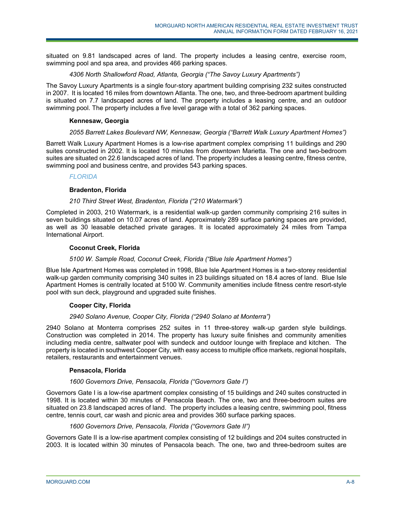situated on 9.81 landscaped acres of land. The property includes a leasing centre, exercise room, swimming pool and spa area, and provides 466 parking spaces.

## *4306 North Shallowford Road, Atlanta, Georgia ("The Savoy Luxury Apartments")*

The Savoy Luxury Apartments is a single four-story apartment building comprising 232 suites constructed in 2007. It is located 16 miles from downtown Atlanta. The one, two, and three-bedroom apartment building is situated on 7.7 landscaped acres of land. The property includes a leasing centre, and an outdoor swimming pool. The property includes a five level garage with a total of 362 parking spaces.

## **Kennesaw, Georgia**

## *2055 Barrett Lakes Boulevard NW, Kennesaw, Georgia ("Barrett Walk Luxury Apartment Homes")*

Barrett Walk Luxury Apartment Homes is a low-rise apartment complex comprising 11 buildings and 290 suites constructed in 2002. It is located 10 minutes from downtown Marietta. The one and two-bedroom suites are situated on 22.6 landscaped acres of land. The property includes a leasing centre, fitness centre, swimming pool and business centre, and provides 543 parking spaces.

## *FLORIDA*

## **Bradenton, Florida**

## *210 Third Street West, Bradenton, Florida ("210 Watermark")*

Completed in 2003, 210 Watermark, is a residential walk-up garden community comprising 216 suites in seven buildings situated on 10.07 acres of land. Approximately 289 surface parking spaces are provided, as well as 30 leasable detached private garages. It is located approximately 24 miles from Tampa International Airport.

## **Coconut Creek, Florida**

## *5100 W. Sample Road, Coconut Creek, Florida ("Blue Isle Apartment Homes")*

Blue Isle Apartment Homes was completed in 1998, Blue Isle Apartment Homes is a two-storey residential walk-up garden community comprising 340 suites in 23 buildings situated on 18.4 acres of land. Blue Isle Apartment Homes is centrally located at 5100 W. Community amenities include fitness centre resort-style pool with sun deck, playground and upgraded suite finishes.

## **Cooper City, Florida**

## *2940 Solano Avenue, Cooper City, Florida ("2940 Solano at Monterra")*

2940 Solano at Monterra comprises 252 suites in 11 three-storey walk-up garden style buildings. Construction was completed in 2014. The property has luxury suite finishes and community amenities including media centre, saltwater pool with sundeck and outdoor lounge with fireplace and kitchen. The property is located in southwest Cooper City, with easy access to multiple office markets, regional hospitals, retailers, restaurants and entertainment venues.

## **Pensacola, Florida**

## *1600 Governors Drive, Pensacola, Florida ("Governors Gate I")*

Governors Gate I is a low-rise apartment complex consisting of 15 buildings and 240 suites constructed in 1998. It is located within 30 minutes of Pensacola Beach. The one, two and three-bedroom suites are situated on 23.8 landscaped acres of land. The property includes a leasing centre, swimming pool, fitness centre, tennis court, car wash and picnic area and provides 360 surface parking spaces.

## *1600 Governors Drive, Pensacola, Florida ("Governors Gate II")*

Governors Gate II is a low-rise apartment complex consisting of 12 buildings and 204 suites constructed in 2003. It is located within 30 minutes of Pensacola beach. The one, two and three-bedroom suites are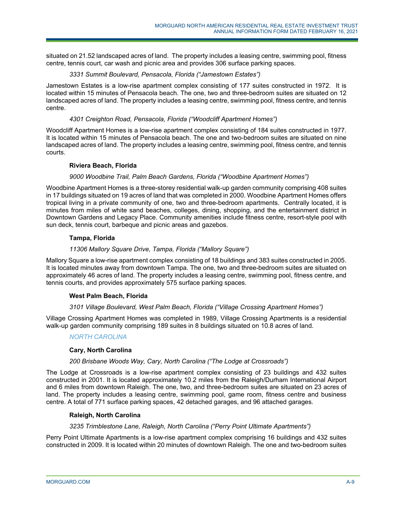situated on 21.52 landscaped acres of land. The property includes a leasing centre, swimming pool, fitness centre, tennis court, car wash and picnic area and provides 306 surface parking spaces.

## *3331 Summit Boulevard, Pensacola, Florida ("Jamestown Estates")*

Jamestown Estates is a low-rise apartment complex consisting of 177 suites constructed in 1972. It is located within 15 minutes of Pensacola beach. The one, two and three-bedroom suites are situated on 12 landscaped acres of land. The property includes a leasing centre, swimming pool, fitness centre, and tennis centre.

## *4301 Creighton Road, Pensacola, Florida ("Woodcliff Apartment Homes")*

Woodcliff Apartment Homes is a low-rise apartment complex consisting of 184 suites constructed in 1977. It is located within 15 minutes of Pensacola beach. The one and two-bedroom suites are situated on nine landscaped acres of land. The property includes a leasing centre, swimming pool, fitness centre, and tennis courts.

## **Riviera Beach, Florida**

# *9000 Woodbine Trail, Palm Beach Gardens, Florida ("Woodbine Apartment Homes")*

Woodbine Apartment Homes is a three-storey residential walk-up garden community comprising 408 suites in 17 buildings situated on 19 acres of land that was completed in 2000. Woodbine Apartment Homes offers tropical living in a private community of one, two and three-bedroom apartments. Centrally located, it is minutes from miles of white sand beaches, colleges, dining, shopping, and the entertainment district in Downtown Gardens and Legacy Place. Community amenities include fitness centre, resort-style pool with sun deck, tennis court, barbeque and picnic areas and gazebos.

## **Tampa, Florida**

## *11306 Mallory Square Drive, Tampa, Florida ("Mallory Square")*

Mallory Square a low-rise apartment complex consisting of 18 buildings and 383 suites constructed in 2005. It is located minutes away from downtown Tampa. The one, two and three-bedroom suites are situated on approximately 46 acres of land. The property includes a leasing centre, swimming pool, fitness centre, and tennis courts, and provides approximately 575 surface parking spaces.

## **West Palm Beach, Florida**

## *3101 Village Boulevard, West Palm Beach, Florida ("Village Crossing Apartment Homes")*

Village Crossing Apartment Homes was completed in 1989, Village Crossing Apartments is a residential walk-up garden community comprising 189 suites in 8 buildings situated on 10.8 acres of land.

# *NORTH CAROLINA*

## **Cary, North Carolina**

## *200 Brisbane Woods Way, Cary, North Carolina ("The Lodge at Crossroads")*

The Lodge at Crossroads is a low-rise apartment complex consisting of 23 buildings and 432 suites constructed in 2001. It is located approximately 10.2 miles from the Raleigh/Durham International Airport and 6 miles from downtown Raleigh. The one, two, and three-bedroom suites are situated on 23 acres of land. The property includes a leasing centre, swimming pool, game room, fitness centre and business centre. A total of 771 surface parking spaces, 42 detached garages, and 96 attached garages.

## **Raleigh, North Carolina**

## *3235 Trimblestone Lane, Raleigh, North Carolina ("Perry Point Ultimate Apartments")*

Perry Point Ultimate Apartments is a low-rise apartment complex comprising 16 buildings and 432 suites constructed in 2009. It is located within 20 minutes of downtown Raleigh. The one and two-bedroom suites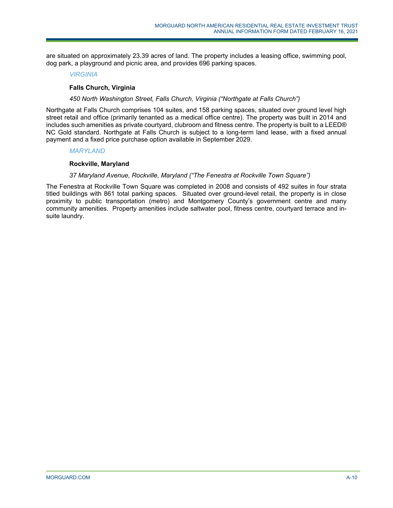are situated on approximately 23.39 acres of land. The property includes a leasing office, swimming pool, dog park, a playground and picnic area, and provides 696 parking spaces.

## *VIRGINIA*

## **Falls Church, Virginia**

## *450 North Washington Street, Falls Church, Virginia ("Northgate at Falls Church")*

Northgate at Falls Church comprises 104 suites, and 158 parking spaces, situated over ground level high street retail and office (primarily tenanted as a medical office centre). The property was built in 2014 and includes such amenities as private courtyard, clubroom and fitness centre. The property is built to a LEED® NC Gold standard. Northgate at Falls Church is subject to a long-term land lease, with a fixed annual payment and a fixed price purchase option available in September 2029.

#### *MARYLAND*

## **Rockville, Maryland**

## *37 Maryland Avenue, Rockville, Maryland ("The Fenestra at Rockville Town Square")*

The Fenestra at Rockville Town Square was completed in 2008 and consists of 492 suites in four strata titled buildings with 861 total parking spaces. Situated over ground-level retail, the property is in close proximity to public transportation (metro) and Montgomery County's government centre and many community amenities. Property amenities include saltwater pool, fitness centre, courtyard terrace and insuite laundry.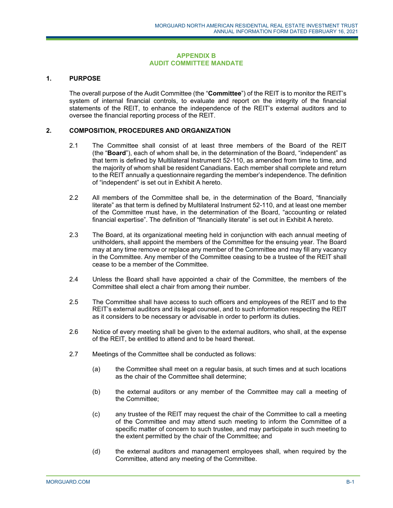#### **APPENDIX B AUDIT COMMITTEE MANDATE**

## **1. PURPOSE**

The overall purpose of the Audit Committee (the "**Committee**") of the REIT is to monitor the REIT's system of internal financial controls, to evaluate and report on the integrity of the financial statements of the REIT, to enhance the independence of the REIT's external auditors and to oversee the financial reporting process of the REIT.

#### **2. COMPOSITION, PROCEDURES AND ORGANIZATION**

- 2.1 The Committee shall consist of at least three members of the Board of the REIT (the "**Board**"), each of whom shall be, in the determination of the Board, "independent" as that term is defined by Multilateral Instrument 52-110, as amended from time to time, and the majority of whom shall be resident Canadians. Each member shall complete and return to the REIT annually a questionnaire regarding the member's independence. The definition of "independent" is set out in Exhibit A hereto.
- 2.2 All members of the Committee shall be, in the determination of the Board, "financially literate" as that term is defined by Multilateral Instrument 52-110, and at least one member of the Committee must have, in the determination of the Board, "accounting or related financial expertise". The definition of "financially literate" is set out in Exhibit A hereto.
- 2.3 The Board, at its organizational meeting held in conjunction with each annual meeting of unitholders, shall appoint the members of the Committee for the ensuing year. The Board may at any time remove or replace any member of the Committee and may fill any vacancy in the Committee. Any member of the Committee ceasing to be a trustee of the REIT shall cease to be a member of the Committee.
- 2.4 Unless the Board shall have appointed a chair of the Committee, the members of the Committee shall elect a chair from among their number.
- 2.5 The Committee shall have access to such officers and employees of the REIT and to the REIT's external auditors and its legal counsel, and to such information respecting the REIT as it considers to be necessary or advisable in order to perform its duties.
- 2.6 Notice of every meeting shall be given to the external auditors, who shall, at the expense of the REIT, be entitled to attend and to be heard thereat.
- 2.7 Meetings of the Committee shall be conducted as follows:
	- (a) the Committee shall meet on a regular basis, at such times and at such locations as the chair of the Committee shall determine;
	- (b) the external auditors or any member of the Committee may call a meeting of the Committee;
	- (c) any trustee of the REIT may request the chair of the Committee to call a meeting of the Committee and may attend such meeting to inform the Committee of a specific matter of concern to such trustee, and may participate in such meeting to the extent permitted by the chair of the Committee; and
	- (d) the external auditors and management employees shall, when required by the Committee, attend any meeting of the Committee.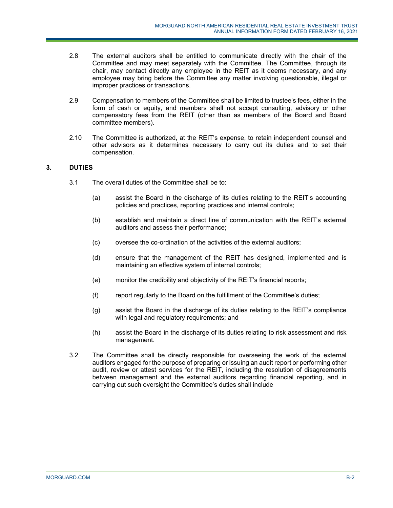- 2.8 The external auditors shall be entitled to communicate directly with the chair of the Committee and may meet separately with the Committee. The Committee, through its chair, may contact directly any employee in the REIT as it deems necessary, and any employee may bring before the Committee any matter involving questionable, illegal or improper practices or transactions.
- 2.9 Compensation to members of the Committee shall be limited to trustee's fees, either in the form of cash or equity, and members shall not accept consulting, advisory or other compensatory fees from the REIT (other than as members of the Board and Board committee members).
- 2.10 The Committee is authorized, at the REIT's expense, to retain independent counsel and other advisors as it determines necessary to carry out its duties and to set their compensation.

# **3. DUTIES**

- 3.1 The overall duties of the Committee shall be to:
	- (a) assist the Board in the discharge of its duties relating to the REIT's accounting policies and practices, reporting practices and internal controls;
	- (b) establish and maintain a direct line of communication with the REIT's external auditors and assess their performance;
	- (c) oversee the co-ordination of the activities of the external auditors;
	- (d) ensure that the management of the REIT has designed, implemented and is maintaining an effective system of internal controls;
	- (e) monitor the credibility and objectivity of the REIT's financial reports;
	- (f) report regularly to the Board on the fulfillment of the Committee's duties;
	- (g) assist the Board in the discharge of its duties relating to the REIT's compliance with legal and regulatory requirements; and
	- (h) assist the Board in the discharge of its duties relating to risk assessment and risk management.
- 3.2 The Committee shall be directly responsible for overseeing the work of the external auditors engaged for the purpose of preparing or issuing an audit report or performing other audit, review or attest services for the REIT, including the resolution of disagreements between management and the external auditors regarding financial reporting, and in carrying out such oversight the Committee's duties shall include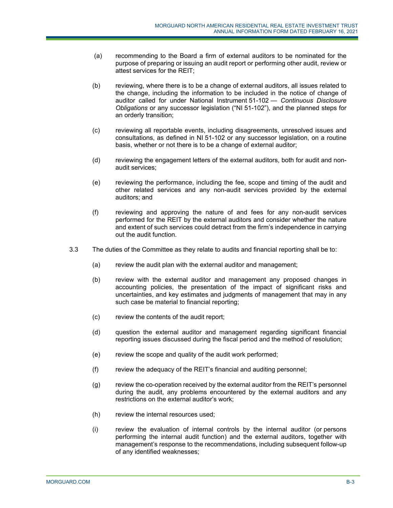- (a) recommending to the Board a firm of external auditors to be nominated for the purpose of preparing or issuing an audit report or performing other audit, review or attest services for the REIT;
- (b) reviewing, where there is to be a change of external auditors, all issues related to the change, including the information to be included in the notice of change of auditor called for under National Instrument 51-102 — *Continuous Disclosure Obligations* or any successor legislation ("NI 51-102"), and the planned steps for an orderly transition;
- (c) reviewing all reportable events, including disagreements, unresolved issues and consultations, as defined in NI 51-102 or any successor legislation, on a routine basis, whether or not there is to be a change of external auditor;
- (d) reviewing the engagement letters of the external auditors, both for audit and nonaudit services;
- (e) reviewing the performance, including the fee, scope and timing of the audit and other related services and any non-audit services provided by the external auditors; and
- (f) reviewing and approving the nature of and fees for any non-audit services performed for the REIT by the external auditors and consider whether the nature and extent of such services could detract from the firm's independence in carrying out the audit function.
- 3.3 The duties of the Committee as they relate to audits and financial reporting shall be to:
	- (a) review the audit plan with the external auditor and management;
	- (b) review with the external auditor and management any proposed changes in accounting policies, the presentation of the impact of significant risks and uncertainties, and key estimates and judgments of management that may in any such case be material to financial reporting;
	- (c) review the contents of the audit report;
	- (d) question the external auditor and management regarding significant financial reporting issues discussed during the fiscal period and the method of resolution;
	- (e) review the scope and quality of the audit work performed;
	- (f) review the adequacy of the REIT's financial and auditing personnel;
	- (g) review the co-operation received by the external auditor from the REIT's personnel during the audit, any problems encountered by the external auditors and any restrictions on the external auditor's work;
	- (h) review the internal resources used;
	- (i) review the evaluation of internal controls by the internal auditor (or persons performing the internal audit function) and the external auditors, together with management's response to the recommendations, including subsequent follow-up of any identified weaknesses;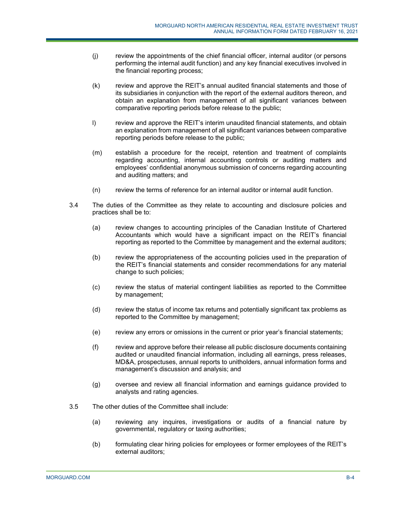- (j) review the appointments of the chief financial officer, internal auditor (or persons performing the internal audit function) and any key financial executives involved in the financial reporting process;
- (k) review and approve the REIT's annual audited financial statements and those of its subsidiaries in conjunction with the report of the external auditors thereon, and obtain an explanation from management of all significant variances between comparative reporting periods before release to the public;
- l) review and approve the REIT's interim unaudited financial statements, and obtain an explanation from management of all significant variances between comparative reporting periods before release to the public;
- (m) establish a procedure for the receipt, retention and treatment of complaints regarding accounting, internal accounting controls or auditing matters and employees' confidential anonymous submission of concerns regarding accounting and auditing matters; and
- (n) review the terms of reference for an internal auditor or internal audit function.
- 3.4 The duties of the Committee as they relate to accounting and disclosure policies and practices shall be to:
	- (a) review changes to accounting principles of the Canadian Institute of Chartered Accountants which would have a significant impact on the REIT's financial reporting as reported to the Committee by management and the external auditors;
	- (b) review the appropriateness of the accounting policies used in the preparation of the REIT's financial statements and consider recommendations for any material change to such policies;
	- (c) review the status of material contingent liabilities as reported to the Committee by management;
	- (d) review the status of income tax returns and potentially significant tax problems as reported to the Committee by management;
	- (e) review any errors or omissions in the current or prior year's financial statements;
	- (f) review and approve before their release all public disclosure documents containing audited or unaudited financial information, including all earnings, press releases, MD&A, prospectuses, annual reports to unitholders, annual information forms and management's discussion and analysis; and
	- (g) oversee and review all financial information and earnings guidance provided to analysts and rating agencies.
- 3.5 The other duties of the Committee shall include:
	- (a) reviewing any inquires, investigations or audits of a financial nature by governmental, regulatory or taxing authorities;
	- (b) formulating clear hiring policies for employees or former employees of the REIT's external auditors;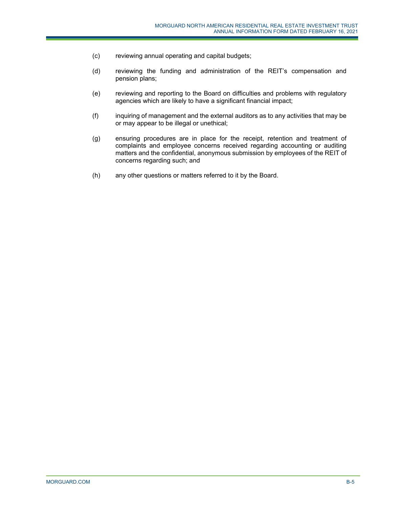- (c) reviewing annual operating and capital budgets;
- (d) reviewing the funding and administration of the REIT's compensation and pension plans;
- (e) reviewing and reporting to the Board on difficulties and problems with regulatory agencies which are likely to have a significant financial impact;
- (f) inquiring of management and the external auditors as to any activities that may be or may appear to be illegal or unethical;
- (g) ensuring procedures are in place for the receipt, retention and treatment of complaints and employee concerns received regarding accounting or auditing matters and the confidential, anonymous submission by employees of the REIT of concerns regarding such; and
- (h) any other questions or matters referred to it by the Board.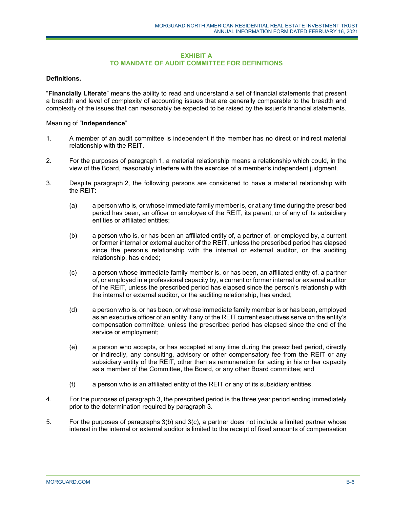## **EXHIBIT A TO MANDATE OF AUDIT COMMITTEE FOR DEFINITIONS**

## **Definitions.**

"**Financially Literate**" means the ability to read and understand a set of financial statements that present a breadth and level of complexity of accounting issues that are generally comparable to the breadth and complexity of the issues that can reasonably be expected to be raised by the issuer's financial statements.

## Meaning of "**Independence**"

- 1. A member of an audit committee is independent if the member has no direct or indirect material relationship with the REIT.
- 2. For the purposes of paragraph 1, a material relationship means a relationship which could, in the view of the Board, reasonably interfere with the exercise of a member's independent judgment.
- 3. Despite paragraph 2, the following persons are considered to have a material relationship with the REIT:
	- (a) a person who is, or whose immediate family member is, or at any time during the prescribed period has been, an officer or employee of the REIT, its parent, or of any of its subsidiary entities or affiliated entities;
	- (b) a person who is, or has been an affiliated entity of, a partner of, or employed by, a current or former internal or external auditor of the REIT, unless the prescribed period has elapsed since the person's relationship with the internal or external auditor, or the auditing relationship, has ended;
	- (c) a person whose immediate family member is, or has been, an affiliated entity of, a partner of, or employed in a professional capacity by, a current or former internal or external auditor of the REIT, unless the prescribed period has elapsed since the person's relationship with the internal or external auditor, or the auditing relationship, has ended;
	- (d) a person who is, or has been, or whose immediate family member is or has been, employed as an executive officer of an entity if any of the REIT current executives serve on the entity's compensation committee, unless the prescribed period has elapsed since the end of the service or employment;
	- (e) a person who accepts, or has accepted at any time during the prescribed period, directly or indirectly, any consulting, advisory or other compensatory fee from the REIT or any subsidiary entity of the REIT, other than as remuneration for acting in his or her capacity as a member of the Committee, the Board, or any other Board committee; and
	- (f) a person who is an affiliated entity of the REIT or any of its subsidiary entities.
- 4. For the purposes of paragraph 3, the prescribed period is the three year period ending immediately prior to the determination required by paragraph 3.
- 5. For the purposes of paragraphs 3(b) and 3(c), a partner does not include a limited partner whose interest in the internal or external auditor is limited to the receipt of fixed amounts of compensation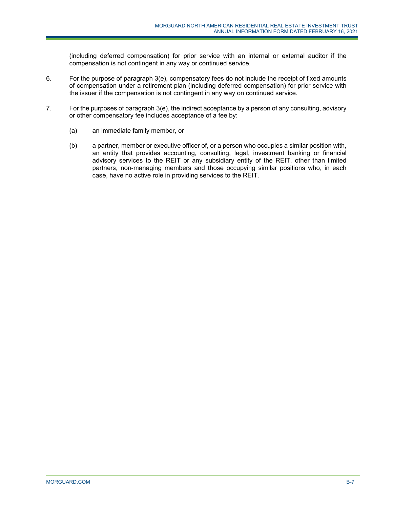(including deferred compensation) for prior service with an internal or external auditor if the compensation is not contingent in any way or continued service.

- 6. For the purpose of paragraph 3(e), compensatory fees do not include the receipt of fixed amounts of compensation under a retirement plan (including deferred compensation) for prior service with the issuer if the compensation is not contingent in any way on continued service.
- 7. For the purposes of paragraph 3(e), the indirect acceptance by a person of any consulting, advisory or other compensatory fee includes acceptance of a fee by:
	- (a) an immediate family member, or
	- (b) a partner, member or executive officer of, or a person who occupies a similar position with, an entity that provides accounting, consulting, legal, investment banking or financial advisory services to the REIT or any subsidiary entity of the REIT, other than limited partners, non-managing members and those occupying similar positions who, in each case, have no active role in providing services to the REIT.